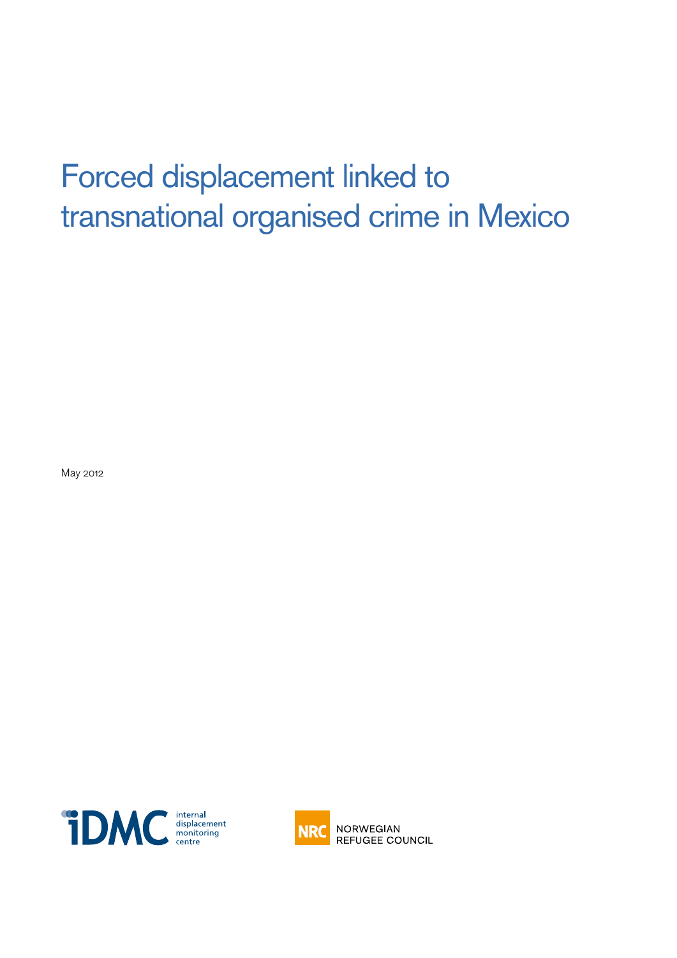## Forced displacement linked to transnational organised crime in Mexico

May 2012





**NRC** NORWEGIAN **REFUGEE COUNCIL**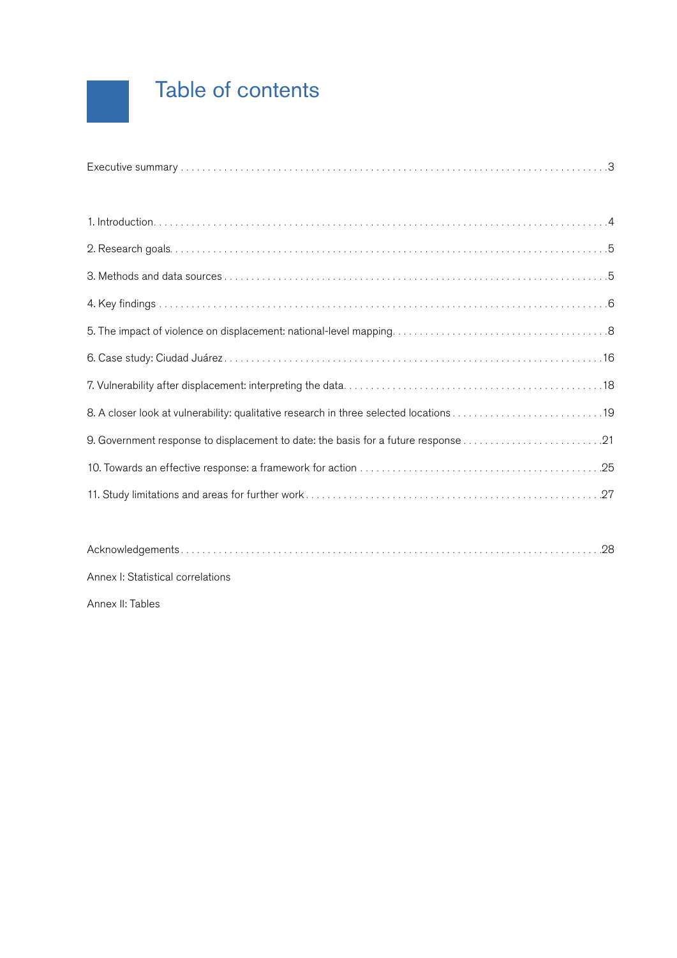## Table of contents

[Acknowledgements . . . . . . . . . . . . . . . . . . . . . . . . . . . . . . . . . . . . . . . . . . . . . . . . . . . . . . . . . . . . . . . . . . . . . . . . . . . . . 28](#page-27-0)

Annex I: Statistical correlations

Annex II: Tables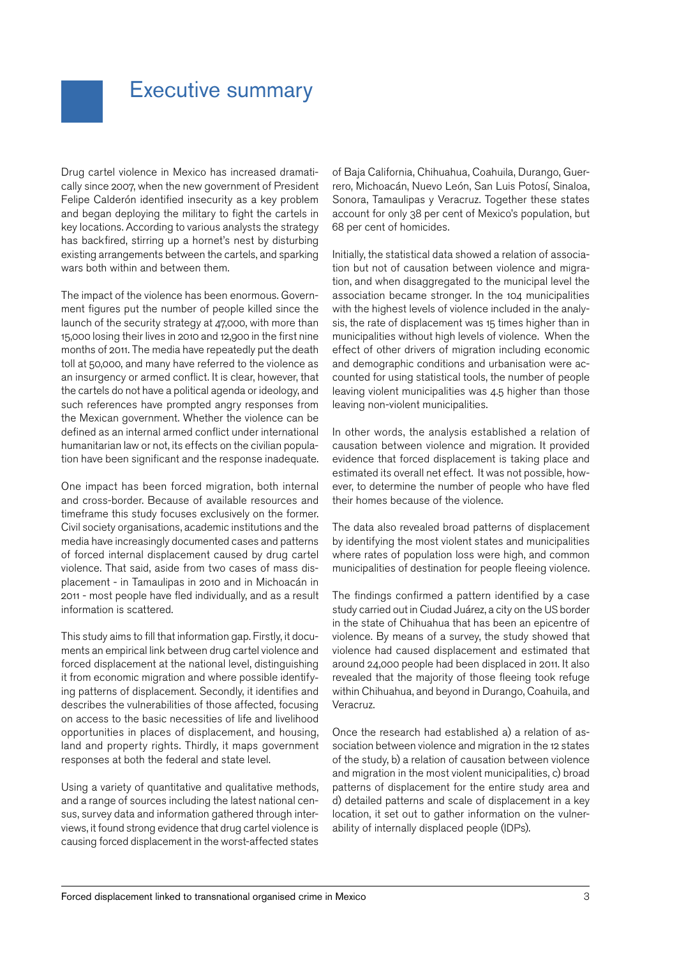### <span id="page-2-0"></span>Executive summary

Drug cartel violence in Mexico has increased dramatically since 2007, when the new government of President Felipe Calderón identified insecurity as a key problem and began deploying the military to fight the cartels in key locations. According to various analysts the strategy has backfired, stirring up a hornet's nest by disturbing existing arrangements between the cartels, and sparking wars both within and between them.

The impact of the violence has been enormous. Government figures put the number of people killed since the launch of the security strategy at 47,000, with more than 15,000 losing their lives in 2010 and 12,900 in the first nine months of 2011. The media have repeatedly put the death toll at 50,000, and many have referred to the violence as an insurgency or armed conflict. It is clear, however, that the cartels do not have a political agenda or ideology, and such references have prompted angry responses from the Mexican government. Whether the violence can be defined as an internal armed conflict under international humanitarian law or not, its effects on the civilian population have been significant and the response inadequate.

One impact has been forced migration, both internal and cross-border. Because of available resources and timeframe this study focuses exclusively on the former. Civil society organisations, academic institutions and the media have increasingly documented cases and patterns of forced internal displacement caused by drug cartel violence. That said, aside from two cases of mass displacement - in Tamaulipas in 2010 and in Michoacán in 2011 - most people have fled individually, and as a result information is scattered.

This study aims to fill that information gap. Firstly, it documents an empirical link between drug cartel violence and forced displacement at the national level, distinguishing it from economic migration and where possible identifying patterns of displacement. Secondly, it identifies and describes the vulnerabilities of those affected, focusing on access to the basic necessities of life and livelihood opportunities in places of displacement, and housing, land and property rights. Thirdly, it maps government responses at both the federal and state level.

Using a variety of quantitative and qualitative methods, and a range of sources including the latest national census, survey data and information gathered through interviews, it found strong evidence that drug cartel violence is causing forced displacement in the worst-affected states

of Baja California, Chihuahua, Coahuila, Durango, Guerrero, Michoacán, Nuevo León, San Luis Potosí, Sinaloa, Sonora, Tamaulipas y Veracruz. Together these states account for only 38 per cent of Mexico's population, but 68 per cent of homicides.

Initially, the statistical data showed a relation of association but not of causation between violence and migration, and when disaggregated to the municipal level the association became stronger. In the 104 municipalities with the highest levels of violence included in the analysis, the rate of displacement was 15 times higher than in municipalities without high levels of violence. When the effect of other drivers of migration including economic and demographic conditions and urbanisation were accounted for using statistical tools, the number of people leaving violent municipalities was 4.5 higher than those leaving non-violent municipalities.

In other words, the analysis established a relation of causation between violence and migration. It provided evidence that forced displacement is taking place and estimated its overall net effect. It was not possible, however, to determine the number of people who have fled their homes because of the violence.

The data also revealed broad patterns of displacement by identifying the most violent states and municipalities where rates of population loss were high, and common municipalities of destination for people fleeing violence.

The findings confirmed a pattern identified by a case study carried out in Ciudad Juárez, a city on the US border in the state of Chihuahua that has been an epicentre of violence. By means of a survey, the study showed that violence had caused displacement and estimated that around 24,000 people had been displaced in 2011. It also revealed that the majority of those fleeing took refuge within Chihuahua, and beyond in Durango, Coahuila, and Veracruz.

Once the research had established a) a relation of association between violence and migration in the 12 states of the study, b) a relation of causation between violence and migration in the most violent municipalities, c) broad patterns of displacement for the entire study area and d) detailed patterns and scale of displacement in a key location, it set out to gather information on the vulnerability of internally displaced people (IDPs).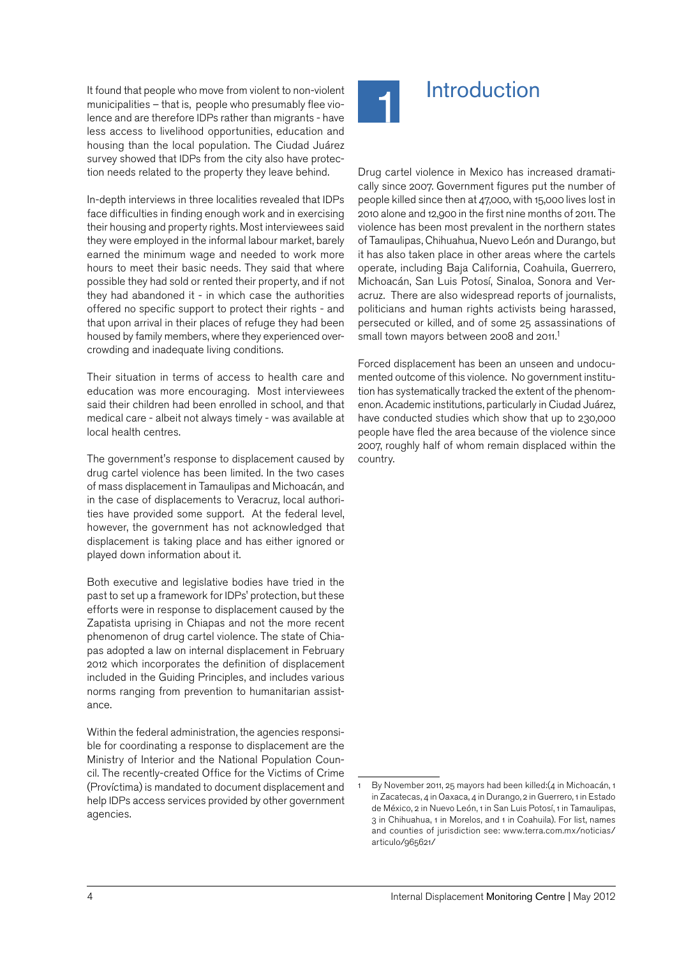<span id="page-3-0"></span>It found that people who move from violent to non-violent **Introduction** municipalities – that is, people who presumably flee violence and are therefore IDPs rather than migrants - have less access to livelihood opportunities, education and housing than the local population. The Ciudad Juárez survey showed that IDPs from the city also have protection needs related to the property they leave behind.

In-depth interviews in three localities revealed that IDPs face difficulties in finding enough work and in exercising their housing and property rights. Most interviewees said they were employed in the informal labour market, barely earned the minimum wage and needed to work more hours to meet their basic needs. They said that where possible they had sold or rented their property, and if not they had abandoned it - in which case the authorities offered no specific support to protect their rights - and that upon arrival in their places of refuge they had been housed by family members, where they experienced overcrowding and inadequate living conditions.

Their situation in terms of access to health care and education was more encouraging. Most interviewees said their children had been enrolled in school, and that medical care - albeit not always timely - was available at local health centres.

The government's response to displacement caused by drug cartel violence has been limited. In the two cases of mass displacement in Tamaulipas and Michoacán, and in the case of displacements to Veracruz, local authorities have provided some support. At the federal level, however, the government has not acknowledged that displacement is taking place and has either ignored or played down information about it.

Both executive and legislative bodies have tried in the past to set up a framework for IDPs' protection, but these efforts were in response to displacement caused by the Zapatista uprising in Chiapas and not the more recent phenomenon of drug cartel violence. The state of Chiapas adopted a law on internal displacement in February 2012 which incorporates the definition of displacement included in the Guiding Principles, and includes various norms ranging from prevention to humanitarian assistance.

Within the federal administration, the agencies responsible for coordinating a response to displacement are the Ministry of Interior and the National Population Council. The recently-created Office for the Victims of Crime (Províctima) is mandated to document displacement and help IDPs access services provided by other government agencies.



Drug cartel violence in Mexico has increased dramatically since 2007. Government figures put the number of people killed since then at 47,000, with 15,000 lives lost in 2010 alone and 12,900 in the first nine months of 2011. The violence has been most prevalent in the northern states of Tamaulipas, Chihuahua, Nuevo León and Durango, but it has also taken place in other areas where the cartels operate, including Baja California, Coahuila, Guerrero, Michoacán, San Luis Potosí, Sinaloa, Sonora and Veracruz. There are also widespread reports of journalists, politicians and human rights activists being harassed, persecuted or killed, and of some 25 assassinations of small town mayors between 2008 and 2011.<sup>1</sup>

Forced displacement has been an unseen and undocumented outcome of this violence. No government institution has systematically tracked the extent of the phenomenon. Academic institutions, particularly in Ciudad Juárez, have conducted studies which show that up to 230,000 people have fled the area because of the violence since 2007, roughly half of whom remain displaced within the country.

By November 2011, 25 mayors had been killed:(4 in Michoacán, 1 in Zacatecas, 4 in Oaxaca, 4 in Durango, 2 in Guerrero, 1 in Estado de México, 2 in Nuevo León, 1 in San Luis Potosí, 1 in Tamaulipas, 3 in Chihuahua, 1 in Morelos, and 1 in Coahuila). For list, names and counties of jurisdiction see: www.terra.com.mx/noticias/ articulo/965621/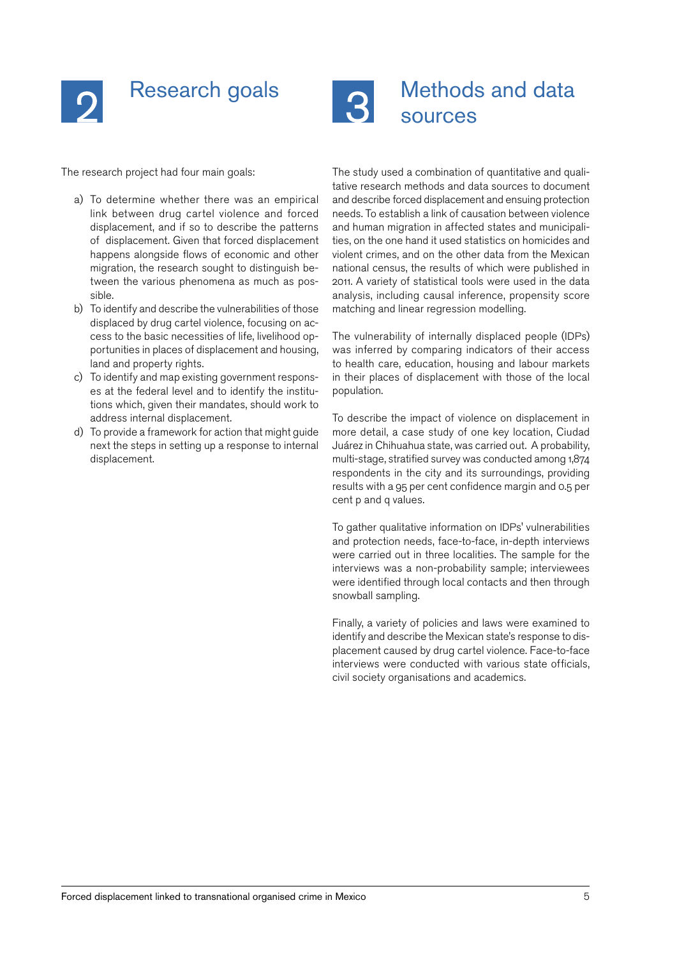<span id="page-4-0"></span>



## Methods and data sources

The research project had four main goals:

- a) To determine whether there was an empirical link between drug cartel violence and forced displacement, and if so to describe the patterns of displacement. Given that forced displacement happens alongside flows of economic and other migration, the research sought to distinguish between the various phenomena as much as possible.
- b) To identify and describe the vulnerabilities of those displaced by drug cartel violence, focusing on access to the basic necessities of life, livelihood opportunities in places of displacement and housing, land and property rights.
- c) To identify and map existing government responses at the federal level and to identify the institutions which, given their mandates, should work to address internal displacement.
- d) To provide a framework for action that might guide next the steps in setting up a response to internal displacement.

The study used a combination of quantitative and qualitative research methods and data sources to document and describe forced displacement and ensuing protection needs. To establish a link of causation between violence and human migration in affected states and municipalities, on the one hand it used statistics on homicides and violent crimes, and on the other data from the Mexican national census, the results of which were published in 2011. A variety of statistical tools were used in the data analysis, including causal inference, propensity score matching and linear regression modelling.

The vulnerability of internally displaced people (IDPs) was inferred by comparing indicators of their access to health care, education, housing and labour markets in their places of displacement with those of the local population.

To describe the impact of violence on displacement in more detail, a case study of one key location, Ciudad Juárez in Chihuahua state, was carried out. A probability, multi-stage, stratified survey was conducted among 1,874 respondents in the city and its surroundings, providing results with a 95 per cent confidence margin and 0.5 per cent p and q values.

To gather qualitative information on IDPs' vulnerabilities and protection needs, face-to-face, in-depth interviews were carried out in three localities. The sample for the interviews was a non-probability sample; interviewees were identified through local contacts and then through snowball sampling.

Finally, a variety of policies and laws were examined to identify and describe the Mexican state's response to displacement caused by drug cartel violence. Face-to-face interviews were conducted with various state officials, civil society organisations and academics.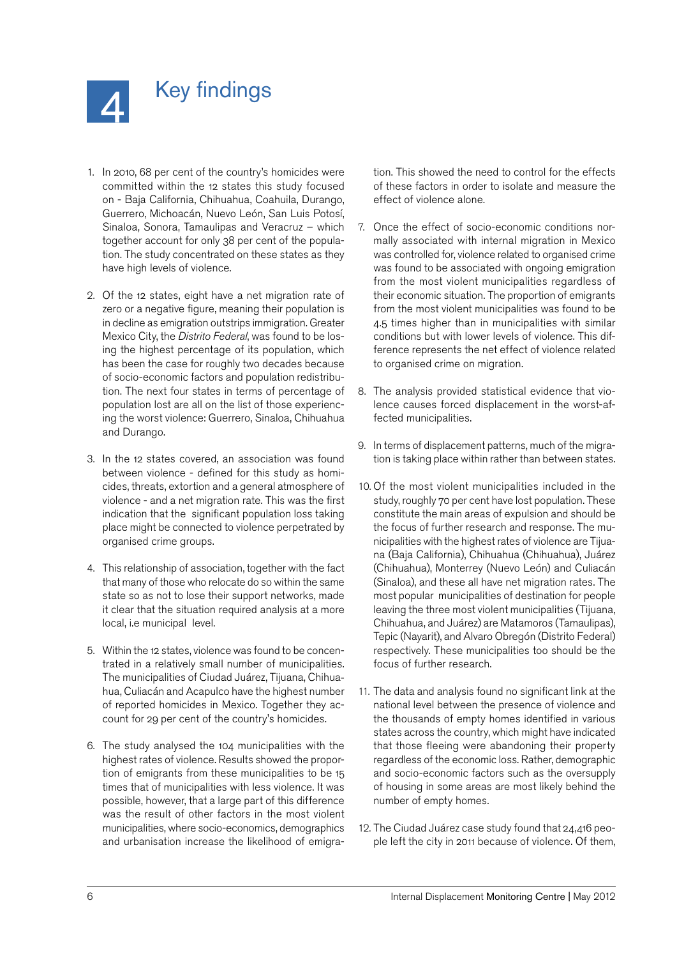<span id="page-5-0"></span>

## Key findings

- 1. In 2010, 68 per cent of the country's homicides were committed within the 12 states this study focused on - Baja California, Chihuahua, Coahuila, Durango, Guerrero, Michoacán, Nuevo León, San Luis Potosí, Sinaloa, Sonora, Tamaulipas and Veracruz – which together account for only 38 per cent of the population. The study concentrated on these states as they have high levels of violence.
- 2. Of the 12 states, eight have a net migration rate of zero or a negative figure, meaning their population is in decline as emigration outstrips immigration. Greater Mexico City, the *Distrito Federal*, was found to be losing the highest percentage of its population, which has been the case for roughly two decades because of socio-economic factors and population redistribution. The next four states in terms of percentage of population lost are all on the list of those experiencing the worst violence: Guerrero, Sinaloa, Chihuahua and Durango.
- 3. In the 12 states covered, an association was found between violence - defined for this study as homicides, threats, extortion and a general atmosphere of violence - and a net migration rate. This was the first indication that the significant population loss taking place might be connected to violence perpetrated by organised crime groups.
- 4. This relationship of association, together with the fact that many of those who relocate do so within the same state so as not to lose their support networks, made it clear that the situation required analysis at a more local, i.e municipal level.
- 5. Within the 12 states, violence was found to be concentrated in a relatively small number of municipalities. The municipalities of Ciudad Juárez, Tijuana, Chihuahua, Culiacán and Acapulco have the highest number of reported homicides in Mexico. Together they account for 29 per cent of the country's homicides.
- 6. The study analysed the 104 municipalities with the highest rates of violence. Results showed the proportion of emigrants from these municipalities to be 15 times that of municipalities with less violence. It was possible, however, that a large part of this difference was the result of other factors in the most violent municipalities, where socio-economics, demographics and urbanisation increase the likelihood of emigra-

tion. This showed the need to control for the effects of these factors in order to isolate and measure the effect of violence alone.

- 7. Once the effect of socio-economic conditions normally associated with internal migration in Mexico was controlled for, violence related to organised crime was found to be associated with ongoing emigration from the most violent municipalities regardless of their economic situation. The proportion of emigrants from the most violent municipalities was found to be 4.5 times higher than in municipalities with similar conditions but with lower levels of violence. This difference represents the net effect of violence related to organised crime on migration.
- 8. The analysis provided statistical evidence that violence causes forced displacement in the worst-affected municipalities.
- 9. In terms of displacement patterns, much of the migration is taking place within rather than between states.
- 10. Of the most violent municipalities included in the study, roughly 70 per cent have lost population. These constitute the main areas of expulsion and should be the focus of further research and response. The municipalities with the highest rates of violence are Tijuana (Baja California), Chihuahua (Chihuahua), Juárez (Chihuahua), Monterrey (Nuevo León) and Culiacán (Sinaloa), and these all have net migration rates. The most popular municipalities of destination for people leaving the three most violent municipalities (Tijuana, Chihuahua, and Juárez) are Matamoros (Tamaulipas), Tepic (Nayarit), and Alvaro Obregón (Distrito Federal) respectively. These municipalities too should be the focus of further research.
- 11. The data and analysis found no significant link at the national level between the presence of violence and the thousands of empty homes identified in various states across the country, which might have indicated that those fleeing were abandoning their property regardless of the economic loss. Rather, demographic and socio-economic factors such as the oversupply of housing in some areas are most likely behind the number of empty homes.
- 12. The Ciudad Juárez case study found that 24,416 people left the city in 2011 because of violence. Of them,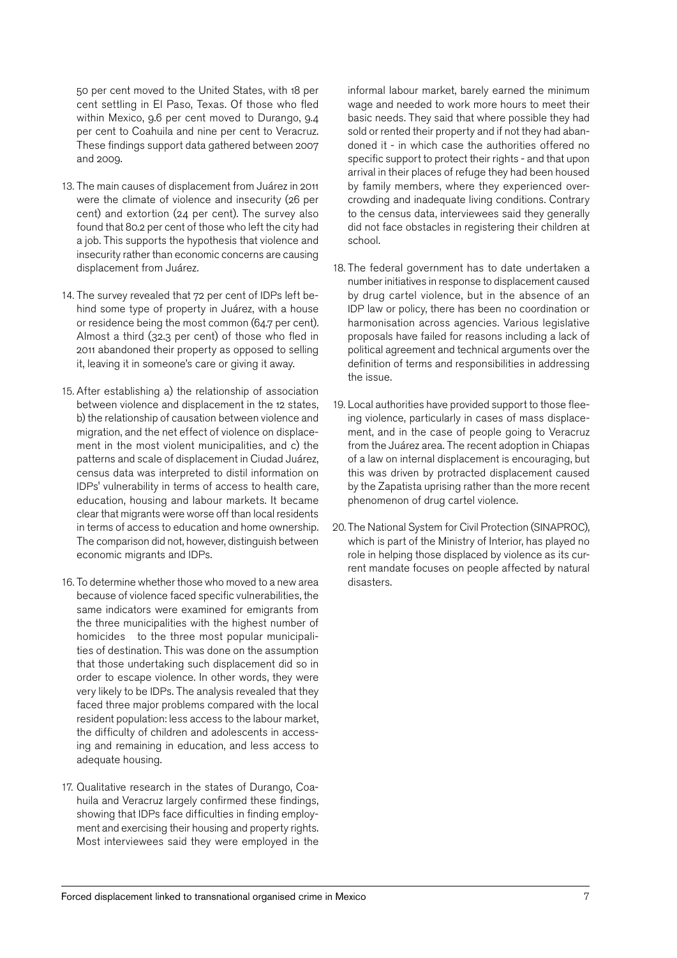50 per cent moved to the United States, with 18 per cent settling in El Paso, Texas. Of those who fled within Mexico, 9.6 per cent moved to Durango, 9.4 per cent to Coahuila and nine per cent to Veracruz. These findings support data gathered between 2007 and 2009.

- 13. The main causes of displacement from Juárez in 2011 were the climate of violence and insecurity (26 per cent) and extortion (24 per cent). The survey also found that 80.2 per cent of those who left the city had a job. This supports the hypothesis that violence and insecurity rather than economic concerns are causing displacement from Juárez.
- 14. The survey revealed that 72 per cent of IDPs left behind some type of property in Juárez, with a house or residence being the most common (64.7 per cent). Almost a third (32.3 per cent) of those who fled in 2011 abandoned their property as opposed to selling it, leaving it in someone's care or giving it away.
- 15. After establishing a) the relationship of association between violence and displacement in the 12 states, b) the relationship of causation between violence and migration, and the net effect of violence on displacement in the most violent municipalities, and c) the patterns and scale of displacement in Ciudad Juárez, census data was interpreted to distil information on IDPs' vulnerability in terms of access to health care, education, housing and labour markets. It became clear that migrants were worse off than local residents in terms of access to education and home ownership. The comparison did not, however, distinguish between economic migrants and IDPs.
- 16. To determine whether those who moved to a new area because of violence faced specific vulnerabilities, the same indicators were examined for emigrants from the three municipalities with the highest number of homicides to the three most popular municipalities of destination. This was done on the assumption that those undertaking such displacement did so in order to escape violence. In other words, they were very likely to be IDPs. The analysis revealed that they faced three major problems compared with the local resident population: less access to the labour market, the difficulty of children and adolescents in accessing and remaining in education, and less access to adequate housing.
- 17. Qualitative research in the states of Durango, Coahuila and Veracruz largely confirmed these findings, showing that IDPs face difficulties in finding employment and exercising their housing and property rights. Most interviewees said they were employed in the

informal labour market, barely earned the minimum wage and needed to work more hours to meet their basic needs. They said that where possible they had sold or rented their property and if not they had abandoned it - in which case the authorities offered no specific support to protect their rights - and that upon arrival in their places of refuge they had been housed by family members, where they experienced overcrowding and inadequate living conditions. Contrary to the census data, interviewees said they generally did not face obstacles in registering their children at school.

- 18. The federal government has to date undertaken a number initiatives in response to displacement caused by drug cartel violence, but in the absence of an IDP law or policy, there has been no coordination or harmonisation across agencies. Various legislative proposals have failed for reasons including a lack of political agreement and technical arguments over the definition of terms and responsibilities in addressing the issue.
- 19. Local authorities have provided support to those fleeing violence, particularly in cases of mass displacement, and in the case of people going to Veracruz from the Juárez area. The recent adoption in Chiapas of a law on internal displacement is encouraging, but this was driven by protracted displacement caused by the Zapatista uprising rather than the more recent phenomenon of drug cartel violence.
- 20. The National System for Civil Protection (SINAPROC), which is part of the Ministry of Interior, has played no role in helping those displaced by violence as its current mandate focuses on people affected by natural disasters.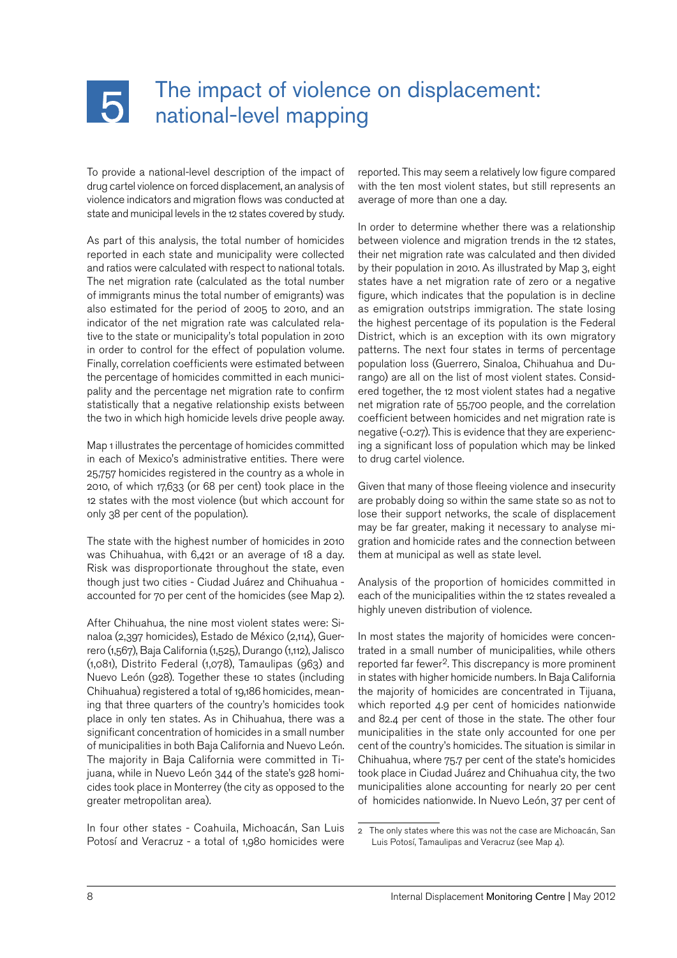<span id="page-7-0"></span>

## The impact of violence on displacement: national-level mapping

To provide a national-level description of the impact of drug cartel violence on forced displacement, an analysis of violence indicators and migration flows was conducted at state and municipal levels in the 12 states covered by study.

As part of this analysis, the total number of homicides reported in each state and municipality were collected and ratios were calculated with respect to national totals. The net migration rate (calculated as the total number of immigrants minus the total number of emigrants) was also estimated for the period of 2005 to 2010, and an indicator of the net migration rate was calculated relative to the state or municipality's total population in 2010 in order to control for the effect of population volume. Finally, correlation coefficients were estimated between the percentage of homicides committed in each municipality and the percentage net migration rate to confirm statistically that a negative relationship exists between the two in which high homicide levels drive people away.

Map 1 illustrates the percentage of homicides committed in each of Mexico's administrative entities. There were 25,757 homicides registered in the country as a whole in 2010, of which 17,633 (or 68 per cent) took place in the 12 states with the most violence (but which account for only 38 per cent of the population).

The state with the highest number of homicides in 2010 was Chihuahua, with 6,421 or an average of 18 a day. Risk was disproportionate throughout the state, even though just two cities - Ciudad Juárez and Chihuahua accounted for 70 per cent of the homicides (see Map 2).

After Chihuahua, the nine most violent states were: Sinaloa (2,397 homicides), Estado de México (2,114), Guerrero (1,567), Baja California (1,525), Durango (1,112), Jalisco (1,081), Distrito Federal (1,078), Tamaulipas (963) and Nuevo León (928). Together these 10 states (including Chihuahua) registered a total of 19,186 homicides, meaning that three quarters of the country's homicides took place in only ten states. As in Chihuahua, there was a significant concentration of homicides in a small number of municipalities in both Baja California and Nuevo León. The majority in Baja California were committed in Tijuana, while in Nuevo León 344 of the state's 928 homicides took place in Monterrey (the city as opposed to the greater metropolitan area).

In four other states - Coahuila, Michoacán, San Luis Potosí and Veracruz - a total of 1,980 homicides were

reported. This may seem a relatively low figure compared with the ten most violent states, but still represents an average of more than one a day.

In order to determine whether there was a relationship between violence and migration trends in the 12 states, their net migration rate was calculated and then divided by their population in 2010. As illustrated by Map 3, eight states have a net migration rate of zero or a negative figure, which indicates that the population is in decline as emigration outstrips immigration. The state losing the highest percentage of its population is the Federal District, which is an exception with its own migratory patterns. The next four states in terms of percentage population loss (Guerrero, Sinaloa, Chihuahua and Durango) are all on the list of most violent states. Considered together, the 12 most violent states had a negative net migration rate of 55,700 people, and the correlation coefficient between homicides and net migration rate is negative (-0.27). This is evidence that they are experiencing a significant loss of population which may be linked to drug cartel violence.

Given that many of those fleeing violence and insecurity are probably doing so within the same state so as not to lose their support networks, the scale of displacement may be far greater, making it necessary to analyse migration and homicide rates and the connection between them at municipal as well as state level.

Analysis of the proportion of homicides committed in each of the municipalities within the 12 states revealed a highly uneven distribution of violence.

In most states the majority of homicides were concentrated in a small number of municipalities, while others reported far fewer<sup>2</sup>. This discrepancy is more prominent in states with higher homicide numbers. In Baja California the majority of homicides are concentrated in Tijuana, which reported 4.9 per cent of homicides nationwide and 82.4 per cent of those in the state. The other four municipalities in the state only accounted for one per cent of the country's homicides. The situation is similar in Chihuahua, where 75.7 per cent of the state's homicides took place in Ciudad Juárez and Chihuahua city, the two municipalities alone accounting for nearly 20 per cent of homicides nationwide. In Nuevo León, 37 per cent of

<sup>2</sup> The only states where this was not the case are Michoacán, San Luis Potosí, Tamaulipas and Veracruz (see Map 4).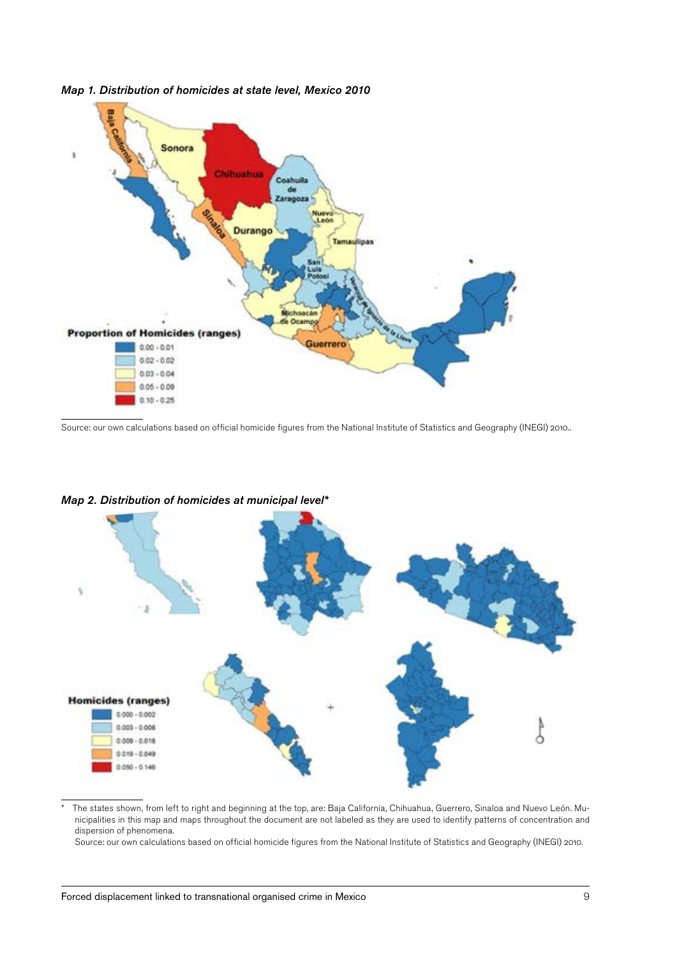

*Map 1. Distribution of homicides at state level, Mexico 2010*

Source: our own calculations based on official homicide figures from the National Institute of Statistics and Geography (INEGI) 2010..





\* The states shown, from left to right and beginning at the top, are: Baja California, Chihuahua, Guerrero, Sinaloa and Nuevo León. Municipalities in this map and maps throughout the document are not labeled as they are used to identify patterns of concentration and dispersion of phenomena.

Source: our own calculations based on official homicide figures from the National Institute of Statistics and Geography (INEGI) 2010.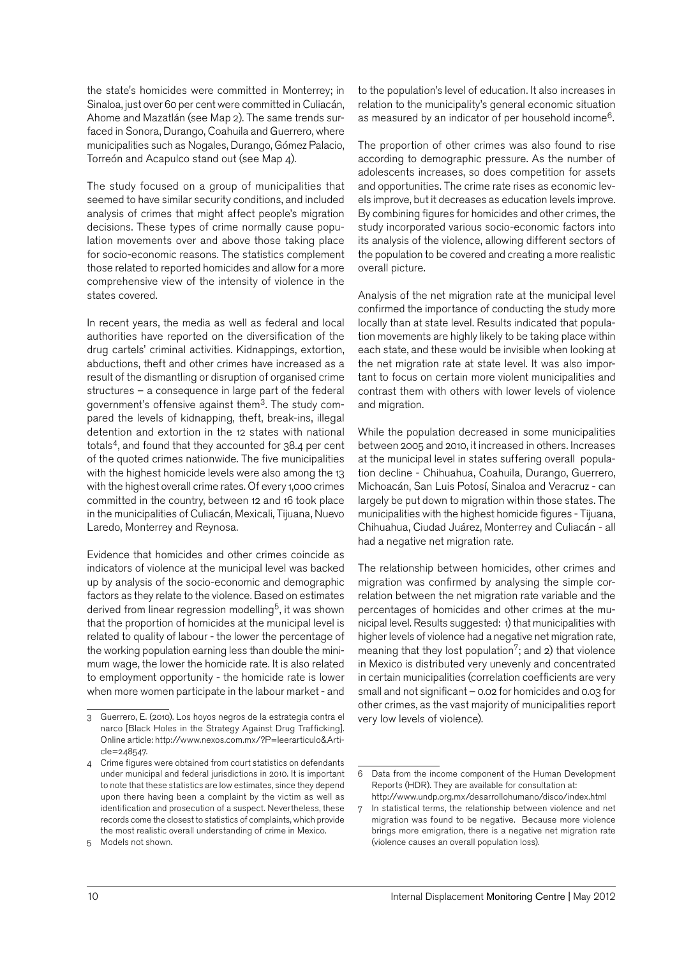the state's homicides were committed in Monterrey; in Sinaloa, just over 60 per cent were committed in Culiacán, Ahome and Mazatlán (see Map 2). The same trends surfaced in Sonora, Durango, Coahuila and Guerrero, where municipalities such as Nogales, Durango, Gómez Palacio, Torreón and Acapulco stand out (see Map 4).

The study focused on a group of municipalities that seemed to have similar security conditions, and included analysis of crimes that might affect people's migration decisions. These types of crime normally cause population movements over and above those taking place for socio-economic reasons. The statistics complement those related to reported homicides and allow for a more comprehensive view of the intensity of violence in the states covered.

In recent years, the media as well as federal and local authorities have reported on the diversification of the drug cartels' criminal activities. Kidnappings, extortion, abductions, theft and other crimes have increased as a result of the dismantling or disruption of organised crime structures – a consequence in large part of the federal government's offensive against them3. The study compared the levels of kidnapping, theft, break-ins, illegal detention and extortion in the 12 states with national totals<sup>4</sup>, and found that they accounted for 38.4 per cent of the quoted crimes nationwide. The five municipalities with the highest homicide levels were also among the 13 with the highest overall crime rates. Of every 1,000 crimes committed in the country, between 12 and 16 took place in the municipalities of Culiacán, Mexicali, Tijuana, Nuevo Laredo, Monterrey and Reynosa.

Evidence that homicides and other crimes coincide as indicators of violence at the municipal level was backed up by analysis of the socio-economic and demographic factors as they relate to the violence. Based on estimates derived from linear regression modelling<sup>5</sup>, it was shown that the proportion of homicides at the municipal level is related to quality of labour - the lower the percentage of the working population earning less than double the minimum wage, the lower the homicide rate. It is also related to employment opportunity - the homicide rate is lower when more women participate in the labour market - and to the population's level of education. It also increases in relation to the municipality's general economic situation as measured by an indicator of per household income6.

The proportion of other crimes was also found to rise according to demographic pressure. As the number of adolescents increases, so does competition for assets and opportunities. The crime rate rises as economic levels improve, but it decreases as education levels improve. By combining figures for homicides and other crimes, the study incorporated various socio-economic factors into its analysis of the violence, allowing different sectors of the population to be covered and creating a more realistic overall picture.

Analysis of the net migration rate at the municipal level confirmed the importance of conducting the study more locally than at state level. Results indicated that population movements are highly likely to be taking place within each state, and these would be invisible when looking at the net migration rate at state level. It was also important to focus on certain more violent municipalities and contrast them with others with lower levels of violence and migration.

While the population decreased in some municipalities between 2005 and 2010, it increased in others. Increases at the municipal level in states suffering overall population decline - Chihuahua, Coahuila, Durango, Guerrero, Michoacán, San Luis Potosí, Sinaloa and Veracruz - can largely be put down to migration within those states. The municipalities with the highest homicide figures - Tijuana, Chihuahua, Ciudad Juárez, Monterrey and Culiacán - all had a negative net migration rate.

The relationship between homicides, other crimes and migration was confirmed by analysing the simple correlation between the net migration rate variable and the percentages of homicides and other crimes at the municipal level. Results suggested: 1) that municipalities with higher levels of violence had a negative net migration rate, meaning that they lost population<sup>7</sup>; and 2) that violence in Mexico is distributed very unevenly and concentrated in certain municipalities (correlation coefficients are very small and not significant – 0.02 for homicides and 0.03 for other crimes, as the vast majority of municipalities report very low levels of violence).

<sup>3</sup> Guerrero, E. (2010). Los hoyos negros de la estrategia contra el narco [Black Holes in the Strategy Against Drug Trafficking]. Online article: http://www.nexos.com.mx/?P=leerarticulo&Article=248547.

<sup>4</sup> Crime figures were obtained from court statistics on defendants under municipal and federal jurisdictions in 2010. It is important to note that these statistics are low estimates, since they depend upon there having been a complaint by the victim as well as identification and prosecution of a suspect. Nevertheless, these records come the closest to statistics of complaints, which provide the most realistic overall understanding of crime in Mexico.

<sup>5</sup> Models not shown.

<sup>6</sup> Data from the income component of the Human Development Reports (HDR). They are available for consultation at: <http://www.undp.org.mx/desarrollohumano/disco/index.html>

<sup>7</sup> In statistical terms, the relationship between violence and net migration was found to be negative. Because more violence brings more emigration, there is a negative net migration rate (violence causes an overall population loss).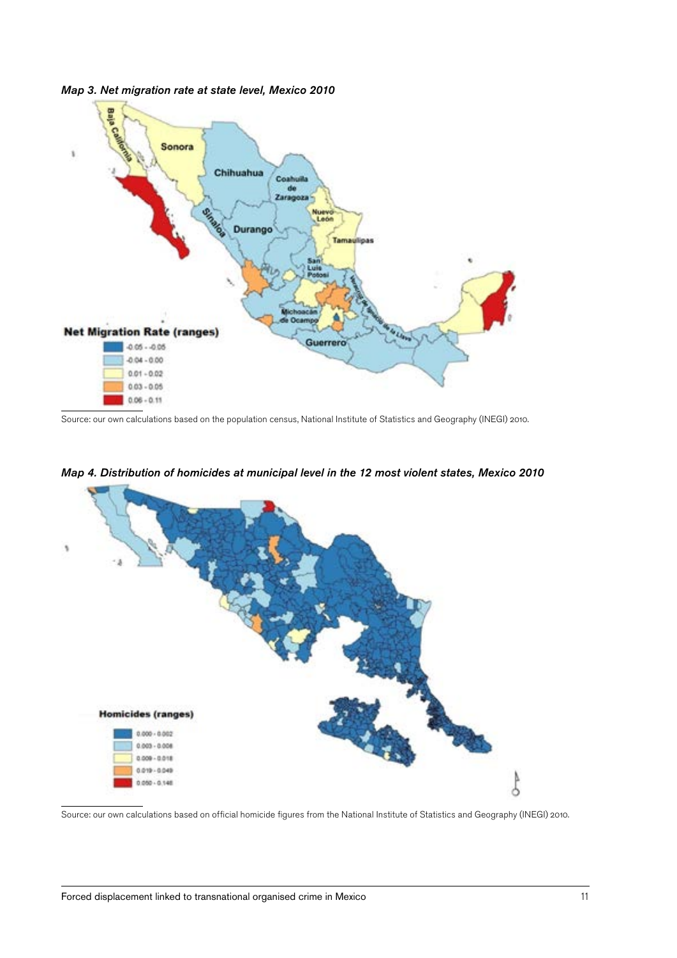

*Map 3. Net migration rate at state level, Mexico 2010*

Source: our own calculations based on the population census, National Institute of Statistics and Geography (INEGI) 2010.



#### *Map 4. Distribution of homicides at municipal level in the 12 most violent states, Mexico 2010*

Source: our own calculations based on official homicide figures from the National Institute of Statistics and Geography (INEGI) 2010.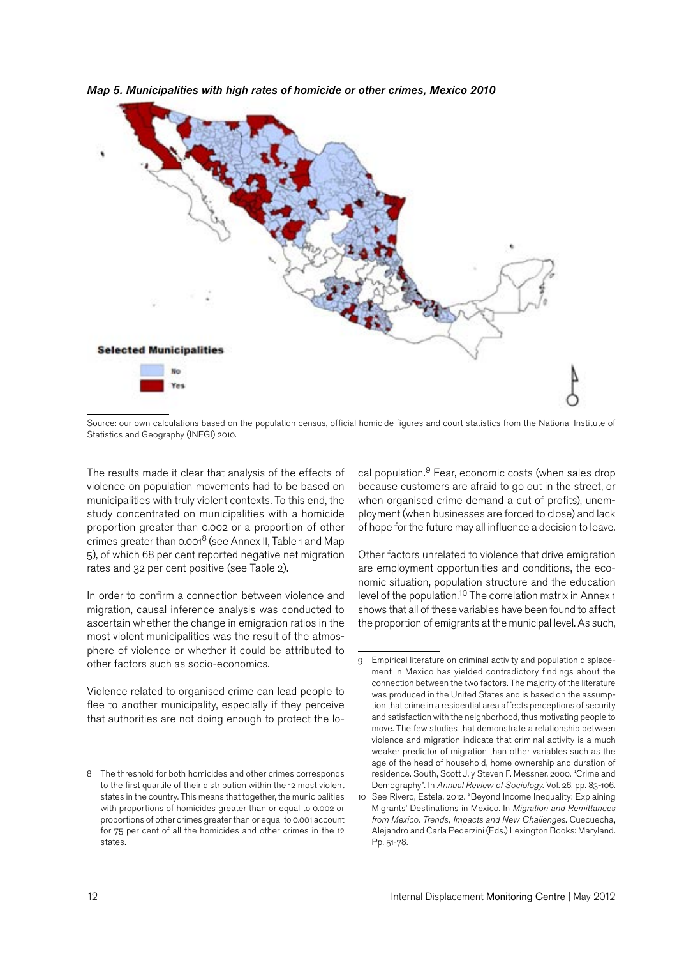

*Map 5. Municipalities with high rates of homicide or other crimes, Mexico 2010*

The results made it clear that analysis of the effects of violence on population movements had to be based on municipalities with truly violent contexts. To this end, the study concentrated on municipalities with a homicide proportion greater than 0.002 or a proportion of other crimes greater than 0.0018 (see Annex II, Table 1 and Map 5), of which 68 per cent reported negative net migration rates and 32 per cent positive (see Table 2).

In order to confirm a connection between violence and migration, causal inference analysis was conducted to ascertain whether the change in emigration ratios in the most violent municipalities was the result of the atmosphere of violence or whether it could be attributed to other factors such as socio-economics.

Violence related to organised crime can lead people to flee to another municipality, especially if they perceive that authorities are not doing enough to protect the lo-

cal population. 9 Fear, economic costs (when sales drop because customers are afraid to go out in the street, or when organised crime demand a cut of profits), unemployment (when businesses are forced to close) and lack of hope for the future may all influence a decision to leave.

Other factors unrelated to violence that drive emigration are employment opportunities and conditions, the economic situation, population structure and the education level of the population.<sup>10</sup> The correlation matrix in Annex 1 shows that all of these variables have been found to affect the proportion of emigrants at the municipal level. As such,

Source: our own calculations based on the population census, official homicide figures and court statistics from the National Institute of Statistics and Geography (INEGI) 2010.

<sup>8</sup> The threshold for both homicides and other crimes corresponds to the first quartile of their distribution within the 12 most violent states in the country. This means that together, the municipalities with proportions of homicides greater than or equal to 0.002 or proportions of other crimes greater than or equal to 0.001 account for 75 per cent of all the homicides and other crimes in the 12 states.

Empirical literature on criminal activity and population displacement in Mexico has yielded contradictory findings about the connection between the two factors. The majority of the literature was produced in the United States and is based on the assumption that crime in a residential area affects perceptions of security and satisfaction with the neighborhood, thus motivating people to move. The few studies that demonstrate a relationship between violence and migration indicate that criminal activity is a much weaker predictor of migration than other variables such as the age of the head of household, home ownership and duration of residence. South, Scott J. y Steven F. Messner. 2000. "Crime and Demography". In *Annual Review of Sociology*. Vol. 26, pp. 83-106.

<sup>10</sup> See Rivero, Estela. 2012. "Beyond Income Inequality: Explaining Migrants' Destinations in Mexico. In *Migration and Remittances from Mexico. Trends, Impacts and New Challenges*. Cuecuecha, Alejandro and Carla Pederzini (Eds.) Lexington Books: Maryland. Pp. 51-78.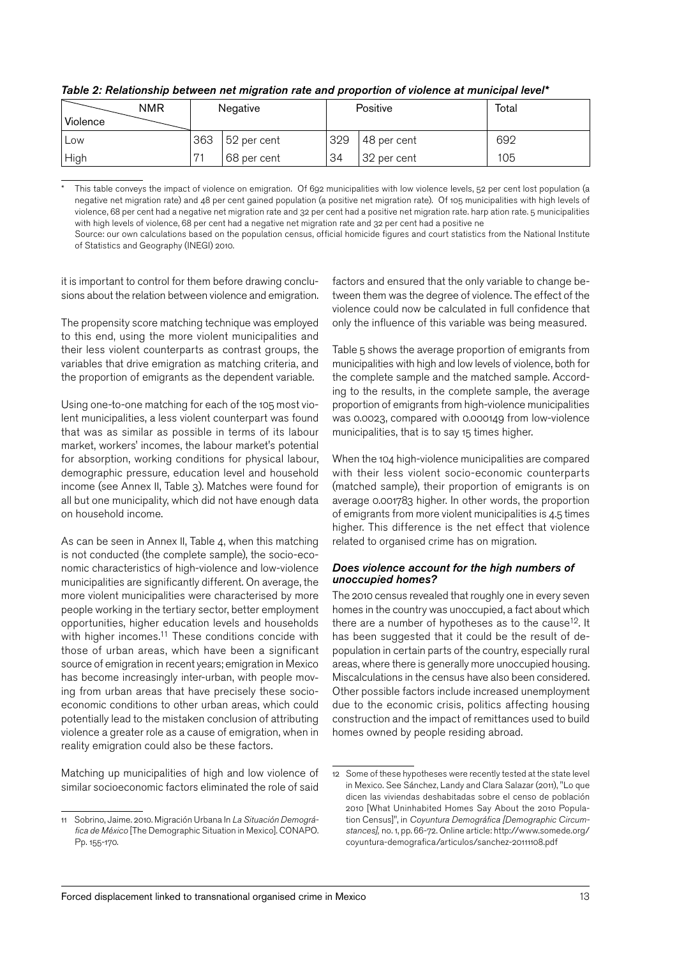| NMR<br>Violence |                           | Negative    |                   | Positive    | Total |
|-----------------|---------------------------|-------------|-------------------|-------------|-------|
| Low             | 363                       | 52 per cent | 329               | 48 per cent | 692   |
| High            | <b>D</b> -<br>68 per cent |             | 34<br>32 per cent |             | 105   |

*Table 2: Relationship between net migration rate and proportion of violence at municipal level\**

This table conveys the impact of violence on emigration. Of 692 municipalities with low violence levels, 52 per cent lost population (a negative net migration rate) and 48 per cent gained population (a positive net migration rate). Of 105 municipalities with high levels of violence, 68 per cent had a negative net migration rate and 32 per cent had a positive net migration rate. harp ation rate. 5 municipalities with high levels of violence, 68 per cent had a negative net migration rate and 32 per cent had a positive ne

Source: our own calculations based on the population census, official homicide figures and court statistics from the National Institute of Statistics and Geography (INEGI) 2010.

it is important to control for them before drawing conclusions about the relation between violence and emigration.

The propensity score matching technique was employed to this end, using the more violent municipalities and their less violent counterparts as contrast groups, the variables that drive emigration as matching criteria, and the proportion of emigrants as the dependent variable.

Using one-to-one matching for each of the 105 most violent municipalities, a less violent counterpart was found that was as similar as possible in terms of its labour market, workers' incomes, the labour market's potential for absorption, working conditions for physical labour, demographic pressure, education level and household income (see Annex II, Table 3). Matches were found for all but one municipality, which did not have enough data on household income.

As can be seen in Annex II, Table 4, when this matching is not conducted (the complete sample), the socio-economic characteristics of high-violence and low-violence municipalities are significantly different. On average, the more violent municipalities were characterised by more people working in the tertiary sector, better employment opportunities, higher education levels and households with higher incomes.<sup>11</sup> These conditions concide with those of urban areas, which have been a significant source of emigration in recent years; emigration in Mexico has become increasingly inter-urban, with people moving from urban areas that have precisely these socioeconomic conditions to other urban areas, which could potentially lead to the mistaken conclusion of attributing violence a greater role as a cause of emigration, when in reality emigration could also be these factors.

Matching up municipalities of high and low violence of similar socioeconomic factors eliminated the role of said

factors and ensured that the only variable to change between them was the degree of violence. The effect of the violence could now be calculated in full confidence that only the influence of this variable was being measured.

Table 5 shows the average proportion of emigrants from municipalities with high and low levels of violence, both for the complete sample and the matched sample. According to the results, in the complete sample, the average proportion of emigrants from high-violence municipalities was 0.0023, compared with 0.000149 from low-violence municipalities, that is to say 15 times higher.

When the 104 high-violence municipalities are compared with their less violent socio-economic counterparts (matched sample), their proportion of emigrants is on average 0.001783 higher. In other words, the proportion of emigrants from more violent municipalities is 4.5 times higher. This difference is the net effect that violence related to organised crime has on migration.

#### *Does violence account for the high numbers of unoccupied homes?*

The 2010 census revealed that roughly one in every seven homes in the country was unoccupied, a fact about which there are a number of hypotheses as to the cause<sup>12</sup>. It has been suggested that it could be the result of depopulation in certain parts of the country, especially rural areas, where there is generally more unoccupied housing. Miscalculations in the census have also been considered. Other possible factors include increased unemployment due to the economic crisis, politics affecting housing construction and the impact of remittances used to build homes owned by people residing abroad.

<sup>11</sup> Sobrino, Jaime. 2010. Migración Urbana In *La Situación Demográfica de México* [The Demographic Situation in Mexico]. CONAPO. Pp. 155-170.

<sup>12</sup> Some of these hypotheses were recently tested at the state level in Mexico. See Sánchez, Landy and Clara Salazar (2011), "Lo que dicen las viviendas deshabitadas sobre el censo de población 2010 [What Uninhabited Homes Say About the 2010 Population Census]", in *Coyuntura Demográfica [Demographic Circumstances],* no. 1, pp. 66-72. Online article: http://www.somede.org/ coyuntura-demografica/articulos/sanchez-20111108.pdf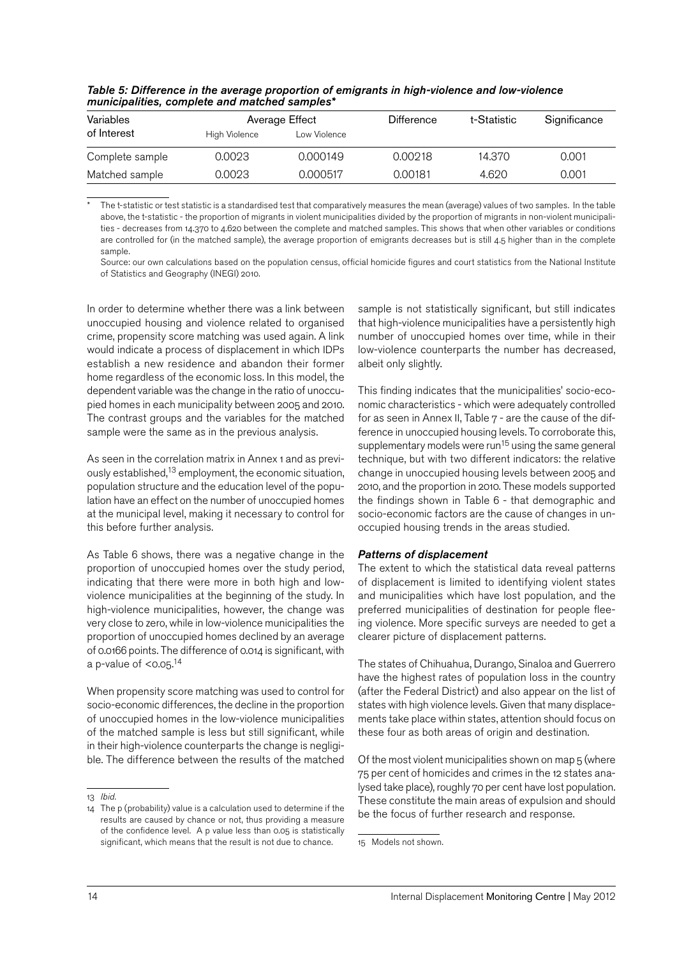| Variables       |               | Average Effect | <b>Difference</b> | t-Statistic | Significance |
|-----------------|---------------|----------------|-------------------|-------------|--------------|
| of Interest     | High Violence | Low Violence   |                   |             |              |
| Complete sample | 0.0023        | 0.000149       | 0.00218           | 14.370      | 0.001        |
| Matched sample  | 0.0023        | 0.000517       | 0.00181           | 4.620       | 0.001        |

*Table 5: Difference in the average proportion of emigrants in high-violence and low-violence municipalities, complete and matched samples\**

The t-statistic or test statistic is a standardised test that comparatively measures the mean (average) values of two samples. In the table above, the t-statistic - the proportion of migrants in violent municipalities divided by the proportion of migrants in non-violent municipalities - decreases from 14.370 to 4.620 between the complete and matched samples. This shows that when other variables or conditions are controlled for (in the matched sample), the average proportion of emigrants decreases but is still 4.5 higher than in the complete sample.

Source: our own calculations based on the population census, official homicide figures and court statistics from the National Institute of Statistics and Geography (INEGI) 2010.

In order to determine whether there was a link between unoccupied housing and violence related to organised crime, propensity score matching was used again. A link would indicate a process of displacement in which IDPs establish a new residence and abandon their former home regardless of the economic loss. In this model, the dependent variable was the change in the ratio of unoccupied homes in each municipality between 2005 and 2010. The contrast groups and the variables for the matched sample were the same as in the previous analysis.

As seen in the correlation matrix in Annex 1 and as previously established,<sup>13</sup> employment, the economic situation, population structure and the education level of the population have an effect on the number of unoccupied homes at the municipal level, making it necessary to control for this before further analysis.

As Table 6 shows, there was a negative change in the proportion of unoccupied homes over the study period, indicating that there were more in both high and lowviolence municipalities at the beginning of the study. In high-violence municipalities, however, the change was very close to zero, while in low-violence municipalities the proportion of unoccupied homes declined by an average of 0.0166 points. The difference of 0.014 is significant, with a p-value of <0.05.<sup>14</sup>

When propensity score matching was used to control for socio-economic differences, the decline in the proportion of unoccupied homes in the low-violence municipalities of the matched sample is less but still significant, while in their high-violence counterparts the change is negligible. The difference between the results of the matched sample is not statistically significant, but still indicates that high-violence municipalities have a persistently high number of unoccupied homes over time, while in their low-violence counterparts the number has decreased, albeit only slightly.

This finding indicates that the municipalities' socio-economic characteristics - which were adequately controlled for as seen in Annex II, Table 7 - are the cause of the difference in unoccupied housing levels. To corroborate this, supplementary models were run<sup>15</sup> using the same general technique, but with two different indicators: the relative change in unoccupied housing levels between 2005 and 2010, and the proportion in 2010. These models supported the findings shown in Table 6 - that demographic and socio-economic factors are the cause of changes in unoccupied housing trends in the areas studied.

#### *Patterns of displacement*

The extent to which the statistical data reveal patterns of displacement is limited to identifying violent states and municipalities which have lost population, and the preferred municipalities of destination for people fleeing violence. More specific surveys are needed to get a clearer picture of displacement patterns.

The states of Chihuahua, Durango, Sinaloa and Guerrero have the highest rates of population loss in the country (after the Federal District) and also appear on the list of states with high violence levels. Given that many displacements take place within states, attention should focus on these four as both areas of origin and destination.

Of the most violent municipalities shown on map 5 (where 75 per cent of homicides and crimes in the 12 states analysed take place), roughly 70 per cent have lost population. These constitute the main areas of expulsion and should be the focus of further research and response.

<sup>13</sup> *Ibid.*

<sup>14</sup> The p (probability) value is a calculation used to determine if the results are caused by chance or not, thus providing a measure of the confidence level. A p value less than 0.05 is statistically significant, which means that the result is not due to chance.

<sup>15</sup> Models not shown.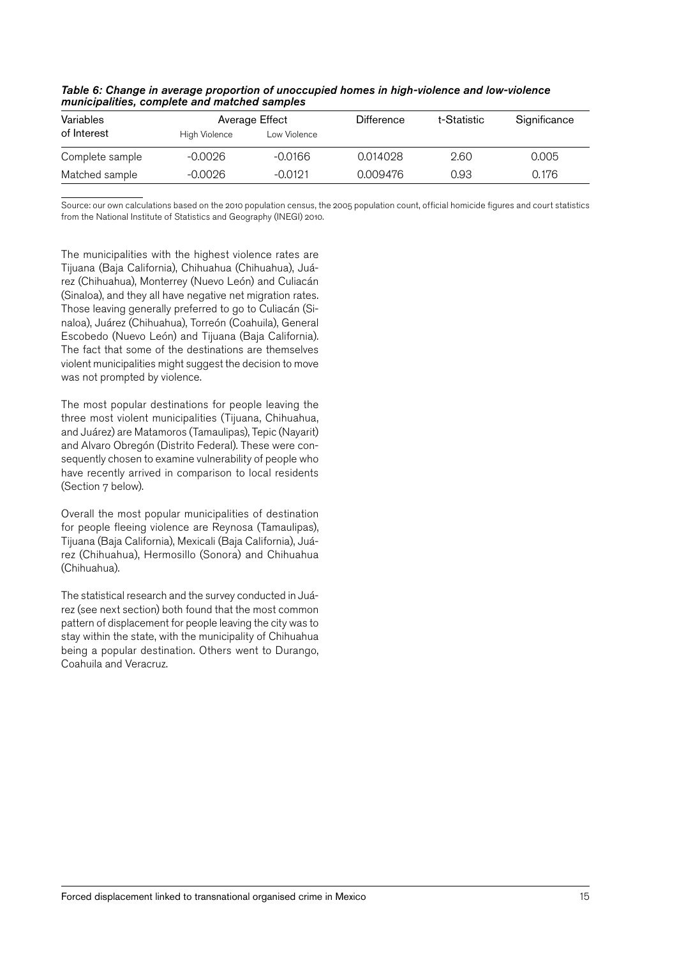| Variables       |               | Average Effect | <b>Difference</b> | t-Statistic | Significance |
|-----------------|---------------|----------------|-------------------|-------------|--------------|
| of Interest     | High Violence | Low Violence   |                   |             |              |
| Complete sample | -0.0026       | $-0.0166$      | 0.014028          | 2.60        | 0.005        |
| Matched sample  | -0.0026       | $-0.0191$      | 0.009476          | 0.93        | 0.176        |

| Table 6: Change in average proportion of unoccupied homes in high-violence and low-violence |  |
|---------------------------------------------------------------------------------------------|--|
| municipalities, complete and matched samples                                                |  |

Source: our own calculations based on the 2010 population census, the 2005 population count, official homicide figures and court statistics from the National Institute of Statistics and Geography (INEGI) 2010.

The municipalities with the highest violence rates are Tijuana (Baja California), Chihuahua (Chihuahua), Juárez (Chihuahua), Monterrey (Nuevo León) and Culiacán (Sinaloa), and they all have negative net migration rates. Those leaving generally preferred to go to Culiacán (Sinaloa), Juárez (Chihuahua), Torreón (Coahuila), General Escobedo (Nuevo León) and Tijuana (Baja California). The fact that some of the destinations are themselves violent municipalities might suggest the decision to move was not prompted by violence.

The most popular destinations for people leaving the three most violent municipalities (Tijuana, Chihuahua, and Juárez) are Matamoros (Tamaulipas), Tepic (Nayarit) and Alvaro Obregón (Distrito Federal). These were consequently chosen to examine vulnerability of people who have recently arrived in comparison to local residents (Section 7 below).

Overall the most popular municipalities of destination for people fleeing violence are Reynosa (Tamaulipas), Tijuana (Baja California), Mexicali (Baja California), Juárez (Chihuahua), Hermosillo (Sonora) and Chihuahua (Chihuahua).

The statistical research and the survey conducted in Juárez (see next section) both found that the most common pattern of displacement for people leaving the city was to stay within the state, with the municipality of Chihuahua being a popular destination. Others went to Durango, Coahuila and Veracruz.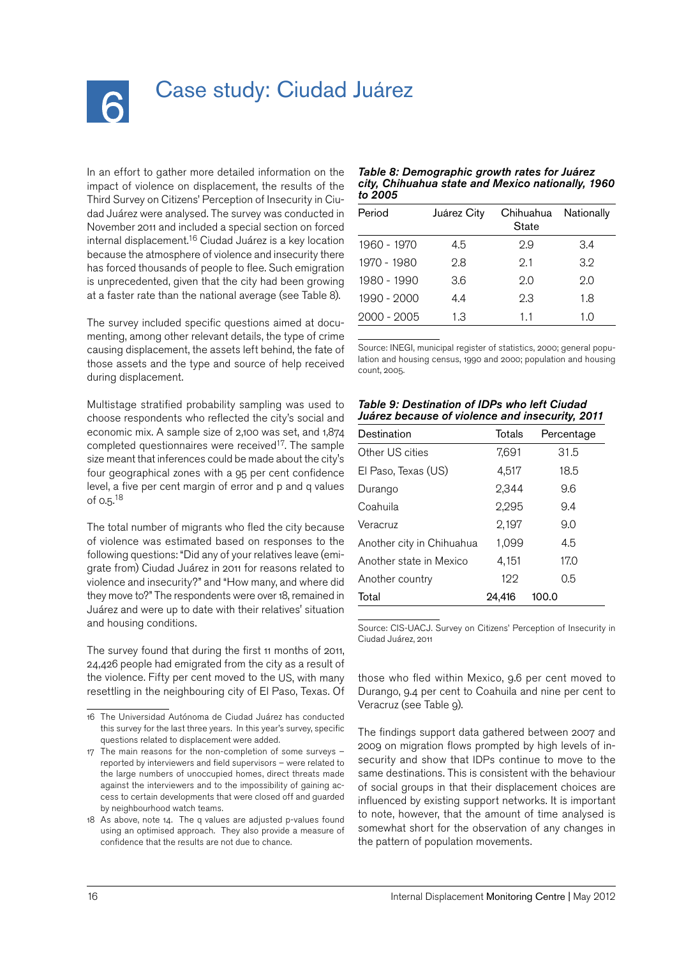<span id="page-15-0"></span>

## Case study: Ciudad Juárez

In an effort to gather more detailed information on the impact of violence on displacement, the results of the Third Survey on Citizens' Perception of Insecurity in Ciudad Juárez were analysed. The survey was conducted in November 2011 and included a special section on forced internal displacement. 16 Ciudad Juárez is a key location because the atmosphere of violence and insecurity there has forced thousands of people to flee. Such emigration is unprecedented, given that the city had been growing at a faster rate than the national average (see Table 8).

The survey included specific questions aimed at documenting, among other relevant details, the type of crime causing displacement, the assets left behind, the fate of those assets and the type and source of help received during displacement.

Multistage stratified probability sampling was used to choose respondents who reflected the city's social and economic mix. A sample size of 2,100 was set, and 1,874 completed questionnaires were received<sup>17</sup>. The sample size meant that inferences could be made about the city's four geographical zones with a 95 per cent confidence level, a five per cent margin of error and p and q values of 0.5.<sup>18</sup>

The total number of migrants who fled the city because of violence was estimated based on responses to the following questions: "Did any of your relatives leave (emigrate from) Ciudad Juárez in 2011 for reasons related to violence and insecurity?" and "How many, and where did they move to?" The respondents were over 18, remained in Juárez and were up to date with their relatives' situation and housing conditions.

The survey found that during the first 11 months of 2011, 24,426 people had emigrated from the city as a result of the violence. Fifty per cent moved to the US, with many resettling in the neighbouring city of El Paso, Texas. Of

#### *Table 8: Demographic growth rates for Juárez city, Chihuahua state and Mexico nationally, 1960 to 2005*

| Period      | Juárez City | Chihuahua<br>State | Nationally |
|-------------|-------------|--------------------|------------|
| 1960 - 1970 | 4.5         | 2.9                | 3.4        |
| 1970 - 1980 | 2.8         | 9.1                | 3.9        |
| 1980 - 1990 | 3.6         | 2.0                | 2.0        |
| 1990 - 2000 | 4.4         | 2.3                | 1.8        |
| 2000 - 2005 | 1.3         | 1.1                | 1.0        |

Source: INEGI, municipal register of statistics, 2000; general population and housing census, 1990 and 2000; population and housing count, 2005.

| Table 9: Destination of IDPs who left Ciudad    |  |
|-------------------------------------------------|--|
| Juárez because of violence and insecurity, 2011 |  |

| Destination               | Totals | Percentage |
|---------------------------|--------|------------|
| Other US cities           | 7,691  | 31.5       |
| El Paso, Texas (US)       | 4,517  | 18.5       |
| Durango                   | 2,344  | 9.6        |
| Coahuila                  | 2,295  | 9.4        |
| Veracruz                  | 2,197  | 9.0        |
| Another city in Chihuahua | 1,099  | 4.5        |
| Another state in Mexico   | 4,151  | 17.0       |
| Another country           | 199    | 0.5        |
| Total                     | 24.416 | 100.0      |

Source: CIS-UACJ. Survey on Citizens' Perception of Insecurity in Ciudad Juárez, 2011

those who fled within Mexico, 9.6 per cent moved to Durango, 9.4 per cent to Coahuila and nine per cent to Veracruz (see Table 9).

The findings support data gathered between 2007 and 2009 on migration flows prompted by high levels of insecurity and show that IDPs continue to move to the same destinations. This is consistent with the behaviour of social groups in that their displacement choices are influenced by existing support networks. It is important to note, however, that the amount of time analysed is somewhat short for the observation of any changes in the pattern of population movements.

<sup>16</sup> The Universidad Autónoma de Ciudad Juárez has conducted this survey for the last three years. In this year's survey, specific questions related to displacement were added.

<sup>17</sup> The main reasons for the non-completion of some surveys – reported by interviewers and field supervisors – were related to the large numbers of unoccupied homes, direct threats made against the interviewers and to the impossibility of gaining access to certain developments that were closed off and guarded by neighbourhood watch teams.

<sup>18</sup> As above, note 14. The q values are adjusted p-values found using an optimised approach. They also provide a measure of confidence that the results are not due to chance.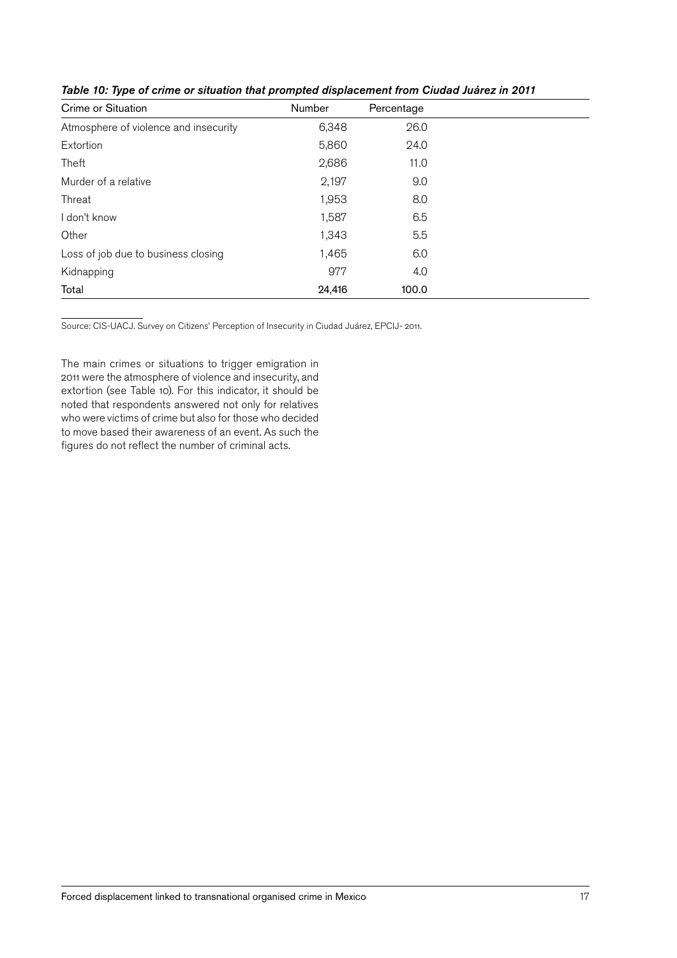| Crime or Situation                    | Number | Percentage |  |
|---------------------------------------|--------|------------|--|
| Atmosphere of violence and insecurity | 6,348  | 26.0       |  |
| Extortion                             | 5,860  | 24.0       |  |
| Theft                                 | 2,686  | 11.0       |  |
| Murder of a relative                  | 2,197  | 9.0        |  |
| Threat                                | 1,953  | 8.0        |  |
| I don't know                          | 1,587  | 6.5        |  |
| Other                                 | 1,343  | 5.5        |  |
| Loss of job due to business closing   | 1,465  | 6.0        |  |
| Kidnapping                            | 977    | 4.0        |  |
| Total                                 | 24,416 | 100.0      |  |

*Table 10: Type of crime or situation that prompted displacement from Ciudad Juárez in 2011*

Source: CIS-UACJ. Survey on Citizens' Perception of Insecurity in Ciudad Juárez, EPCIJ- 2011.

The main crimes or situations to trigger emigration in 2011 were the atmosphere of violence and insecurity, and extortion (see Table 10). For this indicator, it should be noted that respondents answered not only for relatives who were victims of crime but also for those who decided to move based their awareness of an event. As such the figures do not reflect the number of criminal acts.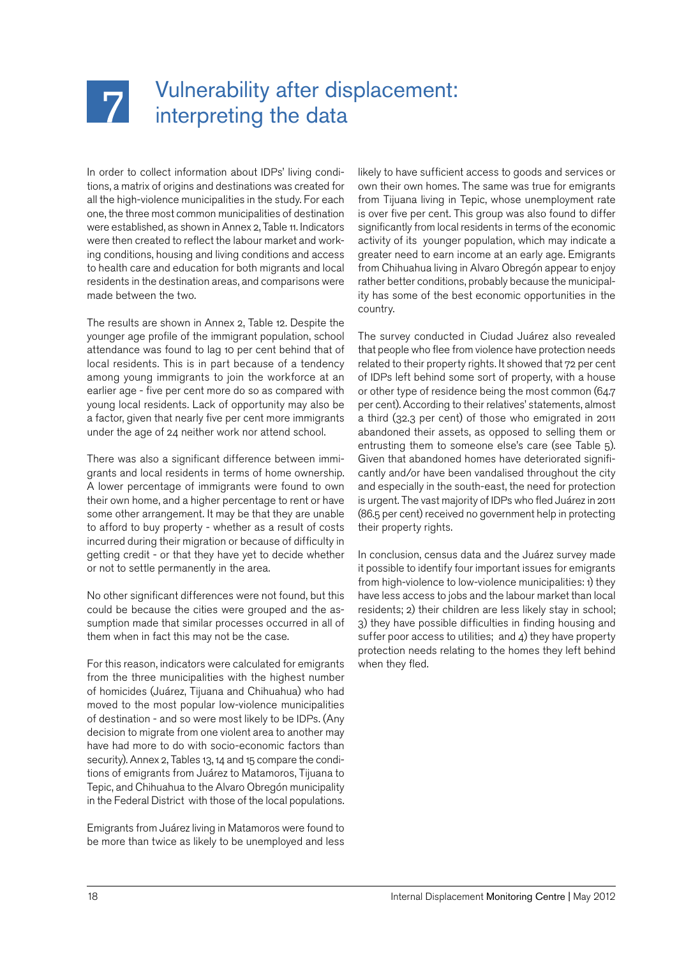<span id="page-17-0"></span>

## Vulnerability after displacement: interpreting the data

In order to collect information about IDPs' living conditions, a matrix of origins and destinations was created for all the high-violence municipalities in the study. For each one, the three most common municipalities of destination were established, as shown in Annex 2, Table 11. Indicators were then created to reflect the labour market and working conditions, housing and living conditions and access to health care and education for both migrants and local residents in the destination areas, and comparisons were made between the two.

The results are shown in Annex 2, Table 12. Despite the younger age profile of the immigrant population, school attendance was found to lag 10 per cent behind that of local residents. This is in part because of a tendency among young immigrants to join the workforce at an earlier age - five per cent more do so as compared with young local residents. Lack of opportunity may also be a factor, given that nearly five per cent more immigrants under the age of 24 neither work nor attend school.

There was also a significant difference between immigrants and local residents in terms of home ownership. A lower percentage of immigrants were found to own their own home, and a higher percentage to rent or have some other arrangement. It may be that they are unable to afford to buy property - whether as a result of costs incurred during their migration or because of difficulty in getting credit - or that they have yet to decide whether or not to settle permanently in the area.

No other significant differences were not found, but this could be because the cities were grouped and the assumption made that similar processes occurred in all of them when in fact this may not be the case.

For this reason, indicators were calculated for emigrants from the three municipalities with the highest number of homicides (Juárez, Tijuana and Chihuahua) who had moved to the most popular low-violence municipalities of destination - and so were most likely to be IDPs. (Any decision to migrate from one violent area to another may have had more to do with socio-economic factors than security). Annex 2, Tables 13, 14 and 15 compare the conditions of emigrants from Juárez to Matamoros, Tijuana to Tepic, and Chihuahua to the Alvaro Obregón municipality in the Federal District with those of the local populations.

Emigrants from Juárez living in Matamoros were found to be more than twice as likely to be unemployed and less likely to have sufficient access to goods and services or own their own homes. The same was true for emigrants from Tijuana living in Tepic, whose unemployment rate is over five per cent. This group was also found to differ significantly from local residents in terms of the economic activity of its younger population, which may indicate a greater need to earn income at an early age. Emigrants from Chihuahua living in Alvaro Obregón appear to enjoy rather better conditions, probably because the municipality has some of the best economic opportunities in the country.

The survey conducted in Ciudad Juárez also revealed that people who flee from violence have protection needs related to their property rights. It showed that 72 per cent of IDPs left behind some sort of property, with a house or other type of residence being the most common (64.7 per cent). According to their relatives' statements, almost a third (32.3 per cent) of those who emigrated in 2011 abandoned their assets, as opposed to selling them or entrusting them to someone else's care (see Table 5). Given that abandoned homes have deteriorated significantly and/or have been vandalised throughout the city and especially in the south-east, the need for protection is urgent. The vast majority of IDPs who fled Juárez in 2011 (86.5 per cent) received no government help in protecting their property rights.

In conclusion, census data and the Juárez survey made it possible to identify four important issues for emigrants from high-violence to low-violence municipalities: 1) they have less access to jobs and the labour market than local residents; 2) their children are less likely stay in school; 3) they have possible difficulties in finding housing and suffer poor access to utilities; and  $4$ ) they have property protection needs relating to the homes they left behind when they fled.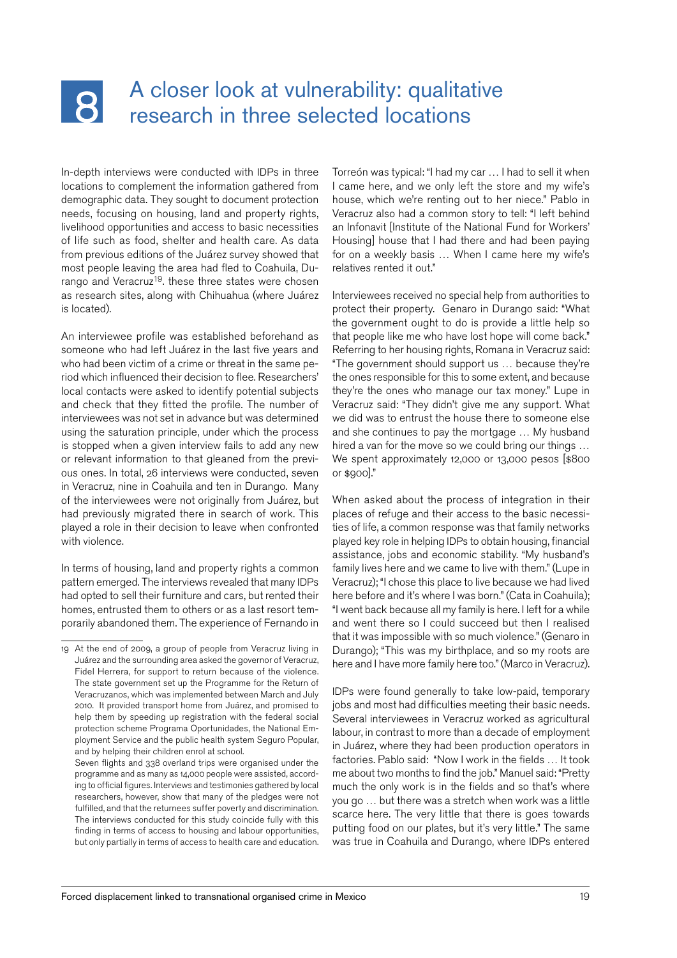## <span id="page-18-0"></span> $\mathbf{R}$

## A closer look at vulnerability: qualitative research in three selected locations

In-depth interviews were conducted with IDPs in three locations to complement the information gathered from demographic data. They sought to document protection needs, focusing on housing, land and property rights, livelihood opportunities and access to basic necessities of life such as food, shelter and health care. As data from previous editions of the Juárez survey showed that most people leaving the area had fled to Coahuila, Durango and Veracruz<sup>19</sup>. these three states were chosen as research sites, along with Chihuahua (where Juárez is located).

An interviewee profile was established beforehand as someone who had left Juárez in the last five years and who had been victim of a crime or threat in the same period which influenced their decision to flee. Researchers' local contacts were asked to identify potential subjects and check that they fitted the profile. The number of interviewees was not set in advance but was determined using the saturation principle, under which the process is stopped when a given interview fails to add any new or relevant information to that gleaned from the previous ones. In total, 26 interviews were conducted, seven in Veracruz, nine in Coahuila and ten in Durango. Many of the interviewees were not originally from Juárez, but had previously migrated there in search of work. This played a role in their decision to leave when confronted with violence.

In terms of housing, land and property rights a common pattern emerged. The interviews revealed that many IDPs had opted to sell their furniture and cars, but rented their homes, entrusted them to others or as a last resort temporarily abandoned them. The experience of Fernando in

Torreón was typical: "I had my car … I had to sell it when I came here, and we only left the store and my wife's house, which we're renting out to her niece." Pablo in Veracruz also had a common story to tell: "I left behind an Infonavit [Institute of the National Fund for Workers' Housing] house that I had there and had been paying for on a weekly basis … When I came here my wife's relatives rented it out."

Interviewees received no special help from authorities to protect their property. Genaro in Durango said: "What the government ought to do is provide a little help so that people like me who have lost hope will come back." Referring to her housing rights, Romana in Veracruz said: "The government should support us … because they're the ones responsible for this to some extent, and because they're the ones who manage our tax money." Lupe in Veracruz said: "They didn't give me any support. What we did was to entrust the house there to someone else and she continues to pay the mortgage … My husband hired a van for the move so we could bring our things … We spent approximately 12,000 or 13,000 pesos [\$800] or \$900]."

When asked about the process of integration in their places of refuge and their access to the basic necessities of life, a common response was that family networks played key role in helping IDPs to obtain housing, financial assistance, jobs and economic stability. "My husband's family lives here and we came to live with them." (Lupe in Veracruz); "I chose this place to live because we had lived here before and it's where I was born." (Cata in Coahuila); "I went back because all my family is here. I left for a while and went there so I could succeed but then I realised that it was impossible with so much violence." (Genaro in Durango); "This was my birthplace, and so my roots are here and I have more family here too." (Marco in Veracruz).

IDPs were found generally to take low-paid, temporary jobs and most had difficulties meeting their basic needs. Several interviewees in Veracruz worked as agricultural labour, in contrast to more than a decade of employment in Juárez, where they had been production operators in factories. Pablo said: "Now I work in the fields … It took me about two months to find the job." Manuel said: "Pretty much the only work is in the fields and so that's where you go … but there was a stretch when work was a little scarce here. The very little that there is goes towards putting food on our plates, but it's very little." The same was true in Coahuila and Durango, where IDPs entered

<sup>19</sup> At the end of 2009, a group of people from Veracruz living in Juárez and the surrounding area asked the governor of Veracruz, Fidel Herrera, for support to return because of the violence. The state government set up the Programme for the Return of Veracruzanos, which was implemented between March and July 2010. It provided transport home from Juárez, and promised to help them by speeding up registration with the federal social protection scheme Programa Oportunidades, the National Employment Service and the public health system Seguro Popular, and by helping their children enrol at school.

Seven flights and 338 overland trips were organised under the programme and as many as 14,000 people were assisted, according to official figures. Interviews and testimonies gathered by local researchers, however, show that many of the pledges were not fulfilled, and that the returnees suffer poverty and discrimination. The interviews conducted for this study coincide fully with this finding in terms of access to housing and labour opportunities, but only partially in terms of access to health care and education.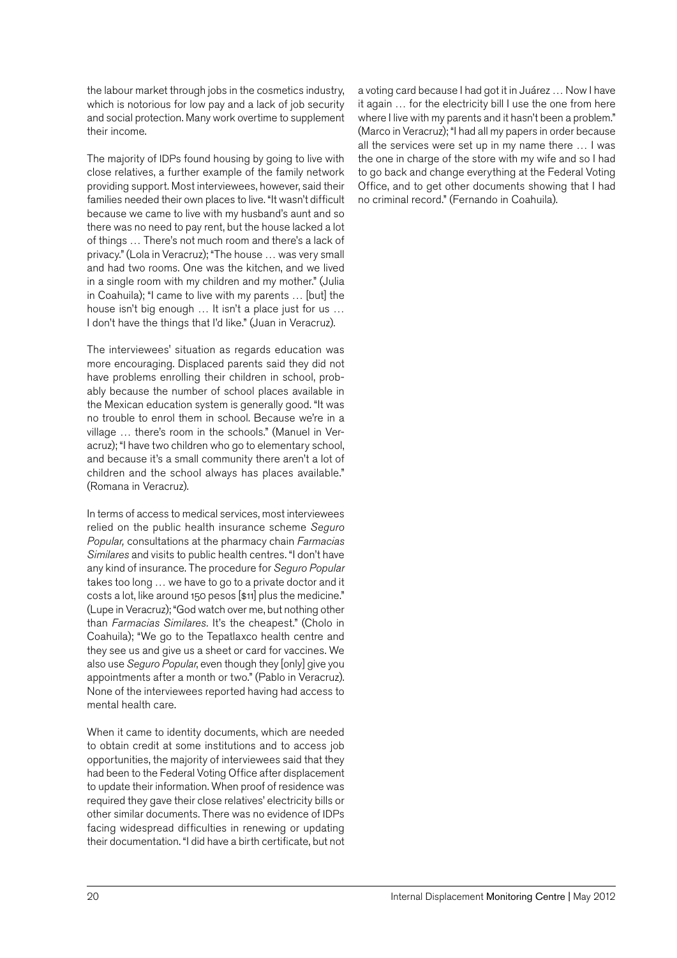the labour market through jobs in the cosmetics industry, which is notorious for low pay and a lack of job security and social protection. Many work overtime to supplement their income.

The majority of IDPs found housing by going to live with close relatives, a further example of the family network providing support. Most interviewees, however, said their families needed their own places to live. "It wasn't difficult because we came to live with my husband's aunt and so there was no need to pay rent, but the house lacked a lot of things … There's not much room and there's a lack of privacy." (Lola in Veracruz); "The house … was very small and had two rooms. One was the kitchen, and we lived in a single room with my children and my mother." (Julia in Coahuila); "I came to live with my parents … [but] the house isn't big enough … It isn't a place just for us … I don't have the things that I'd like." (Juan in Veracruz).

The interviewees' situation as regards education was more encouraging. Displaced parents said they did not have problems enrolling their children in school, probably because the number of school places available in the Mexican education system is generally good. "It was no trouble to enrol them in school. Because we're in a village … there's room in the schools." (Manuel in Veracruz); "I have two children who go to elementary school, and because it's a small community there aren't a lot of children and the school always has places available." (Romana in Veracruz).

In terms of access to medical services, most interviewees relied on the public health insurance scheme *Seguro Popular,* consultations at the pharmacy chain *Farmacias Similares* and visits to public health centres. "I don't have any kind of insurance. The procedure for *Seguro Popular* takes too long … we have to go to a private doctor and it costs a lot, like around 150 pesos [\$11] plus the medicine." (Lupe in Veracruz); "God watch over me, but nothing other than *Farmacias Similares.* It's the cheapest." (Cholo in Coahuila); "We go to the Tepatlaxco health centre and they see us and give us a sheet or card for vaccines. We also use *Seguro Popular*, even though they [only] give you appointments after a month or two." (Pablo in Veracruz). None of the interviewees reported having had access to mental health care.

When it came to identity documents, which are needed to obtain credit at some institutions and to access job opportunities, the majority of interviewees said that they had been to the Federal Voting Office after displacement to update their information. When proof of residence was required they gave their close relatives' electricity bills or other similar documents. There was no evidence of IDPs facing widespread difficulties in renewing or updating their documentation. "I did have a birth certificate, but not

a voting card because I had got it in Juárez … Now I have it again … for the electricity bill I use the one from here where I live with my parents and it hasn't been a problem." (Marco in Veracruz); "I had all my papers in order because all the services were set up in my name there … I was the one in charge of the store with my wife and so I had to go back and change everything at the Federal Voting Office, and to get other documents showing that I had no criminal record." (Fernando in Coahuila).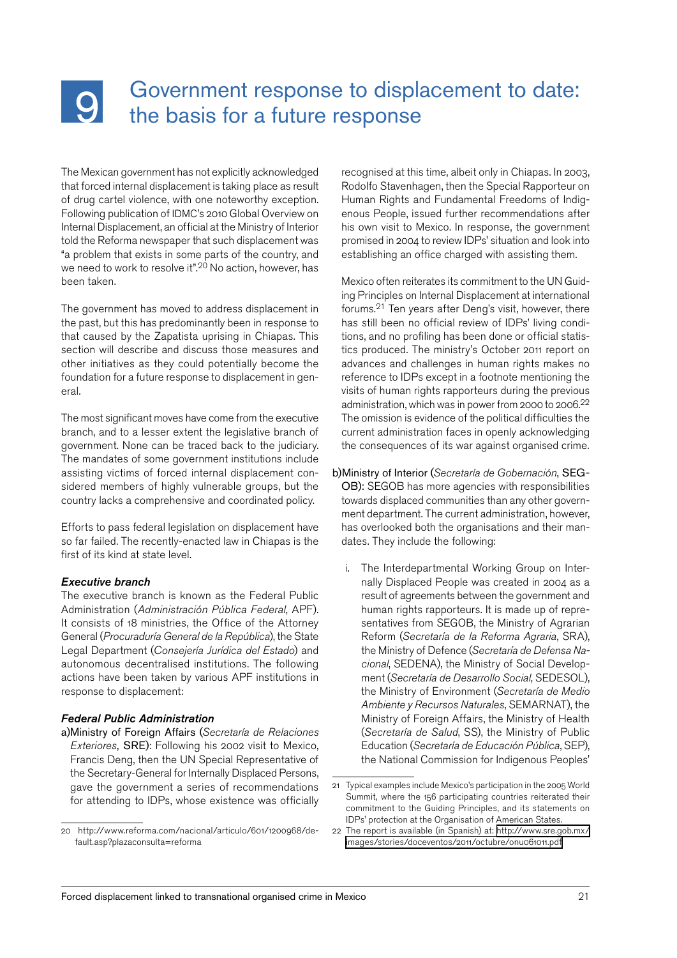# <span id="page-20-0"></span><u>| Q</u>

## Government response to displacement to date: the basis for a future response

The Mexican government has not explicitly acknowledged that forced internal displacement is taking place as result of drug cartel violence, with one noteworthy exception. Following publication of IDMC's 2010 Global Overview on Internal Displacement, an official at the Ministry of Interior told the Reforma newspaper that such displacement was "a problem that exists in some parts of the country, and we need to work to resolve it".<sup>20</sup> No action, however, has been taken.

The government has moved to address displacement in the past, but this has predominantly been in response to that caused by the Zapatista uprising in Chiapas. This section will describe and discuss those measures and other initiatives as they could potentially become the foundation for a future response to displacement in general.

The most significant moves have come from the executive branch, and to a lesser extent the legislative branch of government. None can be traced back to the judiciary. The mandates of some government institutions include assisting victims of forced internal displacement considered members of highly vulnerable groups, but the country lacks a comprehensive and coordinated policy.

Efforts to pass federal legislation on displacement have so far failed. The recently-enacted law in Chiapas is the first of its kind at state level.

#### *Executive branch*

The executive branch is known as the Federal Public Administration (*Administración Pública Federal*, APF). It consists of 18 ministries, the Office of the Attorney General (*Procuraduría General de la República*), the State Legal Department (*Consejería Jurídica del Estado*) and autonomous decentralised institutions. The following actions have been taken by various APF institutions in response to displacement:

#### *Federal Public Administration*

a)Ministry of Foreign Affairs (*Secretaría de Relaciones Exteriores*, SRE): Following his 2002 visit to Mexico, Francis Deng, then the UN Special Representative of the Secretary-General for Internally Displaced Persons, gave the government a series of recommendations for attending to IDPs, whose existence was officially

recognised at this time, albeit only in Chiapas. In 2003, Rodolfo Stavenhagen, then the Special Rapporteur on Human Rights and Fundamental Freedoms of Indigenous People, issued further recommendations after his own visit to Mexico. In response, the government promised in 2004 to review IDPs' situation and look into establishing an office charged with assisting them.

Mexico often reiterates its commitment to the UN Guiding Principles on Internal Displacement at international forums. 21 Ten years after Deng's visit, however, there has still been no official review of IDPs' living conditions, and no profiling has been done or official statistics produced. The ministry's October 2011 report on advances and challenges in human rights makes no reference to IDPs except in a footnote mentioning the visits of human rights rapporteurs during the previous administration, which was in power from 2000 to 2006.<sup>22</sup> The omission is evidence of the political difficulties the current administration faces in openly acknowledging the consequences of its war against organised crime.

#### b)Ministry of Interior (*Secretaría de Gobernación*, SEG-

OB): SEGOB has more agencies with responsibilities towards displaced communities than any other government department. The current administration, however, has overlooked both the organisations and their mandates. They include the following:

i. The Interdepartmental Working Group on Internally Displaced People was created in 2004 as a result of agreements between the government and human rights rapporteurs. It is made up of representatives from SEGOB, the Ministry of Agrarian Reform (*Secretaría de la Reforma Agraria*, SRA), the Ministry of Defence (*Secretaría de Defensa Nacional*, SEDENA), the Ministry of Social Development (*Secretaría de Desarrollo Social*, SEDESOL), the Ministry of Environment (*Secretaría de Medio Ambiente y Recursos Naturales*, SEMARNAT), the Ministry of Foreign Affairs, the Ministry of Health (*Secretaría de Salud*, SS), the Ministry of Public Education (*Secretaría de Educación Pública*, SEP), the National Commission for Indigenous Peoples'

<sup>20</sup> [http://www.reforma.com/nacional/articulo/601/1200968/de](http://www.reforma.com/nacional/articulo/601/1200968/default.asp?plazaconsulta=reforma)[fault.asp?plazaconsulta=reforma](http://www.reforma.com/nacional/articulo/601/1200968/default.asp?plazaconsulta=reforma)

<sup>21</sup> Typical examples include Mexico's participation in the 2005 World Summit, where the 156 participating countries reiterated their commitment to the Guiding Principles, and its statements on IDPs' protection at the Organisation of American States.

<sup>22</sup> The report is available (in Spanish) at: [http://www.sre.gob.mx/](http://www.sre.gob.mx/images/stories/doceventos/2011/octubre/onu061011.pdf) [images/stories/doceventos/2011/octubre/onu061011.pdf](http://www.sre.gob.mx/images/stories/doceventos/2011/octubre/onu061011.pdf)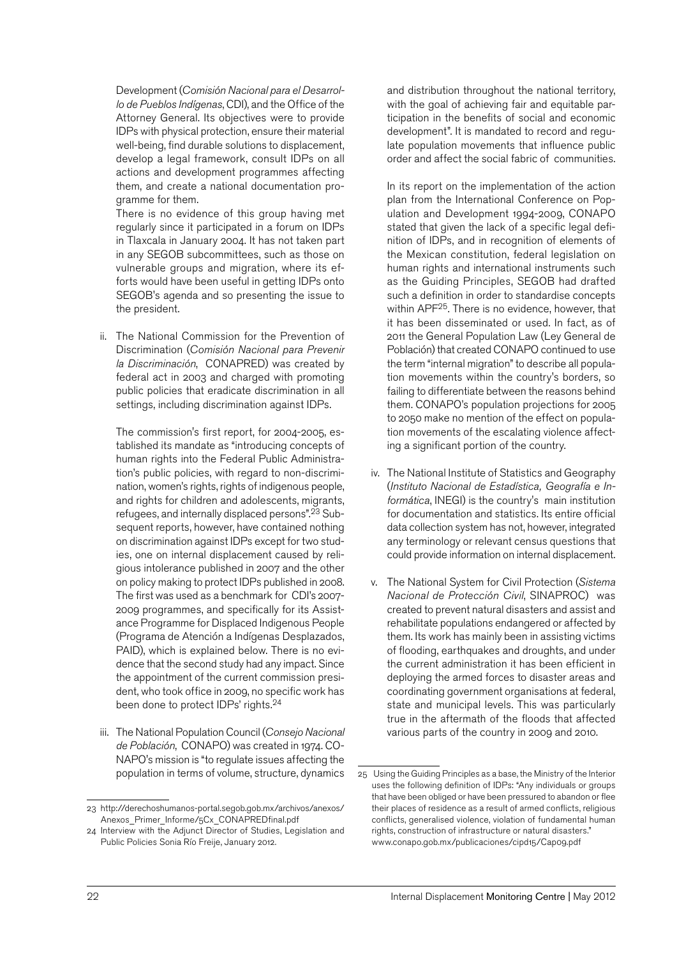Development (*Comisión Nacional para el Desarrollo de Pueblos Indígenas*, CDI), and the Office of the Attorney General. Its objectives were to provide IDPs with physical protection, ensure their material well-being, find durable solutions to displacement, develop a legal framework, consult IDPs on all actions and development programmes affecting them, and create a national documentation programme for them.

There is no evidence of this group having met regularly since it participated in a forum on IDPs in Tlaxcala in January 2004. It has not taken part in any SEGOB subcommittees, such as those on vulnerable groups and migration, where its efforts would have been useful in getting IDPs onto SEGOB's agenda and so presenting the issue to the president.

ii. The National Commission for the Prevention of Discrimination (*Comisión Nacional para Prevenir la Discriminación*, CONAPRED) was created by federal act in 2003 and charged with promoting public policies that eradicate discrimination in all settings, including discrimination against IDPs.

The commission's first report, for 2004-2005, established its mandate as "introducing concepts of human rights into the Federal Public Administration's public policies, with regard to non-discrimination, women's rights, rights of indigenous people, and rights for children and adolescents, migrants, refugees, and internally displaced persons".<sup>23</sup> Subsequent reports, however, have contained nothing on discrimination against IDPs except for two studies, one on internal displacement caused by religious intolerance published in 2007 and the other on policy making to protect IDPs published in 2008. The first was used as a benchmark for CDI's 2007- 2009 programmes, and specifically for its Assistance Programme for Displaced Indigenous People (Programa de Atención a Indígenas Desplazados, PAID), which is explained below. There is no evidence that the second study had any impact. Since the appointment of the current commission president, who took office in 2009, no specific work has been done to protect IDPs' rights.<sup>24</sup>

iii. The National Population Council (*Consejo Nacional de Población*, CONAPO) was created in 1974. CO-NAPO's mission is "to regulate issues affecting the population in terms of volume, structure, dynamics

and distribution throughout the national territory, with the goal of achieving fair and equitable participation in the benefits of social and economic development". It is mandated to record and regulate population movements that influence public order and affect the social fabric of communities.

In its report on the implementation of the action plan from the International Conference on Population and Development 1994-2009, CONAPO stated that given the lack of a specific legal definition of IDPs, and in recognition of elements of the Mexican constitution, federal legislation on human rights and international instruments such as the Guiding Principles, SEGOB had drafted such a definition in order to standardise concepts within APF<sup>25</sup>. There is no evidence, however, that it has been disseminated or used. In fact, as of 2011 the General Population Law (Ley General de Población) that created CONAPO continued to use the term "internal migration" to describe all population movements within the country's borders, so failing to differentiate between the reasons behind them. CONAPO's population projections for 2005 to 2050 make no mention of the effect on population movements of the escalating violence affecting a significant portion of the country.

- iv. The National Institute of Statistics and Geography (*Instituto Nacional de Estadística, Geografía e Informática*, INEGI) is the country's main institution for documentation and statistics. Its entire official data collection system has not, however, integrated any terminology or relevant census questions that could provide information on internal displacement.
- v. The National System for Civil Protection (*Sistema Nacional de Protección Civil*, SINAPROC) was created to prevent natural disasters and assist and rehabilitate populations endangered or affected by them. Its work has mainly been in assisting victims of flooding, earthquakes and droughts, and under the current administration it has been efficient in deploying the armed forces to disaster areas and coordinating government organisations at federal, state and municipal levels. This was particularly true in the aftermath of the floods that affected various parts of the country in 2009 and 2010.

<sup>23</sup> http://derechoshumanos-portal.segob.gob.mx/archivos/anexos/ Anexos\_Primer\_Informe/<sub>5</sub>Cx\_CONAPREDfinal.pdf

<sup>24</sup> Interview with the Adjunct Director of Studies, Legislation and Public Policies Sonia Río Freije, January 2012.

<sup>25</sup> Using the Guiding Principles as a base, the Ministry of the Interior uses the following definition of IDPs: "Any individuals or groups that have been obliged or have been pressured to abandon or flee their places of residence as a result of armed conflicts, religious conflicts, generalised violence, violation of fundamental human rights, construction of infrastructure or natural disasters." [www.conapo.gob.mx/publicaciones/cipd15/Cap09.pdf](http://www.conapo.gob.mx/publicaciones/cipd15/Cap09.pdf)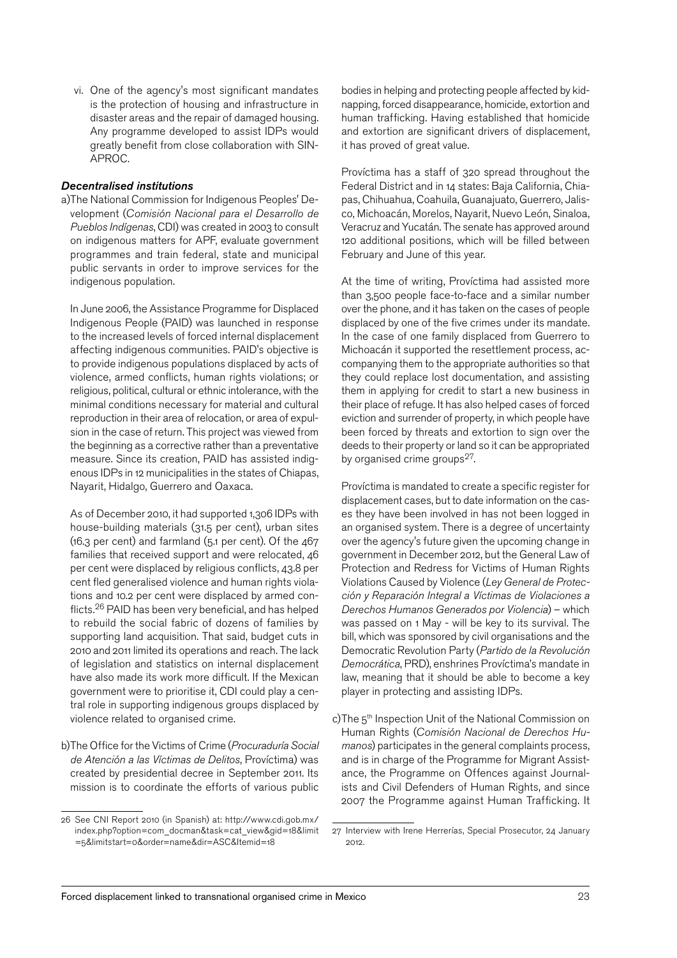vi. One of the agency's most significant mandates is the protection of housing and infrastructure in disaster areas and the repair of damaged housing. Any programme developed to assist IDPs would greatly benefit from close collaboration with SIN-APROC.

#### *Decentralised institutions*

a)The National Commission for Indigenous Peoples' Development (*Comisión Nacional para el Desarrollo de Pueblos Indígenas*, CDI) was created in 2003 to consult on indigenous matters for APF, evaluate government programmes and train federal, state and municipal public servants in order to improve services for the indigenous population.

In June 2006, the Assistance Programme for Displaced Indigenous People (PAID) was launched in response to the increased levels of forced internal displacement affecting indigenous communities. PAID's objective is to provide indigenous populations displaced by acts of violence, armed conflicts, human rights violations; or religious, political, cultural or ethnic intolerance, with the minimal conditions necessary for material and cultural reproduction in their area of relocation, or area of expulsion in the case of return. This project was viewed from the beginning as a corrective rather than a preventative measure. Since its creation, PAID has assisted indigenous IDPs in 12 municipalities in the states of Chiapas, Nayarit, Hidalgo, Guerrero and Oaxaca.

As of December 2010, it had supported 1,306 IDPs with house-building materials (31.5 per cent), urban sites (16.3 per cent) and farmland (5.1 per cent). Of the 467 families that received support and were relocated, 46 per cent were displaced by religious conflicts, 43.8 per cent fled generalised violence and human rights violations and 10.2 per cent were displaced by armed conflicts. 26 PAID has been very beneficial, and has helped to rebuild the social fabric of dozens of families by supporting land acquisition. That said, budget cuts in 2010 and 2011 limited its operations and reach. The lack of legislation and statistics on internal displacement have also made its work more difficult. If the Mexican government were to prioritise it, CDI could play a central role in supporting indigenous groups displaced by violence related to organised crime.

b)The Office for the Victims of Crime (*Procuraduría Social de Atención a las Víctimas de Delitos*, Províctima) was created by presidential decree in September 2011. Its mission is to coordinate the efforts of various public

bodies in helping and protecting people affected by kidnapping, forced disappearance, homicide, extortion and human trafficking. Having established that homicide and extortion are significant drivers of displacement, it has proved of great value.

Províctima has a staff of 320 spread throughout the Federal District and in 14 states: Baja California, Chiapas, Chihuahua, Coahuila, Guanajuato, Guerrero, Jalisco, Michoacán, Morelos, Nayarit, Nuevo León, Sinaloa, Veracruz and Yucatán. The senate has approved around 120 additional positions, which will be filled between February and June of this year.

At the time of writing, Províctima had assisted more than 3,500 people face-to-face and a similar number over the phone, and it has taken on the cases of people displaced by one of the five crimes under its mandate. In the case of one family displaced from Guerrero to Michoacán it supported the resettlement process, accompanying them to the appropriate authorities so that they could replace lost documentation, and assisting them in applying for credit to start a new business in their place of refuge. It has also helped cases of forced eviction and surrender of property, in which people have been forced by threats and extortion to sign over the deeds to their property or land so it can be appropriated by organised crime groups<sup>27</sup>.

Províctima is mandated to create a specific register for displacement cases, but to date information on the cases they have been involved in has not been logged in an organised system. There is a degree of uncertainty over the agency's future given the upcoming change in government in December 2012, but the General Law of Protection and Redress for Victims of Human Rights Violations Caused by Violence (*Ley General de Protección y Reparación Integral a Víctimas de Violaciones a Derechos Humanos Generados por Violencia*) – which was passed on 1 May - will be key to its survival. The bill, which was sponsored by civil organisations and the Democratic Revolution Party (*Partido de la Revolución Democrática*, PRD), enshrines Províctima's mandate in law, meaning that it should be able to become a key player in protecting and assisting IDPs.

c)The 5<sup>th</sup> Inspection Unit of the National Commission on Human Rights (*Comisión Nacional de Derechos Humanos*) participates in the general complaints process, and is in charge of the Programme for Migrant Assistance, the Programme on Offences against Journalists and Civil Defenders of Human Rights, and since 2007 the Programme against Human Trafficking. It

<sup>26</sup> See CNI Report 2010 (in Spanish) at: [http://www.cdi.gob.mx/](http://www.cdi.gob.mx/index.php?option=com_docman&task=cat_view&gid=18&limit=5&limitstart=0&order=name&dir=ASC&Itemid=18) [index.php?option=com\\_docman&task=cat\\_view&gid=18&limit](http://www.cdi.gob.mx/index.php?option=com_docman&task=cat_view&gid=18&limit=5&limitstart=0&order=name&dir=ASC&Itemid=18) [=5&limitstart=0&order=name&dir=ASC&Itemid=18](http://www.cdi.gob.mx/index.php?option=com_docman&task=cat_view&gid=18&limit=5&limitstart=0&order=name&dir=ASC&Itemid=18)

<sup>27</sup> Interview with Irene Herrerías, Special Prosecutor, 24 January 2012.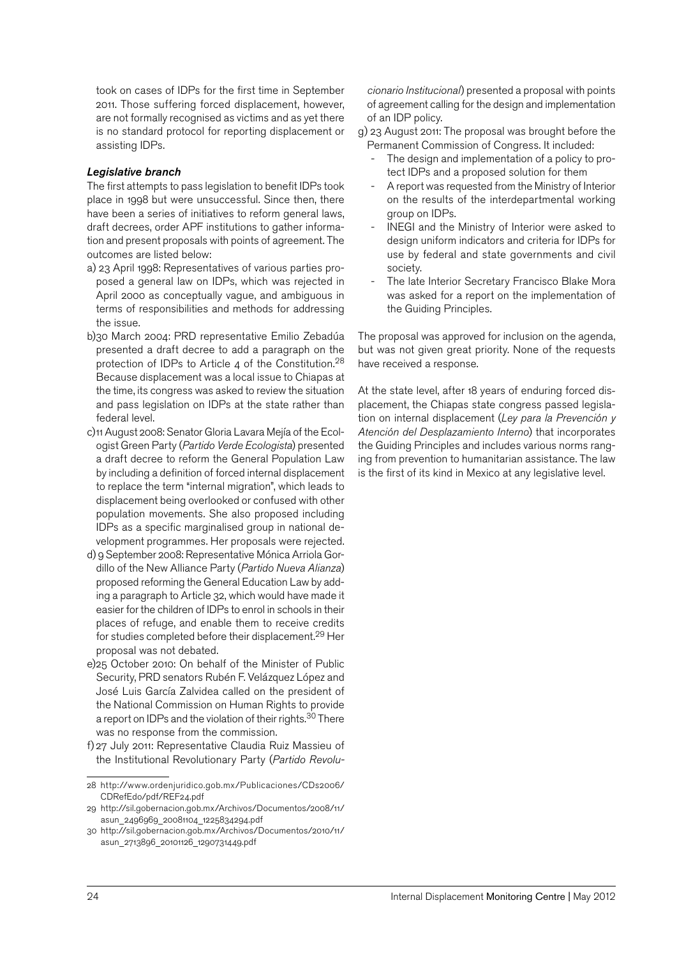took on cases of IDPs for the first time in September 2011. Those suffering forced displacement, however, are not formally recognised as victims and as yet there is no standard protocol for reporting displacement or assisting IDPs.

#### *Legislative branch*

The first attempts to pass legislation to benefit IDPs took place in 1998 but were unsuccessful. Since then, there have been a series of initiatives to reform general laws, draft decrees, order APF institutions to gather information and present proposals with points of agreement. The outcomes are listed below:

- a) 23 April 1998: Representatives of various parties proposed a general law on IDPs, which was rejected in April 2000 as conceptually vague, and ambiguous in terms of responsibilities and methods for addressing the issue.
- b)30 March 2004: PRD representative Emilio Zebadúa presented a draft decree to add a paragraph on the protection of IDPs to Article 4 of the Constitution. $^{28}$ Because displacement was a local issue to Chiapas at the time, its congress was asked to review the situation and pass legislation on IDPs at the state rather than federal level.
- c)11 August 2008: Senator Gloria Lavara Mejía of the Ecologist Green Party (*Partido Verde Ecologista*) presented a draft decree to reform the General Population Law by including a definition of forced internal displacement to replace the term "internal migration", which leads to displacement being overlooked or confused with other population movements. She also proposed including IDPs as a specific marginalised group in national development programmes. Her proposals were rejected.
- d) 9 September 2008: Representative Mónica Arriola Gordillo of the New Alliance Party (*Partido Nueva Alianza*) proposed reforming the General Education Law by adding a paragraph to Article 32, which would have made it easier for the children of IDPs to enrol in schools in their places of refuge, and enable them to receive credits for studies completed before their displacement. 29 Her proposal was not debated.
- e)25 October 2010: On behalf of the Minister of Public Security, PRD senators Rubén F. Velázquez López and José Luis García Zalvidea called on the president of the National Commission on Human Rights to provide a report on IDPs and the violation of their rights.<sup>30</sup> There was no response from the commission.
- f) 27 July 2011: Representative Claudia Ruiz Massieu of the Institutional Revolutionary Party (*Partido Revolu-*

*cionario Institucional*) presented a proposal with points of agreement calling for the design and implementation of an IDP policy.

g) 23 August 2011: The proposal was brought before the Permanent Commission of Congress. It included:

- The design and implementation of a policy to protect IDPs and a proposed solution for them
- A report was requested from the Ministry of Interior on the results of the interdepartmental working group on IDPs.
- INEGI and the Ministry of Interior were asked to design uniform indicators and criteria for IDPs for use by federal and state governments and civil society.
- The late Interior Secretary Francisco Blake Mora was asked for a report on the implementation of the Guiding Principles.

The proposal was approved for inclusion on the agenda, but was not given great priority. None of the requests have received a response.

At the state level, after 18 years of enduring forced displacement, the Chiapas state congress passed legislation on internal displacement (*Ley para la Prevención y Atención del Desplazamiento Interno*) that incorporates the Guiding Principles and includes various norms ranging from prevention to humanitarian assistance. The law is the first of its kind in Mexico at any legislative level.

<sup>28</sup> [http://www.ordenjuridico.gob.mx/Publicaciones/CDs2006/](http://www.ordenjuridico.gob.mx/Publicaciones/CDs2006/CDRefEdo/pdf/REF24.pdf) [CDRefEdo/pdf/REF24.pdf](http://www.ordenjuridico.gob.mx/Publicaciones/CDs2006/CDRefEdo/pdf/REF24.pdf)

<sup>29</sup> [http://sil.gobernacion.gob.mx/Archivos/Documentos/2008/11/](http://sil.gobernacion.gob.mx/Archivos/Documentos/2008/11/asun_2496969_20081104_1225834294.pdf) [asun\\_2496969\\_20081104\\_1225834294.pdf](http://sil.gobernacion.gob.mx/Archivos/Documentos/2008/11/asun_2496969_20081104_1225834294.pdf)

<sup>30</sup> [http://sil.gobernacion.gob.mx/Archivos/Documentos/2010/11/](http://sil.gobernacion.gob.mx/Archivos/Documentos/2010/11/asun_2713896_20101126_1290731449.pdf) [asun\\_2713896\\_20101126\\_1290731449.pdf](http://sil.gobernacion.gob.mx/Archivos/Documentos/2010/11/asun_2713896_20101126_1290731449.pdf)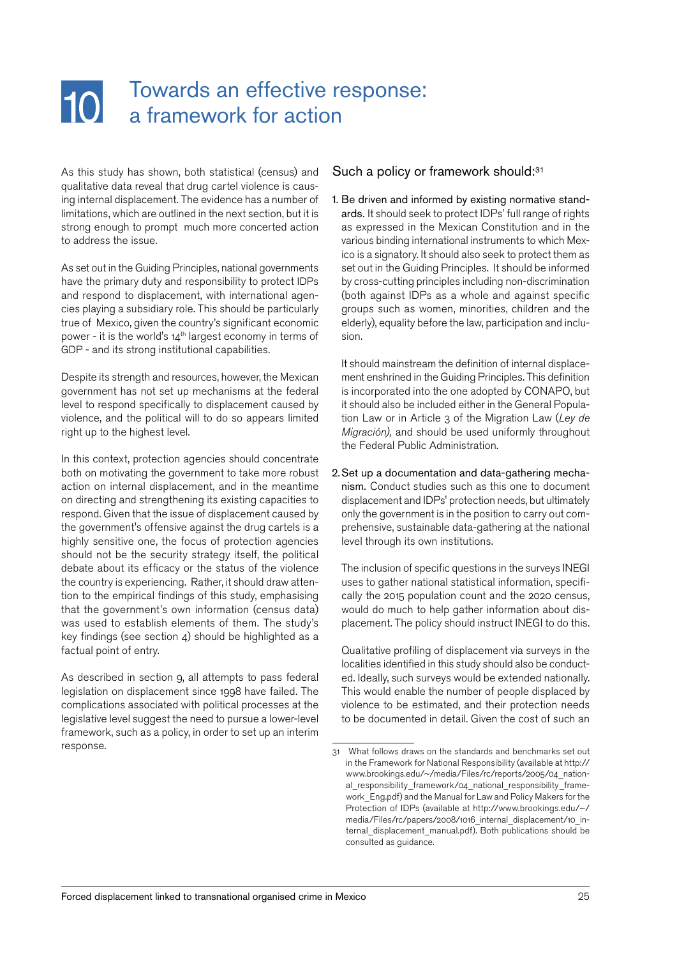#### <span id="page-24-0"></span>Towards an effective response:  $10<sup>1</sup>$ a framework for action

As this study has shown, both statistical (census) and qualitative data reveal that drug cartel violence is causing internal displacement. The evidence has a number of limitations, which are outlined in the next section, but it is strong enough to prompt much more concerted action to address the issue.

As set out in the Guiding Principles, national governments have the primary duty and responsibility to protect IDPs and respond to displacement, with international agencies playing a subsidiary role. This should be particularly true of Mexico, given the country's significant economic power - it is the world's  $14<sup>th</sup>$  largest economy in terms of GDP - and its strong institutional capabilities.

Despite its strength and resources, however, the Mexican government has not set up mechanisms at the federal level to respond specifically to displacement caused by violence, and the political will to do so appears limited right up to the highest level.

In this context, protection agencies should concentrate both on motivating the government to take more robust action on internal displacement, and in the meantime on directing and strengthening its existing capacities to respond. Given that the issue of displacement caused by the government's offensive against the drug cartels is a highly sensitive one, the focus of protection agencies should not be the security strategy itself, the political debate about its efficacy or the status of the violence the country is experiencing. Rather, it should draw attention to the empirical findings of this study, emphasising that the government's own information (census data) was used to establish elements of them. The study's key findings (see section 4) should be highlighted as a factual point of entry.

As described in section 9, all attempts to pass federal legislation on displacement since 1998 have failed. The complications associated with political processes at the legislative level suggest the need to pursue a lower-level framework, such as a policy, in order to set up an interim response.

#### Such a policy or framework should:<sup>31</sup>

1. Be driven and informed by existing normative standards. It should seek to protect IDPs' full range of rights as expressed in the Mexican Constitution and in the various binding international instruments to which Mexico is a signatory. It should also seek to protect them as set out in the Guiding Principles. It should be informed by cross-cutting principles including non-discrimination (both against IDPs as a whole and against specific groups such as women, minorities, children and the elderly), equality before the law, participation and inclusion.

It should mainstream the definition of internal displacement enshrined in the Guiding Principles. This definition is incorporated into the one adopted by CONAPO, but it should also be included either in the General Population Law or in Article 3 of the Migration Law (*Ley de Migración),* and should be used uniformly throughout the Federal Public Administration.

2.Set up a documentation and data-gathering mechanism. Conduct studies such as this one to document displacement and IDPs' protection needs, but ultimately only the government is in the position to carry out comprehensive, sustainable data-gathering at the national level through its own institutions.

The inclusion of specific questions in the surveys INEGI uses to gather national statistical information, specifically the 2015 population count and the 2020 census, would do much to help gather information about displacement. The policy should instruct INEGI to do this.

Qualitative profiling of displacement via surveys in the localities identified in this study should also be conducted. Ideally, such surveys would be extended nationally. This would enable the number of people displaced by violence to be estimated, and their protection needs to be documented in detail. Given the cost of such an

<sup>31</sup> What follows draws on the standards and benchmarks set out in the Framework for National Responsibility (available at [http://](http://www.brookings.edu/~/media/Files/rc/reports/2005/04_national_responsibility_framework/04_national_responsibility_framework_Eng.pdf) [www.brookings.edu/~/media/Files/rc/reports/2005/04\\_nation](http://www.brookings.edu/~/media/Files/rc/reports/2005/04_national_responsibility_framework/04_national_responsibility_framework_Eng.pdf)al responsibility framework/04 national responsibility frame[work\\_Eng.pdf\)](http://www.brookings.edu/~/media/Files/rc/reports/2005/04_national_responsibility_framework/04_national_responsibility_framework_Eng.pdf) and the Manual for Law and Policy Makers for the Protection of IDPs (available at [http://www.brookings.edu/~/](http://www.brookings.edu/~/media/Files/rc/papers/2008/1016_internal_displacement/10_internal_displacement_manual.pdf) [media/Files/rc/papers/2008/1016\\_internal\\_displacement/10\\_in](http://www.brookings.edu/~/media/Files/rc/papers/2008/1016_internal_displacement/10_internal_displacement_manual.pdf)[ternal\\_displacement\\_manual.pdf\)](http://www.brookings.edu/~/media/Files/rc/papers/2008/1016_internal_displacement/10_internal_displacement_manual.pdf). Both publications should be consulted as guidance.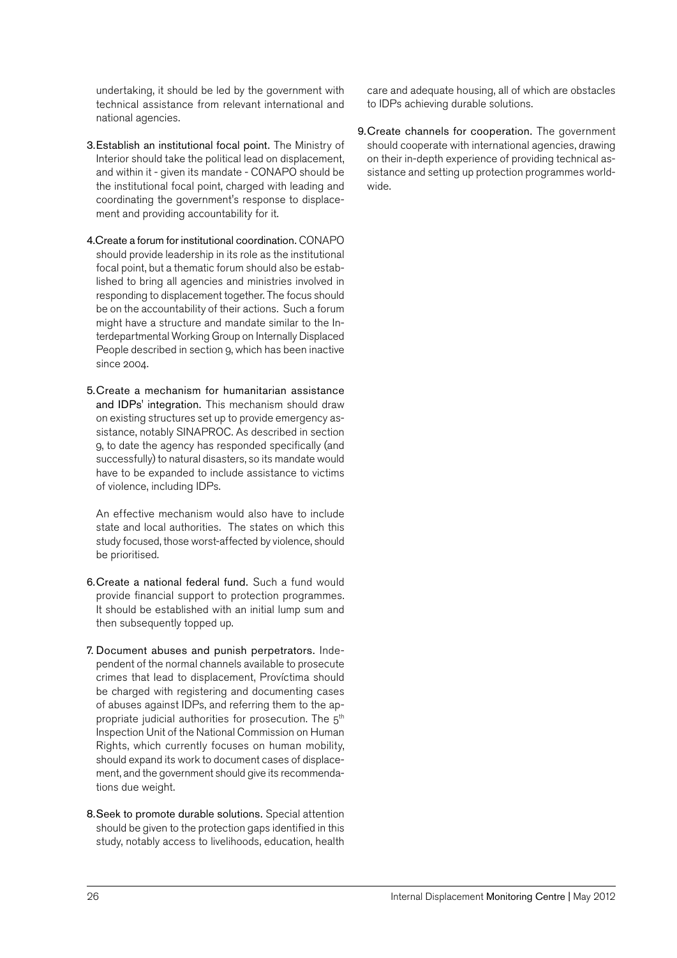undertaking, it should be led by the government with technical assistance from relevant international and national agencies.

- 3.Establish an institutional focal point. The Ministry of Interior should take the political lead on displacement, and within it - given its mandate - CONAPO should be the institutional focal point, charged with leading and coordinating the government's response to displacement and providing accountability for it.
- 4.Create a forum for institutional coordination. CONAPO should provide leadership in its role as the institutional focal point, but a thematic forum should also be established to bring all agencies and ministries involved in responding to displacement together. The focus should be on the accountability of their actions. Such a forum might have a structure and mandate similar to the Interdepartmental Working Group on Internally Displaced People described in section 9, which has been inactive since 2004.
- 5.Create a mechanism for humanitarian assistance and IDPs' integration. This mechanism should draw on existing structures set up to provide emergency assistance, notably SINAPROC. As described in section 9, to date the agency has responded specifically (and successfully) to natural disasters, so its mandate would have to be expanded to include assistance to victims of violence, including IDPs.

An effective mechanism would also have to include state and local authorities. The states on which this study focused, those worst-affected by violence, should be prioritised.

- 6.Create a national federal fund. Such a fund would provide financial support to protection programmes. It should be established with an initial lump sum and then subsequently topped up.
- 7. Document abuses and punish perpetrators. Independent of the normal channels available to prosecute crimes that lead to displacement, Províctima should be charged with registering and documenting cases of abuses against IDPs, and referring them to the appropriate judicial authorities for prosecution. The  $5<sup>th</sup>$ Inspection Unit of the National Commission on Human Rights, which currently focuses on human mobility, should expand its work to document cases of displacement, and the government should give its recommendations due weight.
- 8.Seek to promote durable solutions. Special attention should be given to the protection gaps identified in this study, notably access to livelihoods, education, health

care and adequate housing, all of which are obstacles to IDPs achieving durable solutions.

9.Create channels for cooperation. The government should cooperate with international agencies, drawing on their in-depth experience of providing technical assistance and setting up protection programmes worldwide.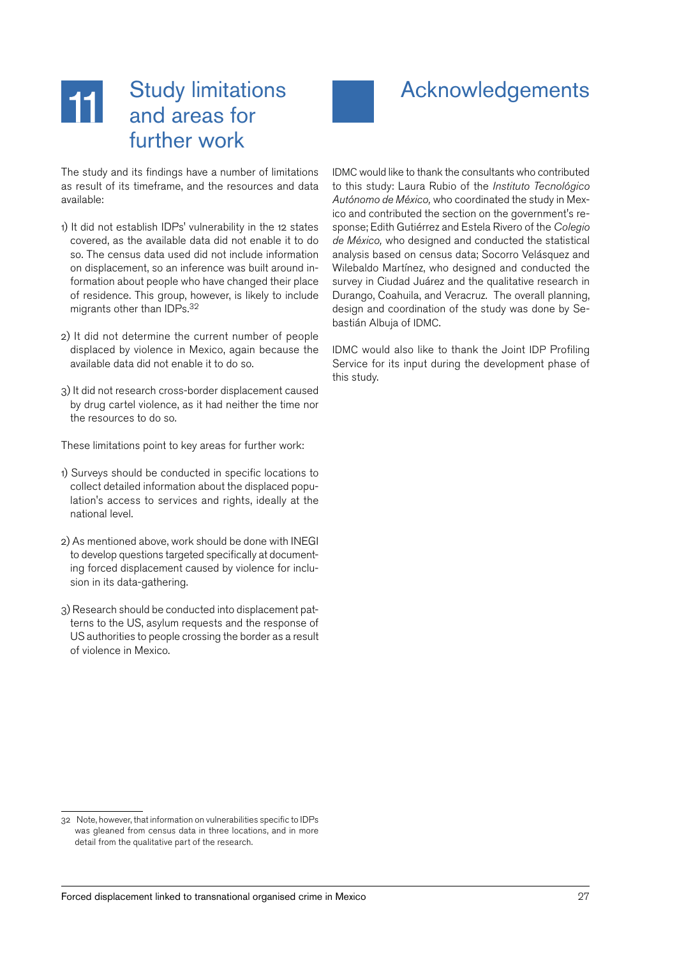#### <span id="page-26-0"></span>Study limitations **11** and areas for further work

## Acknowledgements

The study and its findings have a number of limitations as result of its timeframe, and the resources and data available:

- 1) It did not establish IDPs' vulnerability in the 12 states covered, as the available data did not enable it to do so. The census data used did not include information on displacement, so an inference was built around information about people who have changed their place of residence. This group, however, is likely to include migrants other than IDPs. 32
- 2) It did not determine the current number of people displaced by violence in Mexico, again because the available data did not enable it to do so.
- 3) It did not research cross-border displacement caused by drug cartel violence, as it had neither the time nor the resources to do so.

These limitations point to key areas for further work:

- 1) Surveys should be conducted in specific locations to collect detailed information about the displaced population's access to services and rights, ideally at the national level.
- 2) As mentioned above, work should be done with INEGI to develop questions targeted specifically at documenting forced displacement caused by violence for inclusion in its data-gathering.
- 3) Research should be conducted into displacement patterns to the US, asylum requests and the response of US authorities to people crossing the border as a result of violence in Mexico.

IDMC would like to thank the consultants who contributed to this study: Laura Rubio of the *Instituto Tecnológico Autónomo de México,* who coordinated the study in Mexico and contributed the section on the government's response; Edith Gutiérrez and Estela Rivero of the *Colegio de México,* who designed and conducted the statistical analysis based on census data; Socorro Velásquez and Wilebaldo Martínez, who designed and conducted the survey in Ciudad Juárez and the qualitative research in Durango, Coahuila, and Veracruz. The overall planning, design and coordination of the study was done by Sebastián Albuja of IDMC.

IDMC would also like to thank the Joint IDP Profiling Service for its input during the development phase of this study.

<sup>32</sup> Note, however, that information on vulnerabilities specific to IDPs was gleaned from census data in three locations, and in more detail from the qualitative part of the research.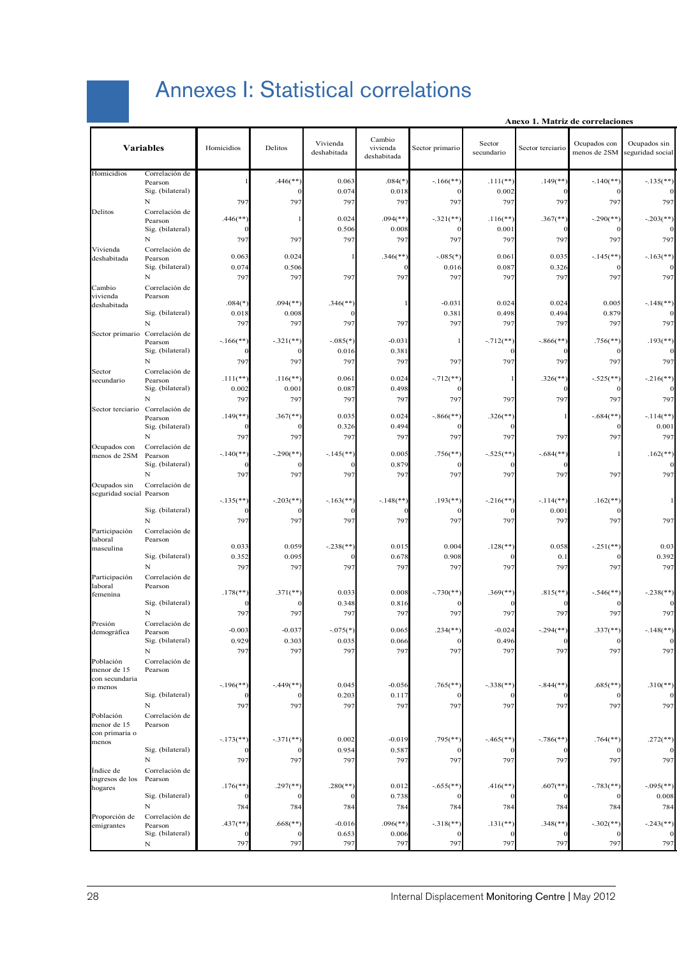## Annexes I: Statistical correlations

|  | Anexo 1. Matriz de correlaciones |  |
|--|----------------------------------|--|
|  |                                  |  |

<span id="page-27-0"></span>

|                                          | <b>Variables</b>                | Homicidios              | Delitos                  | Vivienda<br>deshabitada | Cambio<br>vivienda<br>deshabitada | Sector primario         | Sector<br>secundario    | Sector terciario        | Ocupados con<br>menos de 2SM | Ocupados sin<br>seguridad social |
|------------------------------------------|---------------------------------|-------------------------|--------------------------|-------------------------|-----------------------------------|-------------------------|-------------------------|-------------------------|------------------------------|----------------------------------|
| Homicidios                               | Correlación de<br>Pearson       |                         | $.446$ (**               | 0.063                   | $.084$ <sup>*</sup>               | $-166$ <sup>**</sup>    | $.111$ (**              | $.149$ <sup>**</sup>    | $-140$ (**                   | $-.135$ <sup>**</sup> )          |
|                                          | Sig. (bilateral)                |                         |                          | 0.074                   | 0.018                             |                         | 0.002                   |                         |                              |                                  |
|                                          | $\mathbf N$                     | 797                     | 797                      | 797                     | 797                               | 797                     | 797                     | 797                     | 797                          | 797                              |
| Delitos                                  | Correlación de<br>Pearson       | $.446$ (**)             |                          | 0.024                   | $.094$ (**                        | $-.321$ (**             | $.116$ <sup>**</sup> )  | $.367$ <sup>**</sup> )  | $-.290$ (**                  | $-.203$ <sup>**</sup>            |
|                                          | Sig. (bilateral)                |                         |                          | 0.506                   | 0.008                             |                         | 0.001                   |                         |                              |                                  |
|                                          | $\mathbf N$                     | 797                     | 797                      | 797                     | 797                               | 797                     | 797                     | 797                     | 79'                          | 797                              |
| Vivienda                                 | Correlación de                  | 0.063                   | 0.024                    | $\mathbf{1}$            | $.346$ (**                        | $-.085(*)$              | 0.061                   | 0.035                   | $-145$ <sup>**</sup>         | $-.163$ <sup>**</sup>            |
| deshabitada                              | Pearson<br>Sig. (bilateral)     | 0.074                   | 0.506                    |                         |                                   | 0.016                   | 0.087                   | 0.326                   |                              |                                  |
|                                          | $\mathbf N$                     | 797                     | 797                      | 797                     | 797                               | 797                     | 797                     | 797                     | 797                          | 797                              |
| Cambio                                   | Correlación de                  |                         |                          |                         |                                   |                         |                         |                         |                              |                                  |
| vivienda<br>deshabitada                  | Pearson                         | $.084$ <sup>(*)</sup>   | $.094$ <sup>(**)</sup> ) | $.346$ <sup>**</sup> )  |                                   | $-0.03$                 | 0.024                   | 0.024                   | 0.005                        | $-148$ <sup>**</sup> )           |
|                                          | Sig. (bilateral)                | 0.018                   | 0.008                    |                         |                                   | 0.38                    | 0.498                   | 0.494                   | 0.879                        |                                  |
|                                          | $\mathbf N$                     | 797                     | 797                      | 797                     | 797                               | 797                     | 797                     | 797                     | 797                          | 797                              |
| Sector primario                          | Correlación de                  | $-.166$ <sup>**</sup> ) | $-.321$ (**)             | $-.085(*)$              | $-0.031$                          |                         | $-.712$ <sup>**</sup> ) | $-.866$ <sup>**</sup> ) | $.756$ (**                   | $.193$ <sup>**</sup> )           |
|                                          | Pearson<br>Sig. (bilateral)     |                         |                          | 0.016                   | 0.381                             |                         |                         |                         |                              |                                  |
|                                          | $\mathbf N$                     | 797                     | 797                      | 797                     | 797                               | 797                     | 797                     | 797                     | 79'                          | 797                              |
| Sector                                   | Correlación de                  |                         |                          |                         |                                   |                         |                         |                         |                              |                                  |
| secundario                               | Pearson<br>Sig. (bilateral)     | $.111$ <sup>**</sup> )  | $.116$ <sup>**</sup> )   | 0.061                   | 0.024                             | $-.712$ (**             |                         | $.326$ <sup>**</sup> )  | $-.525$ (**)                 | $-.216$ <sup>**</sup>            |
|                                          | $\mathbf N$                     | 0.002<br>797            | 0.001<br>797             | 0.087<br>797            | 0.498<br>797                      | 797                     | 797                     | 797                     | 79'                          | 797                              |
|                                          | Sector terciario Correlación de |                         |                          |                         |                                   |                         |                         |                         |                              |                                  |
|                                          | Pearson                         | $.149$ <sup>**</sup> )  | $.367$ <sup>**</sup> )   | 0.035                   | 0.024                             | $-.866$ (**             | $.326$ <sup>**</sup>    |                         | $-.684$ <sup>**</sup> )      | $-114$ <sup>**</sup> )           |
|                                          | Sig. (bilateral)<br>$\mathbf N$ |                         |                          | 0.326                   | 0.494                             |                         |                         |                         |                              | 0.001                            |
| Ocupados con                             | Correlación de                  | 797                     | 797                      | 797                     | 797                               | 797                     | 797                     | 797                     | 79'                          | 797                              |
| menos de 2SM                             | Pearson                         | $-.140$ <sup>**</sup> ) | $-.290$ (**)             | $-.145$ <sup>**</sup> ) | 0.005                             | $.756$ (**              | $-.525$ (**             | $-.684$ <sup>**</sup>   |                              | $.162$ <sup>**</sup> )           |
|                                          | Sig. (bilateral)                |                         |                          |                         | 0.879                             |                         |                         |                         |                              |                                  |
|                                          | ${\bf N}$                       | 797                     | 797                      | 797                     | 797                               | 797                     | 797                     | 797                     | 797                          | 797                              |
| Ocupados sin<br>seguridad social Pearson | Correlación de                  |                         |                          |                         |                                   |                         |                         |                         |                              |                                  |
|                                          |                                 | $-.135$ <sup>**</sup>   | $-.203$ <sup>**</sup>    | $-.163$ <sup>**</sup> ) | $-.148$ <sup>**</sup> )           | $.193$ <sup>**</sup>    | $-.216$ <sup>**</sup>   | $-.114$ <sup>**</sup> ) | $.162$ (**                   |                                  |
|                                          | Sig. (bilateral)                |                         |                          |                         |                                   |                         |                         | 0.001                   |                              |                                  |
|                                          | $\mathbf N$                     | 797                     | 797                      | 797                     | 797                               | 797                     | 797                     | 797                     | 79'                          | 797                              |
| Participación<br>laboral                 | Correlación de<br>Pearson       |                         |                          |                         |                                   |                         |                         |                         |                              |                                  |
| masculina                                |                                 | 0.033                   | 0.059                    | $-.238$ (**             | 0.015                             | 0.004                   | $.128$ (**              | 0.058                   | $-.251$ (**                  | 0.03                             |
|                                          | Sig. (bilateral)                | 0.352                   | 0.095                    |                         | 0.678                             | 0.908                   |                         | 0.1                     |                              | 0.392                            |
|                                          | $\mathbf N$                     | 797                     | 797                      | 797                     | 797                               | 797                     | 797                     | 797                     | 79'                          | 797                              |
| Participación<br>laboral                 | Correlación de<br>Pearson       |                         |                          |                         |                                   |                         |                         |                         |                              |                                  |
| femenina                                 |                                 | $.178$ <sup>**</sup>    | $.371$ <sup>**</sup> )   | 0.033                   | 0.008                             | $-.730$ (**             | $.369$ <sup>(**)</sup>  | $.815$ <sup>**</sup> )  | $-.546$ <sup>**</sup> )      | $-.238$ <sup>**</sup> )          |
|                                          | Sig. (bilateral)                |                         |                          | 0.348                   | 0.816                             |                         |                         |                         |                              |                                  |
|                                          | $\mathbf N$                     | 797                     | 797                      | 797                     | 797                               | 797                     | 797                     | 797                     | 79'                          | 797                              |
| Presión<br>demográfica                   | Correlación de<br>Pearson       | $-0.003$                | $-0.037$                 | $-.075(*)$              | 0.065                             | $.234$ <sup>**</sup> )  | $-0.024$                | $-.294$ <sup>**</sup> ) | $.337$ <sup>(**)</sup>       | $-.148$ <sup>**</sup> )          |
|                                          | Sig. (bilateral)                | 0.929                   | 0.303                    | 0.035                   | 0.066                             |                         | 0.496                   |                         |                              |                                  |
|                                          | $\mathbf N$                     | 797                     | 797                      | 797                     | 797                               | 797                     | 797                     | 797                     | 797                          | 797                              |
| Población<br>menor de 15                 | Correlación de<br>Pearson       |                         |                          |                         |                                   |                         |                         |                         |                              |                                  |
| con secundaria                           |                                 |                         |                          |                         |                                   |                         |                         |                         |                              |                                  |
| o menos                                  |                                 | $-.196$ <sup>**</sup>   | $-.449$ <sup>**</sup> )  | 0.045                   | $-0.056$                          | $.765$ (**              | $-.338$ <sup>**</sup> ) | $-.844$ <sup>**</sup> ) | $.685$ (**                   | $.310(**)$                       |
|                                          | Sig. (bilateral)                |                         |                          | 0.203                   | 0.117                             |                         |                         |                         |                              |                                  |
| Población                                | $\mathbf N$<br>Correlación de   | 797                     | 797                      | 797                     | 797                               | 797                     | 797                     | 797                     | 797                          | 797                              |
| menor de 15                              | Pearson                         |                         |                          |                         |                                   |                         |                         |                         |                              |                                  |
| con primaria o                           |                                 |                         | $-.371$ (**)             | 0.002                   | $-0.019$                          |                         |                         |                         |                              |                                  |
| menos                                    | Sig. (bilateral)                | $-.173$ <sup>**</sup> ) |                          | 0.954                   | 0.587                             | $.795$ <sup>**</sup>    | $-.465$ <sup>**</sup> ) | $-.786$ <sup>**</sup> ) | $.764$ <sup>**</sup>         | $.272$ <sup>**</sup> )           |
|                                          | $\mathbf N$                     | 797                     | 797                      | 797                     | 797                               | 797                     | 797                     | 797                     | 797                          | 797                              |
| Indice de                                | Correlación de                  |                         |                          |                         |                                   |                         |                         |                         |                              |                                  |
| ingresos de los                          | Pearson                         |                         |                          |                         |                                   |                         |                         |                         |                              |                                  |
| hogares                                  | Sig. (bilateral)                | $.176$ <sup>**</sup> )  | $.297$ <sup>**</sup>     | $.280$ <sup>**</sup> )  | 0.012<br>0.738                    | $-.655(*$               | $.416$ <sup>**</sup> )  | $.607$ <sup>**</sup> )  | $-783$ <sup>**</sup>         | $-.095$ (**)<br>0.008            |
|                                          | $\mathbf N$                     | 784                     | 784                      | 784                     | 784                               | 784                     | 784                     | 784                     | 784                          | 784                              |
| Proporción de                            | Correlación de                  |                         |                          |                         |                                   |                         |                         |                         |                              |                                  |
| emigrantes                               | Pearson                         | $.437$ <sup>**</sup> )  | $.668$ <sup>**</sup> )   | $-0.016$                | $.096$ <sup>(**)</sup> )          | $-.318$ <sup>**</sup> ) | $.131$ <sup>**</sup> )  | $.348$ <sup>**</sup> )  | $-.302$ <sup>**</sup> )      | $-.243$ <sup>**</sup> )          |
|                                          | Sig. (bilateral)                |                         |                          | 0.653                   | 0.006                             |                         |                         |                         |                              |                                  |
|                                          | $\mathbf N$                     | 797                     | 797                      | 797                     | 797                               | 797                     | 797                     | 797                     | 797                          | 797                              |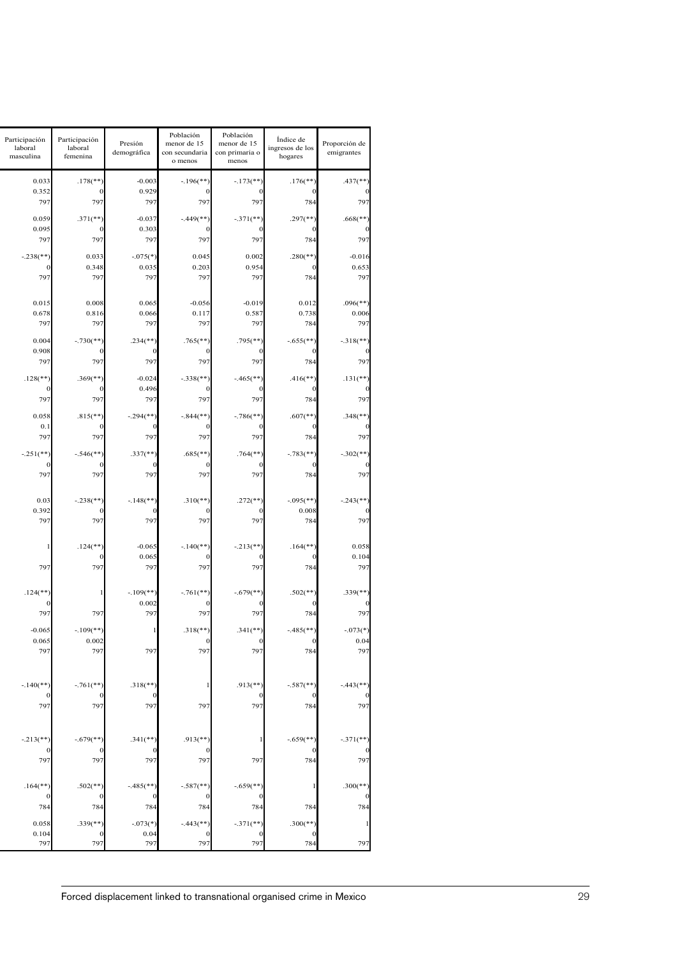| Participación<br>laboral<br>masculina | Participación<br>laboral<br>femenina               | Presión<br>demográfica                                  | Población<br>menor de 15<br>con secundaria<br>o menos | Población<br>menor de 15<br>con primaria o<br>menos | Índice de<br>ingresos de los<br>hogares | Proporción de<br>emigrantes    |
|---------------------------------------|----------------------------------------------------|---------------------------------------------------------|-------------------------------------------------------|-----------------------------------------------------|-----------------------------------------|--------------------------------|
|                                       | 0.033<br>0.352                                     | $.178$ <sup>**</sup> )<br>$-0.003$<br>0.929<br>$\Omega$ | $-.196$ <sup>**</sup>                                 | $-.173$ <sup>**</sup> )                             | $.176$ <sup>**</sup> )                  | $.437$ (**)                    |
|                                       | 797                                                | 797<br>797                                              | 797                                                   | 797                                                 | 784                                     | 797                            |
|                                       | 0.059<br>0.095                                     | $.371$ <sup>**</sup> )<br>$-0.037$<br>0.303<br>$\Omega$ | $-.449$ <sup>**</sup> )                               | $-.371$ (**)                                        | $.297$ <sup>**</sup> )                  | $.668$ <sup>**</sup> )         |
|                                       | 797<br>$-.238$ <sup>**</sup> )                     | 797<br>797<br>0.033<br>$-.075(*)$                       | 797<br>0.045                                          | 797<br>0.002                                        | 784<br>$.280$ (**)                      | 797<br>$-0.016$                |
|                                       | 797                                                | 0.348<br>0.035<br>797<br>797                            | 0.203<br>797                                          | 0.954<br>797                                        | 784                                     | 0.653<br>797                   |
|                                       |                                                    |                                                         |                                                       |                                                     |                                         |                                |
|                                       | 0.015<br>0.678                                     | 0.008<br>0.065<br>0.816<br>0.066                        | $-0.056$<br>0.117                                     | $-0.019$<br>0.587                                   | 0.012<br>0.738                          | $.096$ (**)<br>0.006           |
|                                       | 797<br>$-.730$ <sup>**</sup> )<br>0.004            | 797<br>797<br>$.234$ <sup>**</sup> )                    | 797<br>$.765$ <sup>**</sup> )                         | 797<br>$.795$ <sup>**</sup> )                       | 784<br>$-.655$ (**)                     | 797<br>$-.318$ <sup>**</sup> ) |
|                                       | 0.908<br>797                                       | 797<br>797                                              | 797                                                   | 797                                                 | 784                                     | 797                            |
|                                       | $.128$ <sup>**</sup> )                             | $.369$ <sup>**</sup> )<br>$-0.024$                      | $-.338$ <sup>**</sup> )                               | $-.465$ <sup>**</sup> )                             | $.416$ <sup>**</sup> )                  | $.131$ <sup>**</sup> )         |
|                                       | 797                                                | 0.496<br>797<br>797                                     | 797                                                   | 797                                                 | 784                                     | 797                            |
|                                       | 0.058<br>0.1                                       | $.815$ <sup>**</sup> )<br>$-.294$ <sup>**</sup> )       | $-.844$ <sup>**</sup> )                               | $-.786$ <sup>**</sup> )                             | $.607$ <sup>**</sup> )                  | $.348$ <sup>**</sup> )         |
|                                       | 797                                                | 797<br>797                                              | 797                                                   | 797                                                 | 784                                     | 797                            |
|                                       | $-.251$ (**)                                       | $-.546$ <sup>**</sup> )<br>$.337$ <sup>**</sup> )       | $.685$ <sup>**</sup> )                                | $.764$ <sup>**</sup> )                              | $-.783$ <sup>**</sup> )                 | $-.302$ <sup>**</sup> )        |
|                                       | 797                                                | 797<br>797                                              | 797                                                   | 797                                                 | 784                                     | 797                            |
|                                       | 0.03<br>$-.238$ <sup>**</sup> )                    | $-.148$ <sup>**</sup> )                                 | $.310$ (**)                                           | $.272$ <sup>**</sup> )                              | $-.095$ <sup>**</sup> )                 | $-.243$ <sup>**</sup> )        |
|                                       | 0.392<br>797                                       | 797<br>797                                              | 797                                                   | 797                                                 | 0.008<br>784                            | 797                            |
|                                       |                                                    | $.124$ <sup>**</sup> )<br>$-0.065$                      | $-.140$ <sup>**</sup> )                               | $-.213$ <sup>**</sup> )                             | $.164$ <sup>**</sup> )                  | 0.058                          |
|                                       | 797                                                | 0.065<br>797<br>797                                     | 797                                                   | 797                                                 | 784                                     | 0.104<br>797                   |
|                                       | $.124$ <sup>**</sup> )                             | $-.109$ <sup>**</sup> )<br>$\mathbf{1}$                 | $-.761$ <sup>**</sup> )                               | $-.679$ <sup>**</sup> )                             | $.502$ <sup>**</sup> )                  | $.339$ (**)                    |
|                                       | 797                                                | 0.002<br>797<br>797                                     | 797                                                   | 797                                                 | 784                                     | 797                            |
|                                       | $-0.065$<br>0.065                                  | $-109$ <sup>**</sup> )<br>0.002                         | $.318$ <sup>**</sup> )                                | $.341$ (**)                                         | $-.485$ <sup>**</sup> )                 | $-.073(*)$<br>0.04             |
|                                       | 797                                                | 797<br>797                                              | 797                                                   | 797                                                 | 784                                     | 797                            |
|                                       | $-.140$ <sup>**</sup> )<br>$-.761$ <sup>**</sup> ) | $.318$ <sup>**</sup> )                                  |                                                       | $.913$ <sup>**</sup> )                              | $-.587$ <sup>**</sup> )                 | $-443$ <sup>**</sup>           |
|                                       | 797                                                | 797<br>797                                              | 797                                                   | 797                                                 | 784                                     | 797                            |
|                                       |                                                    |                                                         |                                                       |                                                     |                                         |                                |
|                                       | $-.679$ <sup>**</sup> )<br>$-.213$ <sup>**</sup> ) | $.341$ (**)                                             | $.913$ <sup>**</sup> )                                |                                                     | $-.659$ <sup>**</sup> )                 | $-.371$ <sup>**</sup> )        |
|                                       | 797                                                | 797<br>797                                              | 797                                                   | 797                                                 | 784                                     | 797                            |
|                                       | $.164$ <sup>**</sup> )                             | $.502$ (**)<br>$-.485$ <sup>**</sup> )                  | $-.587$ <sup>**</sup> )                               | $-.659$ <sup>**</sup> )                             |                                         | $.300$ (**)                    |
|                                       | 784                                                | 784<br>784                                              | 784                                                   | 784                                                 | 784                                     | 784                            |
|                                       | 0.058<br>0.104                                     | $.339$ (**)<br>$-.073(*)$<br>0.04                       | $-.443$ <sup>**</sup> )                               | $-.371$ <sup>**</sup> )                             | $.300$ (**)                             |                                |
|                                       | 797                                                | 797<br>797                                              | 79                                                    | 797                                                 | 784                                     | 797                            |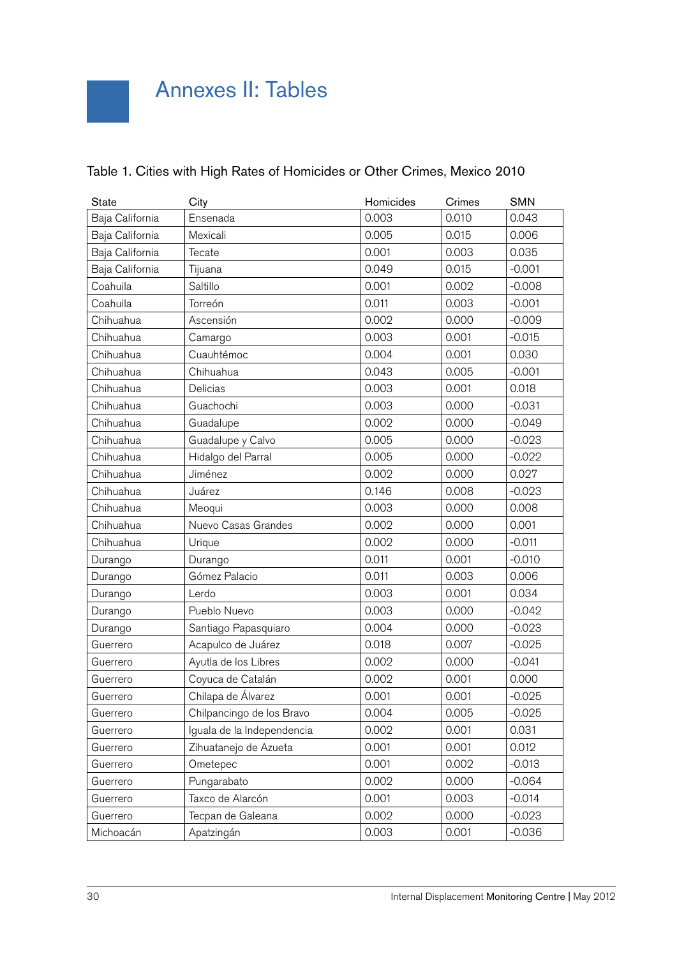| <b>State</b>    | City                       | Homicides | Crimes | <b>SMN</b> |
|-----------------|----------------------------|-----------|--------|------------|
| Baja California | Ensenada                   | 0.003     | 0.010  | 0.043      |
| Baja California | Mexicali                   | 0.005     | 0.015  | 0.006      |
| Baja California | Tecate                     | 0.001     | 0.003  | 0.035      |
| Baja California | Tijuana                    | 0.049     | 0.015  | $-0.001$   |
| Coahuila        | Saltillo                   | 0.001     | 0.002  | $-0.008$   |
| Coahuila        | Torreón                    | 0.011     | 0.003  | $-0.001$   |
| Chihuahua       | Ascensión                  | 0.002     | 0.000  | $-0.009$   |
| Chihuahua       | Camargo                    | 0.003     | 0.001  | $-0.015$   |
| Chihuahua       | Cuauhtémoc                 | 0.004     | 0.001  | 0.030      |
| Chihuahua       | Chihuahua                  | 0.043     | 0.005  | $-0.001$   |
| Chihuahua       | Delicias                   | 0.003     | 0.001  | 0.018      |
| Chihuahua       | Guachochi                  | 0.003     | 0.000  | $-0.031$   |
| Chihuahua       | Guadalupe                  | 0.002     | 0.000  | $-0.049$   |
| Chihuahua       | Guadalupe y Calvo          | 0.005     | 0.000  | $-0.023$   |
| Chihuahua       | Hidalgo del Parral         | 0.005     | 0.000  | $-0.022$   |
| Chihuahua       | Jiménez                    | 0.002     | 0.000  | 0.027      |
| Chihuahua       | Juárez                     | 0.146     | 0.008  | $-0.023$   |
| Chihuahua       | Meoqui                     | 0.003     | 0.000  | 0.008      |
| Chihuahua       | Nuevo Casas Grandes        | 0.002     | 0.000  | 0.001      |
| Chihuahua       | Urique                     | 0.002     | 0.000  | $-0.011$   |
| Durango         | Durango                    | 0.011     | 0.001  | $-0.010$   |
| Durango         | Gómez Palacio              | 0.011     | 0.003  | 0.006      |
| Durango         | Lerdo                      | 0.003     | 0.001  | 0.034      |
| Durango         | Pueblo Nuevo               | 0.003     | 0.000  | $-0.042$   |
| Durango         | Santiago Papasquiaro       | 0.004     | 0.000  | $-0.023$   |
| Guerrero        | Acapulco de Juárez         | 0.018     | 0.007  | $-0.025$   |
| Guerrero        | Ayutla de los Libres       | 0.002     | 0.000  | $-0.041$   |
| Guerrero        | Coyuca de Catalán          | 0.002     | 0.001  | 0.000      |
| Guerrero        | Chilapa de Álvarez         | 0.001     | 0.001  | $-0.025$   |
| Guerrero        | Chilpancingo de los Bravo  | 0.004     | 0.005  | $-0.025$   |
| Guerrero        | Iguala de la Independencia | 0.002     | 0.001  | 0.031      |
| Guerrero        | Zihuatanejo de Azueta      | 0.001     | 0.001  | 0.012      |
| Guerrero        | Ometepec                   | 0.001     | 0.002  | $-0.013$   |
| Guerrero        | Pungarabato                | 0.002     | 0.000  | $-0.064$   |
| Guerrero        | Taxco de Alarcón           | 0.001     | 0.003  | $-0.014$   |
| Guerrero        | Tecpan de Galeana          | 0.002     | 0.000  | $-0.023$   |
| Michoacán       | Apatzingán                 | 0.003     | 0.001  | $-0.036$   |

### Table 1. Cities with High Rates of Homicides or Other Crimes, Mexico 2010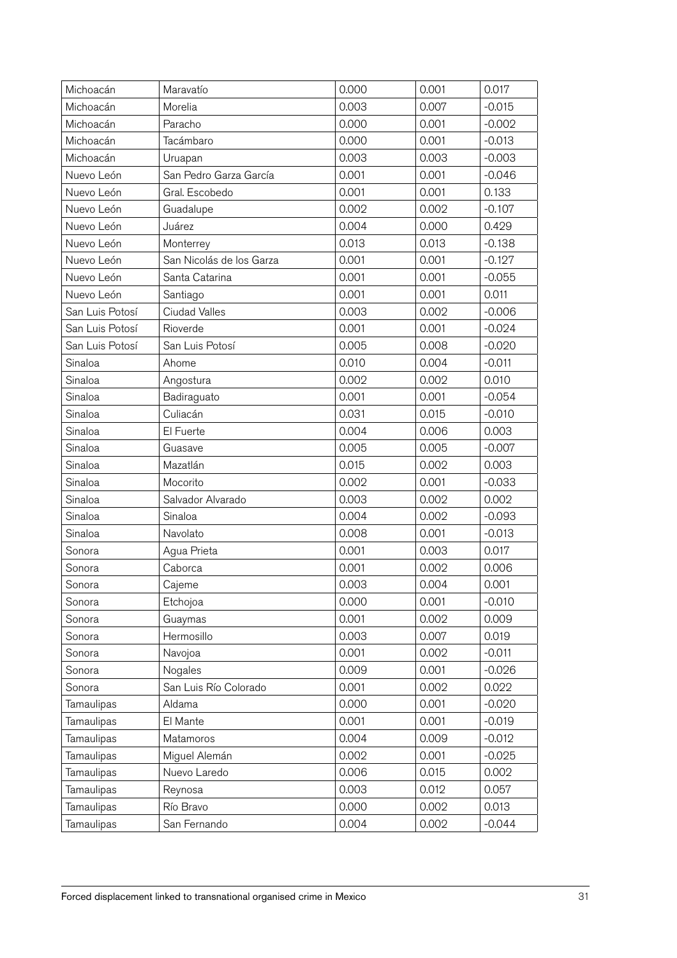| Michoacán       | Maravatío                | 0.000 | 0.001 | 0.017    |
|-----------------|--------------------------|-------|-------|----------|
| Michoacán       | Morelia                  | 0.003 | 0.007 | $-0.015$ |
| Michoacán       | Paracho                  | 0.000 | 0.001 | $-0.002$ |
| Michoacán       | Tacámbaro                | 0.000 | 0.001 | $-0.013$ |
| Michoacán       | Uruapan                  | 0.003 | 0.003 | $-0.003$ |
| Nuevo León      | San Pedro Garza García   | 0.001 | 0.001 | $-0.046$ |
| Nuevo León      | Gral. Escobedo           | 0.001 | 0.001 | 0.133    |
| Nuevo León      | Guadalupe                | 0.002 | 0.002 | $-0.107$ |
| Nuevo León      | Juárez                   | 0.004 | 0.000 | 0.429    |
| Nuevo León      | Monterrey                | 0.013 | 0.013 | $-0.138$ |
| Nuevo León      | San Nicolás de los Garza | 0.001 | 0.001 | $-0.127$ |
| Nuevo León      | Santa Catarina           | 0.001 | 0.001 | $-0.055$ |
| Nuevo León      | Santiago                 | 0.001 | 0.001 | 0.011    |
| San Luis Potosí | <b>Ciudad Valles</b>     | 0.003 | 0.002 | $-0.006$ |
| San Luis Potosí | Rioverde                 | 0.001 | 0.001 | $-0.024$ |
| San Luis Potosí | San Luis Potosí          | 0.005 | 0.008 | $-0.020$ |
| Sinaloa         | Ahome                    | 0.010 | 0.004 | $-0.011$ |
| Sinaloa         | Angostura                | 0.002 | 0.002 | 0.010    |
| Sinaloa         | Badiraguato              | 0.001 | 0.001 | $-0.054$ |
| Sinaloa         | Culiacán                 | 0.031 | 0.015 | $-0.010$ |
| Sinaloa         | El Fuerte                | 0.004 | 0.006 | 0.003    |
| Sinaloa         | Guasave                  | 0.005 | 0.005 | $-0.007$ |
| Sinaloa         | Mazatlán                 | 0.015 | 0.002 | 0.003    |
| Sinaloa         | Mocorito                 | 0.002 | 0.001 | $-0.033$ |
| Sinaloa         | Salvador Alvarado        | 0.003 | 0.002 | 0.002    |
| Sinaloa         | Sinaloa                  | 0.004 | 0.002 | $-0.093$ |
| Sinaloa         | Navolato                 | 0.008 | 0.001 | $-0.013$ |
| Sonora          | Agua Prieta              | 0.001 | 0.003 | 0.017    |
| Sonora          | Caborca                  | 0.001 | 0.002 | 0.006    |
| Sonora          | Cajeme                   | 0.003 | 0.004 | 0.001    |
| Sonora          | Etchojoa                 | 0.000 | 0.001 | $-0.010$ |
| Sonora          | Guaymas                  | 0.001 | 0.002 | 0.009    |
| Sonora          | Hermosillo               | 0.003 | 0.007 | 0.019    |
| Sonora          | Navojoa                  | 0.001 | 0.002 | $-0.011$ |
| Sonora          | Nogales                  | 0.009 | 0.001 | $-0.026$ |
| Sonora          | San Luis Río Colorado    | 0.001 | 0.002 | 0.022    |
| Tamaulipas      | Aldama                   | 0.000 | 0.001 | $-0.020$ |
| Tamaulipas      | El Mante                 | 0.001 | 0.001 | $-0.019$ |
| Tamaulipas      | Matamoros                | 0.004 | 0.009 | $-0.012$ |
| Tamaulipas      | Miguel Alemán            | 0.002 | 0.001 | $-0.025$ |
| Tamaulipas      | Nuevo Laredo             | 0.006 | 0.015 | 0.002    |
| Tamaulipas      | Reynosa                  | 0.003 | 0.012 | 0.057    |
| Tamaulipas      | Río Bravo                | 0.000 | 0.002 | 0.013    |
| Tamaulipas      | San Fernando             | 0.004 | 0.002 | $-0.044$ |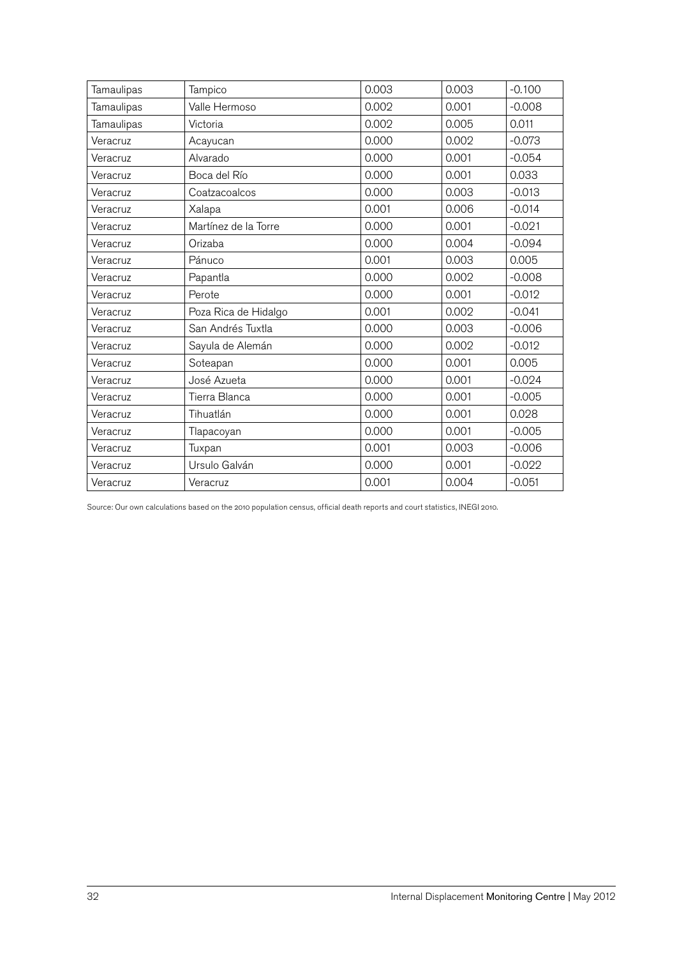| Tamaulipas | Tampico              | 0.003 | 0.003 | $-0.100$ |
|------------|----------------------|-------|-------|----------|
| Tamaulipas | Valle Hermoso        | 0.002 | 0.001 | $-0.008$ |
| Tamaulipas | Victoria             | 0.002 | 0.005 | 0.011    |
| Veracruz   | Acayucan             | 0.000 | 0.002 | $-0.073$ |
| Veracruz   | Alvarado             | 0.000 | 0.001 | $-0.054$ |
| Veracruz   | Boca del Río         | 0.000 | 0.001 | 0.033    |
| Veracruz   | Coatzacoalcos        | 0.000 | 0.003 | $-0.013$ |
| Veracruz   | Xalapa               | 0.001 | 0.006 | $-0.014$ |
| Veracruz   | Martínez de la Torre | 0.000 | 0.001 | $-0.021$ |
| Veracruz   | Orizaba              | 0.000 | 0.004 | $-0.094$ |
| Veracruz   | Pánuco               | 0.001 | 0.003 | 0.005    |
| Veracruz   | Papantla             | 0.000 | 0.002 | $-0.008$ |
| Veracruz   | Perote               | 0.000 | 0.001 | $-0.012$ |
| Veracruz   | Poza Rica de Hidalgo | 0.001 | 0.002 | $-0.041$ |
| Veracruz   | San Andrés Tuxtla    | 0.000 | 0.003 | $-0.006$ |
| Veracruz   | Sayula de Alemán     | 0.000 | 0.002 | $-0.012$ |
| Veracruz   | Soteapan             | 0.000 | 0.001 | 0.005    |
| Veracruz   | José Azueta          | 0.000 | 0.001 | $-0.024$ |
| Veracruz   | Tierra Blanca        | 0.000 | 0.001 | $-0.005$ |
| Veracruz   | Tihuatlán            | 0.000 | 0.001 | 0.028    |
| Veracruz   | Tlapacoyan           | 0.000 | 0.001 | $-0.005$ |
| Veracruz   | Tuxpan               | 0.001 | 0.003 | $-0.006$ |
| Veracruz   | Ursulo Galván        | 0.000 | 0.001 | $-0.022$ |
| Veracruz   | Veracruz             | 0.001 | 0.004 | $-0.051$ |
|            |                      |       |       |          |

Source: Our own calculations based on the 2010 population census, official death reports and court statistics, INEGI 2010.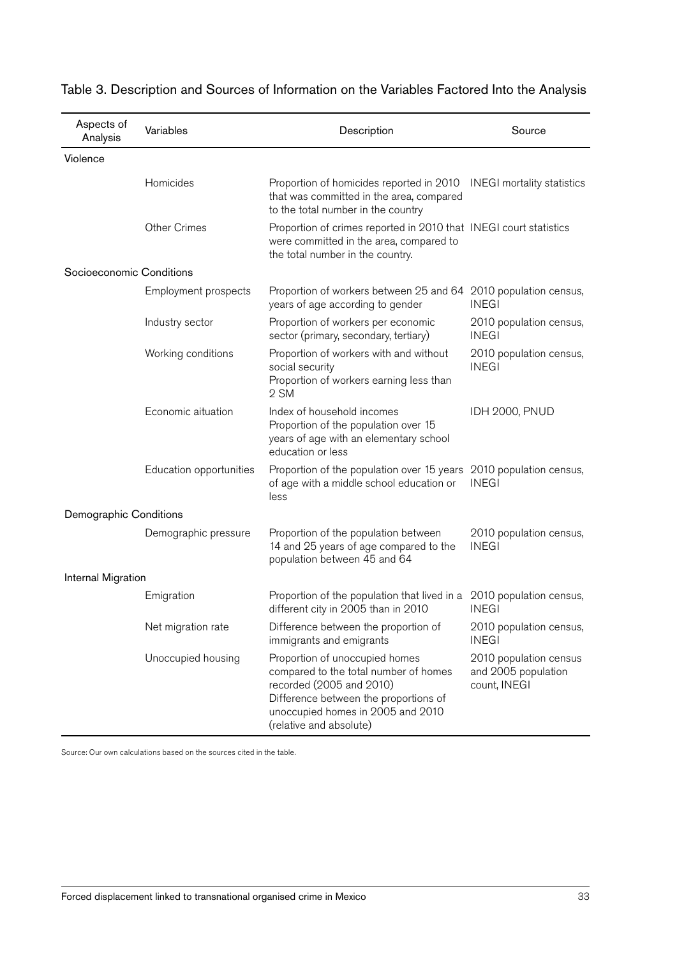| Aspects of<br>Analysis   | Variables               | Description                                                                                                                                                                                                  | Source                                                        |
|--------------------------|-------------------------|--------------------------------------------------------------------------------------------------------------------------------------------------------------------------------------------------------------|---------------------------------------------------------------|
| Violence                 |                         |                                                                                                                                                                                                              |                                                               |
|                          | Homicides               | Proportion of homicides reported in 2010<br>that was committed in the area, compared<br>to the total number in the country                                                                                   | <b>INEGI</b> mortality statistics                             |
|                          | <b>Other Crimes</b>     | Proportion of crimes reported in 2010 that INEGI court statistics<br>were committed in the area, compared to<br>the total number in the country.                                                             |                                                               |
| Socioeconomic Conditions |                         |                                                                                                                                                                                                              |                                                               |
|                          | Employment prospects    | Proportion of workers between 25 and 64 2010 population census,<br>years of age according to gender                                                                                                          | <b>INEGI</b>                                                  |
|                          | Industry sector         | Proportion of workers per economic<br>sector (primary, secondary, tertiary)                                                                                                                                  | 2010 population census,<br><b>INEGI</b>                       |
|                          | Working conditions      | Proportion of workers with and without<br>social security<br>Proportion of workers earning less than<br>2 SM                                                                                                 | 2010 population census,<br><b>INEGI</b>                       |
|                          | Economic aituation      | Index of household incomes<br>Proportion of the population over 15<br>years of age with an elementary school<br>education or less                                                                            | <b>IDH 2000, PNUD</b>                                         |
|                          | Education opportunities | Proportion of the population over 15 years 2010 population census,<br>of age with a middle school education or<br>less                                                                                       | <b>INEGI</b>                                                  |
| Demographic Conditions   |                         |                                                                                                                                                                                                              |                                                               |
|                          | Demographic pressure    | Proportion of the population between<br>14 and 25 years of age compared to the<br>population between 45 and 64                                                                                               | 2010 population census,<br><b>INEGI</b>                       |
| Internal Migration       |                         |                                                                                                                                                                                                              |                                                               |
|                          | Emigration              | Proportion of the population that lived in a 2010 population census,<br>different city in 2005 than in 2010                                                                                                  | <b>INEGI</b>                                                  |
|                          | Net migration rate      | Difference between the proportion of<br>immigrants and emigrants                                                                                                                                             | 2010 population census,<br><b>INEGI</b>                       |
|                          | Unoccupied housing      | Proportion of unoccupied homes<br>compared to the total number of homes<br>recorded (2005 and 2010)<br>Difference between the proportions of<br>unoccupied homes in 2005 and 2010<br>(relative and absolute) | 2010 population census<br>and 2005 population<br>count, INEGI |

### Table 3. Description and Sources of Information on the Variables Factored Into the Analysis

Source: Our own calculations based on the sources cited in the table.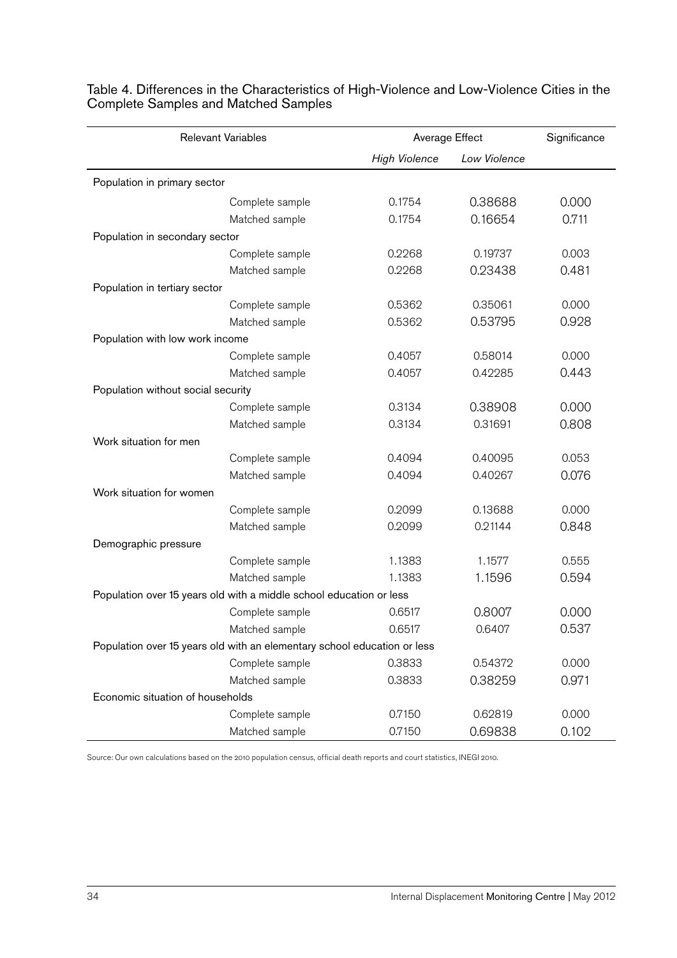|                                    | <b>Relevant Variables</b>                                                | Average Effect       |              | Significance |
|------------------------------------|--------------------------------------------------------------------------|----------------------|--------------|--------------|
|                                    |                                                                          | <b>High Violence</b> | Low Violence |              |
| Population in primary sector       |                                                                          |                      |              |              |
|                                    | Complete sample                                                          | 0.1754               | 0.38688      | 0.000        |
|                                    | Matched sample                                                           | 0.1754               | 0.16654      | 0.711        |
| Population in secondary sector     |                                                                          |                      |              |              |
|                                    | Complete sample                                                          | 0.2268               | 0.19737      | 0.003        |
|                                    | Matched sample                                                           | 0.2268               | 0.23438      | 0.481        |
| Population in tertiary sector      |                                                                          |                      |              |              |
|                                    | Complete sample                                                          | 0.5362               | 0.35061      | 0.000        |
|                                    | Matched sample                                                           | 0.5362               | 0.53795      | 0.928        |
| Population with low work income    |                                                                          |                      |              |              |
|                                    | Complete sample                                                          | 0.4057               | 0.58014      | 0.000        |
|                                    | Matched sample                                                           | 0.4057               | 0.42285      | 0.443        |
| Population without social security |                                                                          |                      |              |              |
|                                    | Complete sample                                                          | 0.3134               | 0.38908      | 0.000        |
|                                    | Matched sample                                                           | 0.3134               | 0.31691      | 0.808        |
| Work situation for men             |                                                                          |                      |              |              |
|                                    | Complete sample                                                          | 0.4094               | 0.40095      | 0.053        |
|                                    | Matched sample                                                           | 0.4094               | 0.40267      | 0.076        |
| Work situation for women           |                                                                          |                      |              |              |
|                                    | Complete sample                                                          | 0.2099               | 0.13688      | 0.000        |
|                                    | Matched sample                                                           | 0.2099               | 0.21144      | 0.848        |
| Demographic pressure               |                                                                          |                      |              |              |
|                                    | Complete sample                                                          | 1.1383               | 1.1577       | 0.555        |
|                                    | Matched sample                                                           | 1.1383               | 1.1596       | 0.594        |
|                                    | Population over 15 years old with a middle school education or less      |                      |              |              |
|                                    | Complete sample                                                          | 0.6517               | 0.8007       | 0.000        |
|                                    | Matched sample                                                           | 0.6517               | 0.6407       | 0.537        |
|                                    | Population over 15 years old with an elementary school education or less |                      |              |              |
|                                    | Complete sample                                                          | 0.3833               | 0.54372      | 0.000        |
|                                    | Matched sample                                                           | 0.3833               | 0.38259      | 0.971        |
| Economic situation of households   |                                                                          |                      |              |              |
|                                    | Complete sample                                                          | 0.7150               | 0.62819      | 0.000        |
|                                    | Matched sample                                                           | 0.7150               | 0.69838      | 0.102        |

Table 4. Differences in the Characteristics of High-Violence and Low-Violence Cities in the Complete Samples and Matched Samples

Source: Our own calculations based on the 2010 population census, official death reports and court statistics, INEGI 2010.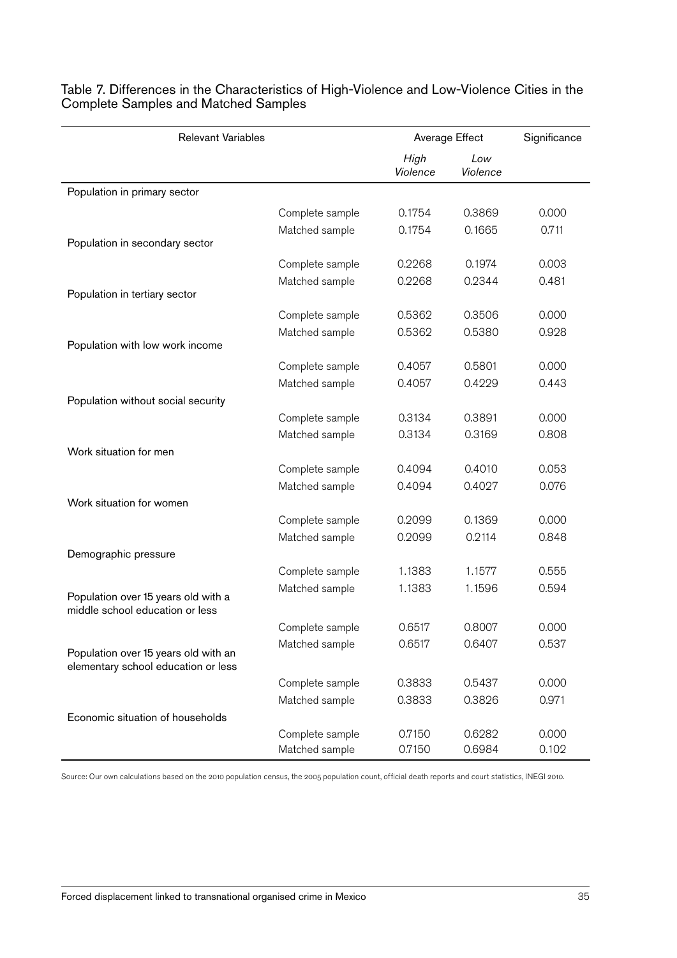| <b>Relevant Variables</b>                                                   |                 | Average Effect   |                 | Significance |
|-----------------------------------------------------------------------------|-----------------|------------------|-----------------|--------------|
|                                                                             |                 | High<br>Violence | Low<br>Violence |              |
| Population in primary sector                                                |                 |                  |                 |              |
|                                                                             | Complete sample | 0.1754           | 0.3869          | 0.000        |
|                                                                             | Matched sample  | 0.1754           | 0.1665          | 0.711        |
| Population in secondary sector                                              |                 |                  |                 |              |
|                                                                             | Complete sample | 0.2268           | 0.1974          | 0.003        |
|                                                                             | Matched sample  | 0.2268           | 0.2344          | 0.481        |
| Population in tertiary sector                                               |                 |                  |                 |              |
|                                                                             | Complete sample | 0.5362           | 0.3506          | 0.000        |
|                                                                             | Matched sample  | 0.5362           | 0.5380          | 0.928        |
| Population with low work income                                             |                 |                  |                 |              |
|                                                                             | Complete sample | 0.4057           | 0.5801          | 0.000        |
|                                                                             | Matched sample  | 0.4057           | 0.4229          | 0.443        |
| Population without social security                                          |                 |                  |                 |              |
|                                                                             | Complete sample | 0.3134           | 0.3891          | 0.000        |
|                                                                             | Matched sample  | 0.3134           | 0.3169          | 0.808        |
| Work situation for men                                                      |                 |                  |                 |              |
|                                                                             | Complete sample | 0.4094           | 0.4010          | 0.053        |
|                                                                             | Matched sample  | 0.4094           | 0.4027          | 0.076        |
| Work situation for women                                                    |                 |                  |                 |              |
|                                                                             | Complete sample | 0.2099           | 0.1369          | 0.000        |
|                                                                             | Matched sample  | 0.2099           | 0.2114          | 0.848        |
| Demographic pressure                                                        |                 |                  |                 |              |
|                                                                             | Complete sample | 1.1383           | 1.1577          | 0.555        |
|                                                                             | Matched sample  | 1.1383           | 1.1596          | 0.594        |
| Population over 15 years old with a<br>middle school education or less      |                 |                  |                 |              |
|                                                                             | Complete sample | 0.6517           | 0.8007          | 0.000        |
|                                                                             | Matched sample  | 0.6517           | 0.6407          | 0.537        |
| Population over 15 years old with an<br>elementary school education or less |                 |                  |                 |              |
|                                                                             | Complete sample | 0.3833           | 0.5437          | 0.000        |
|                                                                             | Matched sample  | 0.3833           | 0.3826          | 0.971        |
| Economic situation of households                                            |                 |                  |                 |              |
|                                                                             | Complete sample | 0.7150           | 0.6282          | 0.000        |
|                                                                             | Matched sample  | 0.7150           | 0.6984          | 0.102        |

Table 7. Differences in the Characteristics of High-Violence and Low-Violence Cities in the Complete Samples and Matched Samples

Source: Our own calculations based on the 2010 population census, the 2005 population count, official death reports and court statistics, INEGI 2010.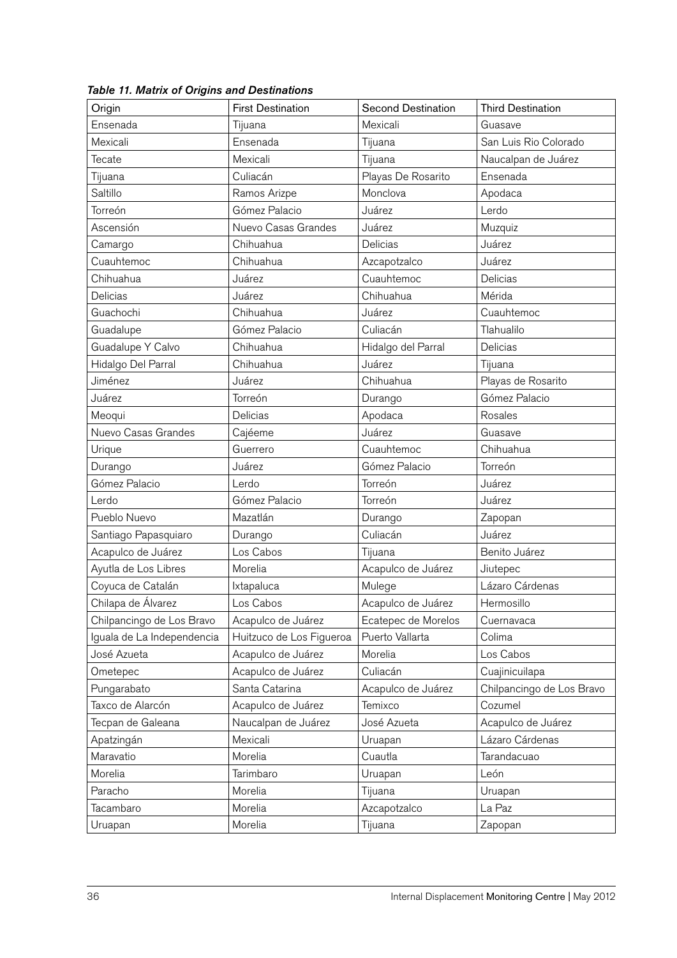| Origin                     | <b>First Destination</b> | <b>Second Destination</b> | <b>Third Destination</b>  |
|----------------------------|--------------------------|---------------------------|---------------------------|
| Ensenada                   | Tijuana                  | Mexicali                  | Guasave                   |
| Mexicali                   | Ensenada                 | Tijuana                   | San Luis Rio Colorado     |
| Tecate                     | Mexicali                 | Tijuana                   | Naucalpan de Juárez       |
| Tijuana                    | Culiacán                 | Playas De Rosarito        | Ensenada                  |
| Saltillo                   | Ramos Arizpe             | Monclova                  | Apodaca                   |
| Torreón                    | Gómez Palacio            | Juárez                    | Lerdo                     |
| Ascensión                  | Nuevo Casas Grandes      | Juárez                    | Muzquiz                   |
| Camargo                    | Chihuahua                | Delicias                  | Juárez                    |
| Cuauhtemoc                 | Chihuahua                | Azcapotzalco              | Juárez                    |
| Chihuahua                  | Juárez                   | Cuauhtemoc                | Delicias                  |
| Delicias                   | Juárez                   | Chihuahua                 | Mérida                    |
| Guachochi                  | Chihuahua                | Juárez                    | Cuauhtemoc                |
| Guadalupe                  | Gómez Palacio            | Culiacán                  | Tlahualilo                |
| Guadalupe Y Calvo          | Chihuahua                | Hidalgo del Parral        | Delicias                  |
| Hidalgo Del Parral         | Chihuahua                | Juárez                    | Tijuana                   |
| Jiménez                    | Juárez                   | Chihuahua                 | Playas de Rosarito        |
| Juárez                     | Torreón                  | Durango                   | Gómez Palacio             |
| Meoqui                     | Delicias                 | Apodaca                   | Rosales                   |
| Nuevo Casas Grandes        | Cajéeme                  | Juárez                    | Guasave                   |
| Urique                     | Guerrero                 | Cuauhtemoc                | Chihuahua                 |
| Durango                    | Juárez                   | Gómez Palacio             | Torreón                   |
| Gómez Palacio              | Lerdo                    | Torreón                   | Juárez                    |
| Lerdo                      | Gómez Palacio            | Torreón                   | Juárez                    |
| Pueblo Nuevo               | Mazatlán                 | Durango                   | Zapopan                   |
| Santiago Papasquiaro       | Durango                  | Culiacán                  | Juárez                    |
| Acapulco de Juárez         | Los Cabos                | Tijuana                   | Benito Juárez             |
| Ayutla de Los Libres       | Morelia                  | Acapulco de Juárez        | Jiutepec                  |
| Coyuca de Catalán          | Ixtapaluca               | Mulege                    | Lázaro Cárdenas           |
| Chilapa de Álvarez         | Los Cabos                | Acapulco de Juárez        | Hermosillo                |
| Chilpancingo de Los Bravo  | Acapulco de Juárez       | Ecatepec de Morelos       | Cuernavaca                |
| Iguala de La Independencia | Huitzuco de Los Figueroa | Puerto Vallarta           | Colima                    |
| José Azueta                | Acapulco de Juárez       | Morelia                   | Los Cabos                 |
| Ometepec                   | Acapulco de Juárez       | Culiacán                  | Cuajinicuilapa            |
| Pungarabato                | Santa Catarina           | Acapulco de Juárez        | Chilpancingo de Los Bravo |
| Taxco de Alarcón           | Acapulco de Juárez       | Temixco                   | Cozumel                   |
| Tecpan de Galeana          | Naucalpan de Juárez      | José Azueta               | Acapulco de Juárez        |
| Apatzingán                 | Mexicali                 | Uruapan                   | Lázaro Cárdenas           |
| Maravatio                  | Morelia                  | Cuautla                   | Tarandacuao               |
| Morelia                    | Tarimbaro                | Uruapan                   | León                      |
| Paracho                    | Morelia                  | Tijuana                   | Uruapan                   |
| Tacambaro                  | Morelia                  | Azcapotzalco              | La Paz                    |
| Uruapan                    | Morelia                  | Tijuana                   | Zapopan                   |

*Table 11. Matrix of Origins and Destinations*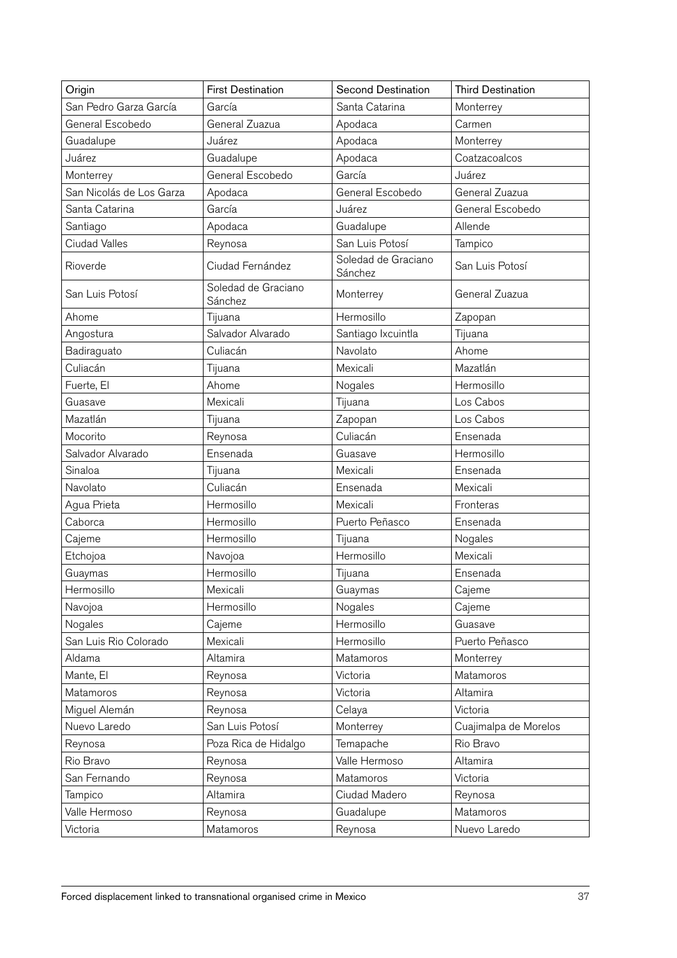| Origin                   | <b>First Destination</b>       | <b>Second Destination</b>      | <b>Third Destination</b> |
|--------------------------|--------------------------------|--------------------------------|--------------------------|
| San Pedro Garza García   | García                         | Santa Catarina                 | Monterrey                |
| General Escobedo         | General Zuazua                 | Apodaca                        | Carmen                   |
| Guadalupe                | Juárez                         | Apodaca                        | Monterrey                |
| Juárez                   | Guadalupe                      | Apodaca                        | Coatzacoalcos            |
| Monterrey                | General Escobedo               | García                         | Juárez                   |
| San Nicolás de Los Garza | Apodaca                        | General Escobedo               | General Zuazua           |
| Santa Catarina           | García                         | Juárez                         | General Escobedo         |
| Santiago                 | Apodaca                        | Guadalupe                      | Allende                  |
| <b>Ciudad Valles</b>     | Reynosa                        | San Luis Potosí                | Tampico                  |
| Rioverde                 | Ciudad Fernández               | Soledad de Graciano<br>Sánchez | San Luis Potosí          |
| San Luis Potosí          | Soledad de Graciano<br>Sánchez | Monterrey                      | General Zuazua           |
| Ahome                    | Tijuana                        | Hermosillo                     | Zapopan                  |
| Angostura                | Salvador Alvarado              | Santiago Ixcuintla             | Tijuana                  |
| Badiraguato              | Culiacán                       | Navolato                       | Ahome                    |
| Culiacán                 | Tijuana                        | Mexicali                       | Mazatlán                 |
| Fuerte, El               | Ahome                          | Nogales                        | Hermosillo               |
| Guasave                  | Mexicali                       | Tijuana                        | Los Cabos                |
| Mazatlán                 | Tijuana                        | Zapopan                        | Los Cabos                |
| Mocorito                 | Reynosa                        | Culiacán                       | Ensenada                 |
| Salvador Alvarado        | Ensenada                       | Guasave                        | Hermosillo               |
| Sinaloa                  | Tijuana                        | Mexicali                       | Ensenada                 |
| Navolato                 | Culiacán                       | Ensenada                       | Mexicali                 |
| Agua Prieta              | Hermosillo                     | Mexicali                       | Fronteras                |
| Caborca                  | Hermosillo                     | Puerto Peñasco                 | Ensenada                 |
| Cajeme                   | Hermosillo                     | Tijuana                        | Nogales                  |
| Etchojoa                 | Navojoa                        | Hermosillo                     | Mexicali                 |
| Guaymas                  | Hermosillo                     | Tijuana                        | Ensenada                 |
| Hermosillo               | Mexicali                       | Guaymas                        | Cajeme                   |
| Navojoa                  | Hermosillo                     | Nogales                        | Cajeme                   |
| Nogales                  | Cajeme                         | Hermosillo                     | Guasave                  |
| San Luis Rio Colorado    | Mexicali                       | Hermosillo                     | Puerto Peñasco           |
| Aldama                   | Altamira                       | Matamoros                      | Monterrey                |
| Mante, El                | Reynosa                        | Victoria                       | Matamoros                |
| Matamoros                | Reynosa                        | Victoria                       | Altamira                 |
| Miguel Alemán            | Reynosa                        | Celaya                         | Victoria                 |
| Nuevo Laredo             | San Luis Potosí                | Monterrey                      | Cuajimalpa de Morelos    |
| Reynosa                  | Poza Rica de Hidalgo           | Temapache                      | Rio Bravo                |
| Rio Bravo                | Reynosa                        | Valle Hermoso                  | Altamira                 |
| San Fernando             | Reynosa                        | Matamoros                      | Victoria                 |
| Tampico                  | Altamira                       | Ciudad Madero                  | Reynosa                  |
| Valle Hermoso            | Reynosa                        | Guadalupe                      | Matamoros                |
| Victoria                 | Matamoros                      | Reynosa                        | Nuevo Laredo             |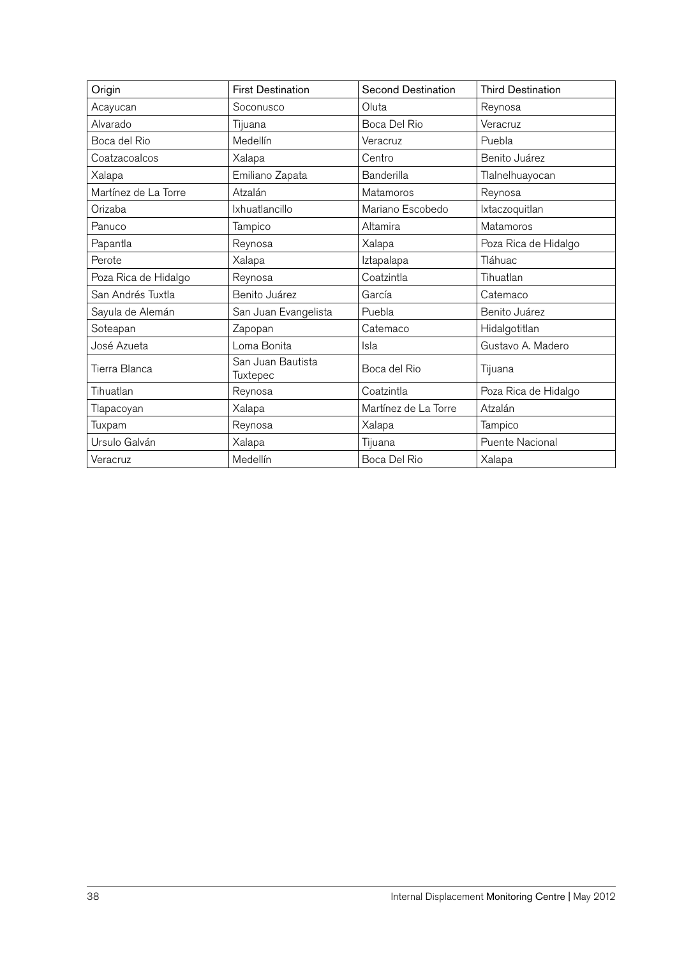| Origin               | <b>First Destination</b>      | <b>Second Destination</b> | <b>Third Destination</b> |
|----------------------|-------------------------------|---------------------------|--------------------------|
| Acayucan             | Soconusco                     | Oluta                     | Reynosa                  |
| Alvarado             | Tijuana                       | Boca Del Rio              | Veracruz                 |
| Boca del Rio         | Medellín                      | Veracruz                  | Puebla                   |
| Coatzacoalcos        | Xalapa                        | Centro                    | Benito Juárez            |
| Xalapa               | Emiliano Zapata               | Banderilla                | Tlalnelhuayocan          |
| Martínez de La Torre | Atzalán                       | Matamoros                 | Reynosa                  |
| Orizaba              | Ixhuatlancillo                | Mariano Escobedo          | Ixtaczoquitlan           |
| Panuco               | Tampico                       | Altamira                  | Matamoros                |
| Papantla             | Reynosa                       | Xalapa                    | Poza Rica de Hidalgo     |
| Perote               | Xalapa                        | Iztapalapa                | Tláhuac                  |
| Poza Rica de Hidalgo | Reynosa                       | Coatzintla                | Tihuatlan                |
| San Andrés Tuxtla    | Benito Juárez                 | García                    | Catemaco                 |
| Sayula de Alemán     | San Juan Evangelista          | Puebla                    | Benito Juárez            |
| Soteapan             | Zapopan                       | Catemaco                  | Hidalgotitlan            |
| José Azueta          | Loma Bonita                   | Isla                      | Gustavo A. Madero        |
| Tierra Blanca        | San Juan Bautista<br>Tuxtepec | Boca del Rio              | Tijuana                  |
| Tihuatlan            | Reynosa                       | Coatzintla                | Poza Rica de Hidalgo     |
| Tlapacoyan           | Xalapa                        | Martínez de La Torre      | Atzalán                  |
| Tuxpam               | Reynosa                       | Xalapa                    | Tampico                  |
| Ursulo Galván        | Xalapa                        | Tijuana                   | <b>Puente Nacional</b>   |
| Veracruz             | Medellín                      | Boca Del Rio              | Xalapa                   |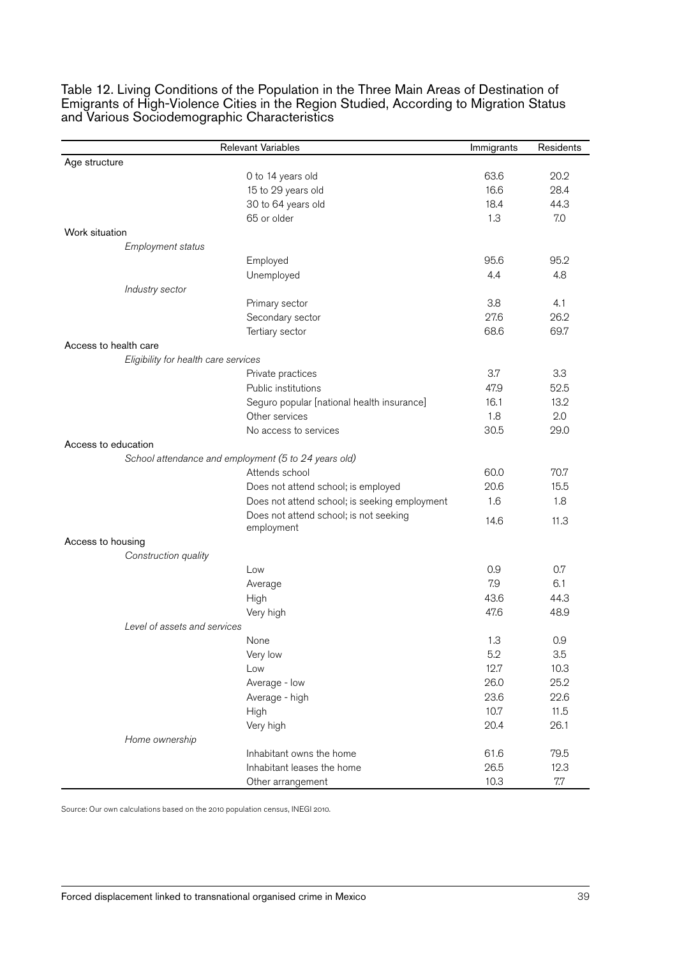|                                      | <b>Relevant Variables</b>                            | Immigrants | Residents |
|--------------------------------------|------------------------------------------------------|------------|-----------|
| Age structure                        |                                                      |            |           |
|                                      | 0 to 14 years old                                    | 63.6       | 20.2      |
|                                      | 15 to 29 years old                                   | 16.6       | 28.4      |
|                                      | 30 to 64 years old                                   | 18.4       | 44.3      |
|                                      | 65 or older                                          | 1.3        | 7.0       |
| Work situation                       |                                                      |            |           |
| Employment status                    |                                                      |            |           |
|                                      | Employed                                             | 95.6       | 95.2      |
|                                      | Unemployed                                           | 4.4        | 4.8       |
| Industry sector                      |                                                      |            |           |
|                                      | Primary sector                                       | 3.8        | 4.1       |
|                                      | Secondary sector                                     | 27.6       | 26.2      |
|                                      | Tertiary sector                                      | 68.6       | 69.7      |
| Access to health care                |                                                      |            |           |
| Eligibility for health care services |                                                      |            |           |
|                                      | Private practices                                    | 3.7        | 3.3       |
|                                      | Public institutions                                  | 47.9       | 52.5      |
|                                      | Seguro popular [national health insurance]           | 16.1       | 13.2      |
|                                      | Other services                                       | 1.8        | 2.0       |
|                                      | No access to services                                | 30.5       | 29.0      |
| Access to education                  |                                                      |            |           |
|                                      | School attendance and employment (5 to 24 years old) |            |           |
|                                      | Attends school                                       | 60.0       | 70.7      |
|                                      | Does not attend school; is employed                  | 20.6       | 15.5      |
|                                      | Does not attend school; is seeking employment        | 1.6        | 1.8       |
|                                      | Does not attend school; is not seeking               |            |           |
|                                      | employment                                           | 14.6       | 11.3      |
| Access to housing                    |                                                      |            |           |
| Construction quality                 |                                                      |            |           |
|                                      | Low                                                  | 0.9        | 0.7       |
|                                      | Average                                              | 7.9        | 6.1       |
|                                      | High                                                 | 43.6       | 44.3      |
|                                      | Very high                                            | 47.6       | 48.9      |
| Level of assets and services         |                                                      |            |           |
|                                      | None                                                 | 1.3        | 0.9       |
|                                      | Very low                                             | 5.2        | 3.5       |
|                                      | Low                                                  | 12.7       | 10.3      |
|                                      | Average - low                                        | 26.0       | 25.2      |
|                                      | Average - high                                       | 23.6       | 22.6      |
|                                      | High                                                 | 10.7       | 11.5      |
|                                      | Very high                                            | 20.4       | 26.1      |
| Home ownership                       |                                                      |            |           |
|                                      | Inhabitant owns the home                             | 61.6       | 79.5      |
|                                      | Inhabitant leases the home                           | 26.5       | 12.3      |
|                                      | Other arrangement                                    | 10.3       | 7.7       |
|                                      |                                                      |            |           |

Table 12. Living Conditions of the Population in the Three Main Areas of Destination of Emigrants of High-Violence Cities in the Region Studied, According to Migration Status and Various Sociodemographic Characteristics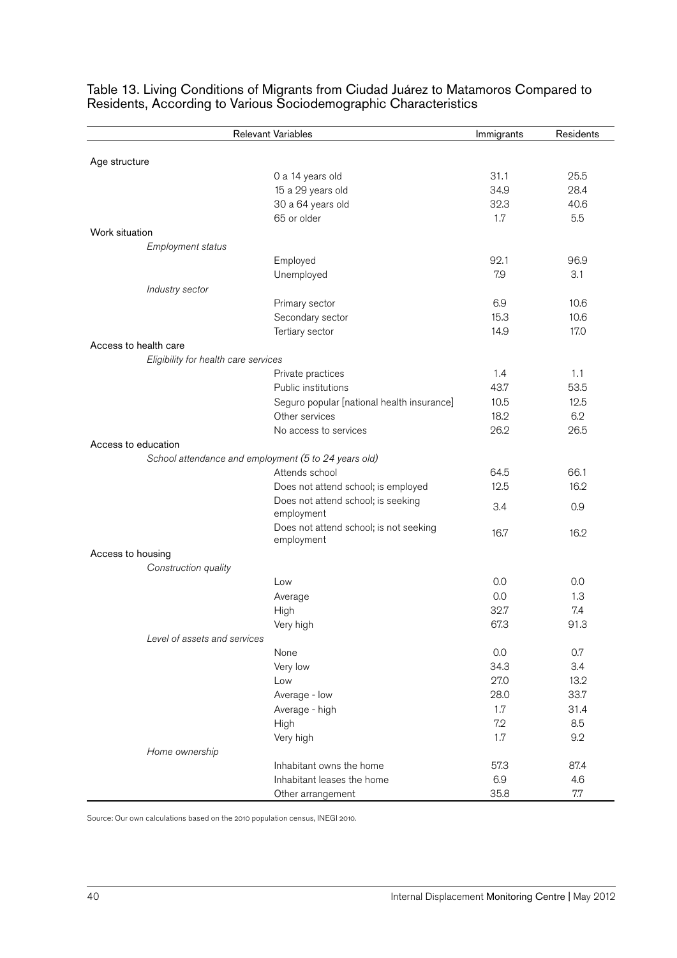|                                                      | Relevant Variables                                   | Immigrants | Residents    |
|------------------------------------------------------|------------------------------------------------------|------------|--------------|
|                                                      |                                                      |            |              |
| Age structure                                        |                                                      | 31.1       |              |
|                                                      | 0 a 14 years old                                     | 34.9       | 25.5<br>28.4 |
|                                                      | 15 a 29 years old<br>30 a 64 years old               | 32.3       | 40.6         |
|                                                      | 65 or older                                          | 1.7        | 5.5          |
| Work situation                                       |                                                      |            |              |
| Employment status                                    |                                                      |            |              |
|                                                      | Employed                                             | 92.1       | 96.9         |
|                                                      | Unemployed                                           | 7.9        | 3.1          |
| Industry sector                                      |                                                      |            |              |
|                                                      | Primary sector                                       | 6.9        | 10.6         |
|                                                      | Secondary sector                                     | 15.3       | 10.6         |
|                                                      | Tertiary sector                                      | 14.9       | 17.0         |
| Access to health care                                |                                                      |            |              |
| Eligibility for health care services                 |                                                      |            |              |
|                                                      | Private practices                                    | 1.4        | 1.1          |
|                                                      | Public institutions                                  | 43.7       | 53.5         |
|                                                      | Seguro popular [national health insurance]           | 10.5       | 12.5         |
|                                                      | Other services                                       | 18.2       | 6.2          |
|                                                      | No access to services                                | 26.2       | 26.5         |
| Access to education                                  |                                                      |            |              |
| School attendance and employment (5 to 24 years old) |                                                      |            |              |
|                                                      | Attends school                                       | 64.5       | 66.1         |
|                                                      | Does not attend school; is employed                  | 12.5       | 16.2         |
|                                                      | Does not attend school; is seeking<br>employment     | 3.4        | 0.9          |
|                                                      | Does not attend school; is not seeking<br>employment | 16.7       | 16.2         |
| Access to housing                                    |                                                      |            |              |
| Construction quality                                 |                                                      |            |              |
|                                                      | Low                                                  | 0.0        | 0.0          |
|                                                      | Average                                              | 0.0        | 1.3          |
|                                                      | High                                                 | 32.7       | 7.4          |
|                                                      | Very high                                            | 67.3       | 91.3         |
| Level of assets and services                         |                                                      |            |              |
|                                                      | None                                                 | 0.0        | 0.7          |
|                                                      | Very low                                             | 34.3       | 3.4          |
|                                                      | Low                                                  | 27.0       | 13.2         |
|                                                      | Average - low                                        | 28.0       | 33.7         |
|                                                      | Average - high                                       | 1.7        | 31.4         |
|                                                      | High                                                 | 7.2        | 8.5          |
|                                                      | Very high                                            | 1.7        | 9.2          |
| Home ownership                                       |                                                      |            |              |
|                                                      | Inhabitant owns the home                             | 57.3       | 87.4         |
|                                                      | Inhabitant leases the home                           | 6.9        | 4.6          |
|                                                      | Other arrangement                                    | 35.8       | $7.7\,$      |

Table 13. Living Conditions of Migrants from Ciudad Juárez to Matamoros Compared to Residents, According to Various Sociodemographic Characteristics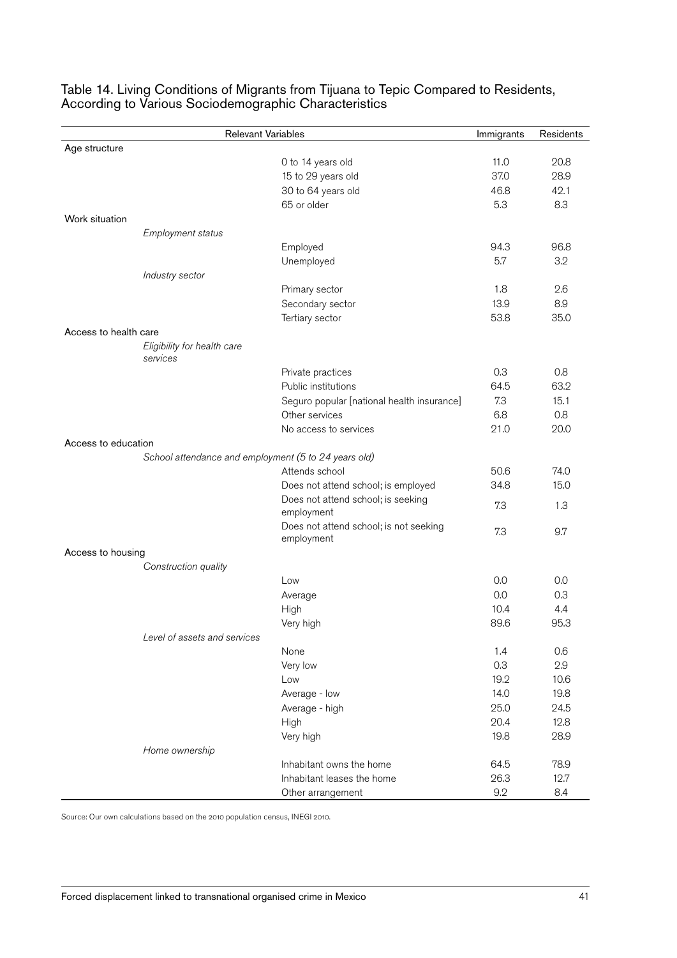| <b>Relevant Variables</b> |                                                      | Immigrants                                           | Residents |      |
|---------------------------|------------------------------------------------------|------------------------------------------------------|-----------|------|
| Age structure             |                                                      |                                                      |           |      |
|                           |                                                      | 0 to 14 years old                                    | 11.0      | 20.8 |
|                           |                                                      | 15 to 29 years old                                   | 37.0      | 28.9 |
|                           |                                                      | 30 to 64 years old                                   | 46.8      | 42.1 |
|                           |                                                      | 65 or older                                          | 5.3       | 8.3  |
| Work situation            |                                                      |                                                      |           |      |
|                           | Employment status                                    |                                                      |           |      |
|                           |                                                      | Employed                                             | 94.3      | 96.8 |
|                           |                                                      | Unemployed                                           | 5.7       | 3.2  |
|                           | Industry sector                                      |                                                      |           |      |
|                           |                                                      | Primary sector                                       | 1.8       | 2.6  |
|                           |                                                      | Secondary sector                                     | 13.9      | 8.9  |
|                           |                                                      | Tertiary sector                                      | 53.8      | 35.0 |
| Access to health care     |                                                      |                                                      |           |      |
|                           | Eligibility for health care<br>services              |                                                      |           |      |
|                           |                                                      | Private practices                                    | 0.3       | 0.8  |
|                           |                                                      | Public institutions                                  | 64.5      | 63.2 |
|                           |                                                      | Seguro popular [national health insurance]           | 7.3       | 15.1 |
|                           |                                                      | Other services                                       | 6.8       | 0.8  |
|                           |                                                      | No access to services                                | 21.0      | 20.0 |
| Access to education       |                                                      |                                                      |           |      |
|                           | School attendance and employment (5 to 24 years old) |                                                      |           |      |
|                           |                                                      | Attends school                                       | 50.6      | 74.0 |
|                           |                                                      | Does not attend school; is employed                  | 34.8      | 15.0 |
|                           |                                                      | Does not attend school; is seeking<br>employment     | 7.3       | 1.3  |
|                           |                                                      | Does not attend school; is not seeking<br>employment | 7.3       | 9.7  |
| Access to housing         |                                                      |                                                      |           |      |
|                           | Construction quality                                 |                                                      |           |      |
|                           |                                                      | Low                                                  | 0.0       | 0.0  |
|                           |                                                      | Average                                              | 0.0       | 0.3  |
|                           |                                                      | High                                                 | 10.4      | 4.4  |
|                           |                                                      | Very high                                            | 89.6      | 95.3 |
|                           | Level of assets and services                         |                                                      |           |      |
|                           |                                                      | None                                                 | 1.4       | 0.6  |
|                           |                                                      | Very low                                             | 0.3       | 2.9  |
|                           |                                                      | Low                                                  | 19.2      | 10.6 |
|                           |                                                      | Average - low                                        | 14.0      | 19.8 |
|                           |                                                      | Average - high                                       | 25.0      | 24.5 |
|                           |                                                      | High                                                 | 20.4      | 12.8 |
|                           |                                                      | Very high                                            | 19.8      | 28.9 |
|                           | Home ownership                                       |                                                      |           |      |
|                           |                                                      | Inhabitant owns the home                             | 64.5      | 78.9 |
|                           |                                                      | Inhabitant leases the home                           | 26.3      | 12.7 |
|                           |                                                      | Other arrangement                                    | 9.2       | 8.4  |

#### Table 14. Living Conditions of Migrants from Tijuana to Tepic Compared to Residents, According to Various Sociodemographic Characteristics